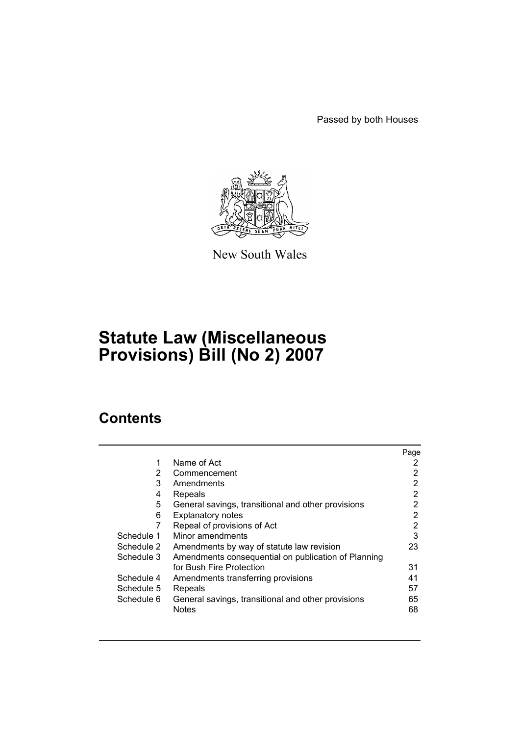Passed by both Houses



New South Wales

# **Statute Law (Miscellaneous Provisions) Bill (No 2) 2007**

# **Contents**

|            |                                                     | Page |
|------------|-----------------------------------------------------|------|
| 1          | Name of Act                                         |      |
| 2          | Commencement                                        | 2    |
| 3          | Amendments                                          | 2    |
| 4          | Repeals                                             | 2    |
| 5          | General savings, transitional and other provisions  | 2    |
| 6          | <b>Explanatory notes</b>                            | 2    |
| 7          | Repeal of provisions of Act                         | 2    |
| Schedule 1 | Minor amendments                                    | 3    |
| Schedule 2 | Amendments by way of statute law revision           | 23   |
| Schedule 3 | Amendments consequential on publication of Planning |      |
|            | for Bush Fire Protection                            | 31   |
| Schedule 4 | Amendments transferring provisions                  | 41   |
| Schedule 5 | Repeals                                             | 57   |
| Schedule 6 | General savings, transitional and other provisions  | 65   |
|            | <b>Notes</b>                                        | 68   |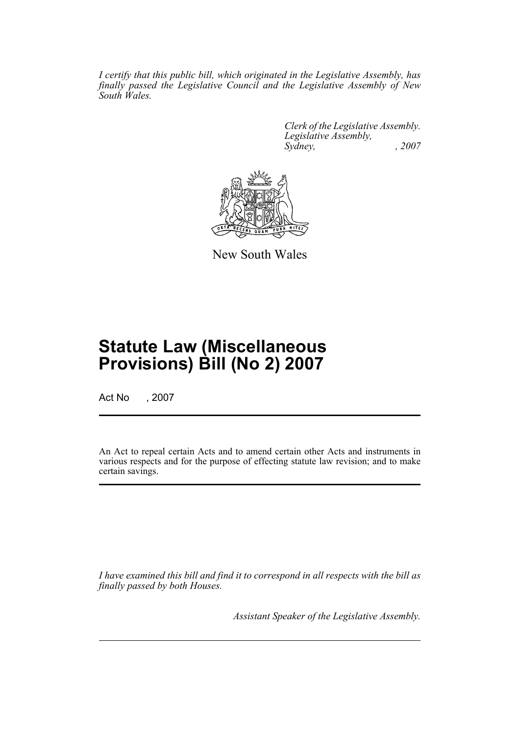*I certify that this public bill, which originated in the Legislative Assembly, has finally passed the Legislative Council and the Legislative Assembly of New South Wales.*

> *Clerk of the Legislative Assembly. Legislative Assembly, Sydney, , 2007*



New South Wales

# **Statute Law (Miscellaneous Provisions) Bill (No 2) 2007**

Act No , 2007

An Act to repeal certain Acts and to amend certain other Acts and instruments in various respects and for the purpose of effecting statute law revision; and to make certain savings.

*I have examined this bill and find it to correspond in all respects with the bill as finally passed by both Houses.*

*Assistant Speaker of the Legislative Assembly.*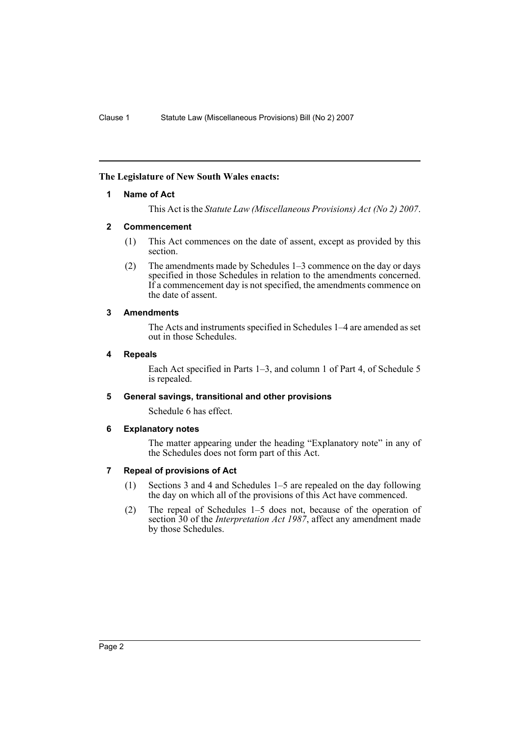### <span id="page-2-0"></span>**The Legislature of New South Wales enacts:**

### **1 Name of Act**

This Act is the *Statute Law (Miscellaneous Provisions) Act (No 2) 2007*.

### <span id="page-2-1"></span>**2 Commencement**

- (1) This Act commences on the date of assent, except as provided by this section.
- (2) The amendments made by Schedules 1–3 commence on the day or days specified in those Schedules in relation to the amendments concerned. If a commencement day is not specified, the amendments commence on the date of assent.

### <span id="page-2-2"></span>**3 Amendments**

The Acts and instruments specified in Schedules 1–4 are amended as set out in those Schedules.

#### <span id="page-2-3"></span>**4 Repeals**

Each Act specified in Parts 1–3, and column 1 of Part 4, of Schedule 5 is repealed.

## <span id="page-2-4"></span>**5 General savings, transitional and other provisions**

Schedule 6 has effect.

#### <span id="page-2-5"></span>**6 Explanatory notes**

The matter appearing under the heading "Explanatory note" in any of the Schedules does not form part of this Act.

### <span id="page-2-6"></span>**7 Repeal of provisions of Act**

- (1) Sections 3 and 4 and Schedules 1–5 are repealed on the day following the day on which all of the provisions of this Act have commenced.
- (2) The repeal of Schedules 1–5 does not, because of the operation of section 30 of the *Interpretation Act 1987*, affect any amendment made by those Schedules.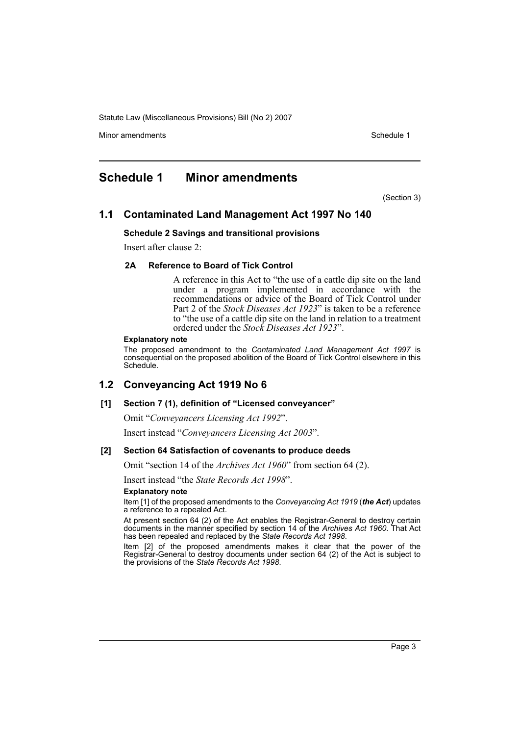Minor amendments **Schedule 1** and the state of the state 1 and the state of the Schedule 1

## <span id="page-3-0"></span>**Schedule 1 Minor amendments**

(Section 3)

## **1.1 Contaminated Land Management Act 1997 No 140**

#### **Schedule 2 Savings and transitional provisions**

Insert after clause 2:

### **2A Reference to Board of Tick Control**

A reference in this Act to "the use of a cattle dip site on the land under a program implemented in accordance with the recommendations or advice of the Board of Tick Control under Part 2 of the *Stock Diseases Act 1923*" is taken to be a reference to "the use of a cattle dip site on the land in relation to a treatment ordered under the *Stock Diseases Act 1923*".

#### **Explanatory note**

The proposed amendment to the *Contaminated Land Management Act 1997* is consequential on the proposed abolition of the Board of Tick Control elsewhere in this Schedule.

## **1.2 Conveyancing Act 1919 No 6**

#### **[1] Section 7 (1), definition of "Licensed conveyancer"**

Omit "*Conveyancers Licensing Act 1992*".

Insert instead "*Conveyancers Licensing Act 2003*".

#### **[2] Section 64 Satisfaction of covenants to produce deeds**

Omit "section 14 of the *Archives Act 1960*" from section 64 (2).

Insert instead "the *State Records Act 1998*".

#### **Explanatory note**

Item [1] of the proposed amendments to the *Conveyancing Act 1919* (*the Act*) updates a reference to a repealed Act.

At present section 64 (2) of the Act enables the Registrar-General to destroy certain documents in the manner specified by section 14 of the *Archives Act 1960*. That Act has been repealed and replaced by the *State Records Act 1998*.

Item [2] of the proposed amendments makes it clear that the power of the Registrar-General to destroy documents under section 64 (2) of the Act is subject to the provisions of the *State Records Act 1998*.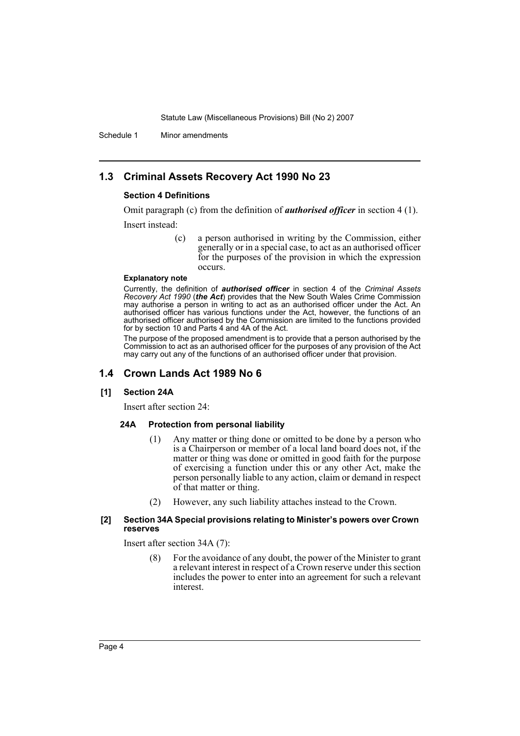Schedule 1 Minor amendments

## **1.3 Criminal Assets Recovery Act 1990 No 23**

#### **Section 4 Definitions**

Omit paragraph (c) from the definition of *authorised officer* in section 4 (1).

Insert instead:

(c) a person authorised in writing by the Commission, either generally or in a special case, to act as an authorised officer for the purposes of the provision in which the expression occurs.

#### **Explanatory note**

Currently, the definition of *authorised officer* in section 4 of the *Criminal Assets Recovery Act 1990* (*the Act*) provides that the New South Wales Crime Commission may authorise a person in writing to act as an authorised officer under the Act. An authorised officer has various functions under the Act, however, the functions of an authorised officer authorised by the Commission are limited to the functions provided for by section 10 and Parts 4 and 4A of the Act.

The purpose of the proposed amendment is to provide that a person authorised by the Commission to act as an authorised officer for the purposes of any provision of the Act may carry out any of the functions of an authorised officer under that provision.

## **1.4 Crown Lands Act 1989 No 6**

#### **[1] Section 24A**

Insert after section 24:

#### **24A Protection from personal liability**

- (1) Any matter or thing done or omitted to be done by a person who is a Chairperson or member of a local land board does not, if the matter or thing was done or omitted in good faith for the purpose of exercising a function under this or any other Act, make the person personally liable to any action, claim or demand in respect of that matter or thing.
- (2) However, any such liability attaches instead to the Crown.

### **[2] Section 34A Special provisions relating to Minister's powers over Crown reserves**

Insert after section 34A (7):

(8) For the avoidance of any doubt, the power of the Minister to grant a relevant interest in respect of a Crown reserve under this section includes the power to enter into an agreement for such a relevant interest.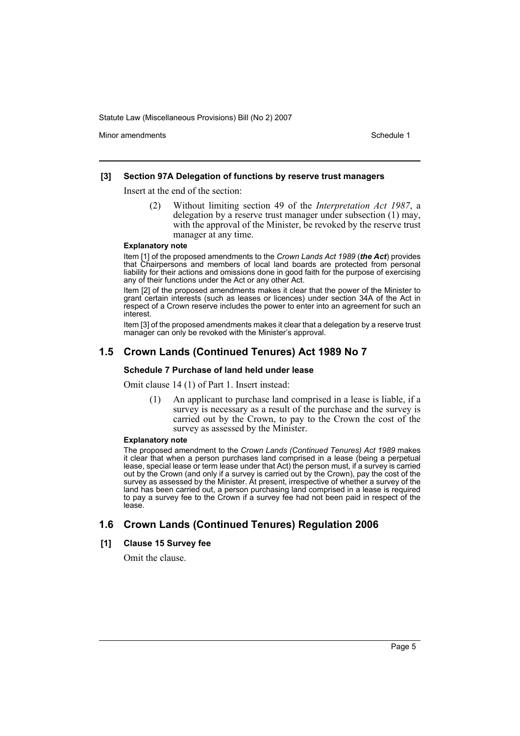Minor amendments **Schedule 1** and the state of the state 1 and the state of the Schedule 1

#### **[3] Section 97A Delegation of functions by reserve trust managers**

Insert at the end of the section:

(2) Without limiting section 49 of the *Interpretation Act 1987*, a delegation by a reserve trust manager under subsection (1) may, with the approval of the Minister, be revoked by the reserve trust manager at any time.

#### **Explanatory note**

Item [1] of the proposed amendments to the *Crown Lands Act 1989* (*the Act*) provides that Chairpersons and members of local land boards are protected from personal liability for their actions and omissions done in good faith for the purpose of exercising any of their functions under the Act or any other Act.

Item [2] of the proposed amendments makes it clear that the power of the Minister to grant certain interests (such as leases or licences) under section 34A of the Act in respect of a Crown reserve includes the power to enter into an agreement for such an interest.

Item [3] of the proposed amendments makes it clear that a delegation by a reserve trust manager can only be revoked with the Minister's approval.

## **1.5 Crown Lands (Continued Tenures) Act 1989 No 7**

#### **Schedule 7 Purchase of land held under lease**

Omit clause 14 (1) of Part 1. Insert instead:

(1) An applicant to purchase land comprised in a lease is liable, if a survey is necessary as a result of the purchase and the survey is carried out by the Crown, to pay to the Crown the cost of the survey as assessed by the Minister.

#### **Explanatory note**

The proposed amendment to the *Crown Lands (Continued Tenures) Act 1989* makes it clear that when a person purchases land comprised in a lease (being a perpetual lease, special lease or term lease under that Act) the person must, if a survey is carried out by the Crown (and only if a survey is carried out by the Crown), pay the cost of the survey as assessed by the Minister. At present, irrespective of whether a survey of the land has been carried out, a person purchasing land comprised in a lease is required to pay a survey fee to the Crown if a survey fee had not been paid in respect of the lease.

## **1.6 Crown Lands (Continued Tenures) Regulation 2006**

#### **[1] Clause 15 Survey fee**

Omit the clause.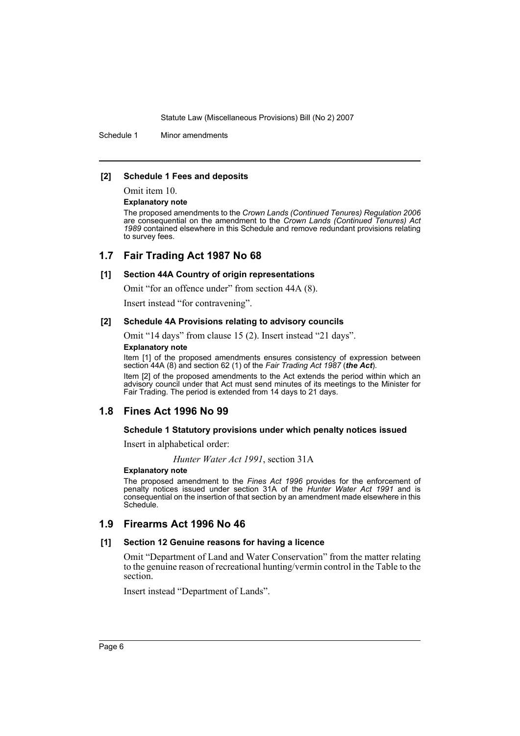Schedule 1 Minor amendments

#### **[2] Schedule 1 Fees and deposits**

Omit item 10.

**Explanatory note**

The proposed amendments to the *Crown Lands (Continued Tenures) Regulation 2006* are consequential on the amendment to the *Crown Lands (Continued Tenures) Act 1989* contained elsewhere in this Schedule and remove redundant provisions relating to survey fees.

### **1.7 Fair Trading Act 1987 No 68**

#### **[1] Section 44A Country of origin representations**

Omit "for an offence under" from section 44A (8).

Insert instead "for contravening".

#### **[2] Schedule 4A Provisions relating to advisory councils**

Omit "14 days" from clause 15 (2). Insert instead "21 days".

#### **Explanatory note**

Item [1] of the proposed amendments ensures consistency of expression between section 44A (8) and section 62 (1) of the *Fair Trading Act 1987* (*the Act*).

Item [2] of the proposed amendments to the Act extends the period within which an advisory council under that Act must send minutes of its meetings to the Minister for Fair Trading. The period is extended from 14 days to 21 days.

## **1.8 Fines Act 1996 No 99**

#### **Schedule 1 Statutory provisions under which penalty notices issued**

Insert in alphabetical order:

*Hunter Water Act 1991*, section 31A

#### **Explanatory note**

The proposed amendment to the *Fines Act 1996* provides for the enforcement of penalty notices issued under section 31A of the *Hunter Water Act 1991* and is consequential on the insertion of that section by an amendment made elsewhere in this Schedule.

### **1.9 Firearms Act 1996 No 46**

#### **[1] Section 12 Genuine reasons for having a licence**

Omit "Department of Land and Water Conservation" from the matter relating to the genuine reason of recreational hunting/vermin control in the Table to the section.

Insert instead "Department of Lands".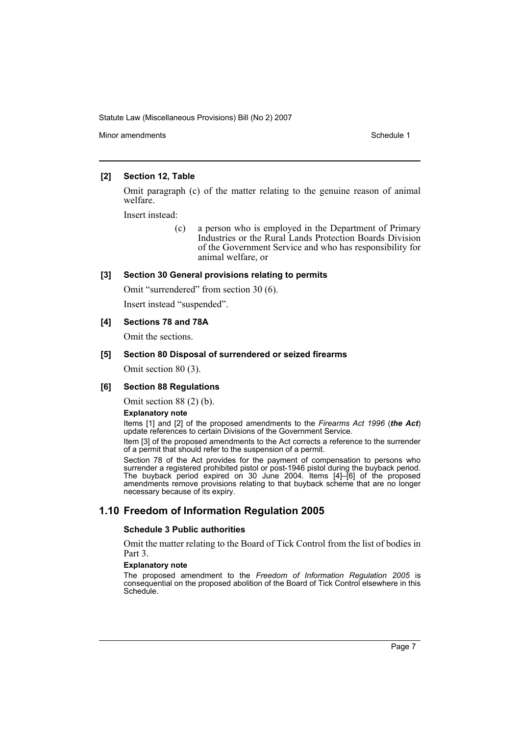Minor amendments **Schedule 1** and the state of the state 1 and the state of the Schedule 1

### **[2] Section 12, Table**

Omit paragraph (c) of the matter relating to the genuine reason of animal welfare.

Insert instead:

(c) a person who is employed in the Department of Primary Industries or the Rural Lands Protection Boards Division of the Government Service and who has responsibility for animal welfare, or

### **[3] Section 30 General provisions relating to permits**

Omit "surrendered" from section 30 (6).

Insert instead "suspended".

## **[4] Sections 78 and 78A**

Omit the sections.

### **[5] Section 80 Disposal of surrendered or seized firearms**

Omit section 80 (3).

#### **[6] Section 88 Regulations**

Omit section 88 (2) (b).

#### **Explanatory note**

Items [1] and [2] of the proposed amendments to the *Firearms Act 1996* (*the Act*) update references to certain Divisions of the Government Service.

Item [3] of the proposed amendments to the Act corrects a reference to the surrender of a permit that should refer to the suspension of a permit.

Section 78 of the Act provides for the payment of compensation to persons who surrender a registered prohibited pistol or post-1946 pistol during the buyback period. The buyback period expired on 30 June 2004. Items [4]–[6] of the proposed amendments remove provisions relating to that buyback scheme that are no longer necessary because of its expiry.

## **1.10 Freedom of Information Regulation 2005**

#### **Schedule 3 Public authorities**

Omit the matter relating to the Board of Tick Control from the list of bodies in Part 3.

#### **Explanatory note**

The proposed amendment to the *Freedom of Information Regulation 2005* is consequential on the proposed abolition of the Board of Tick Control elsewhere in this Schedule.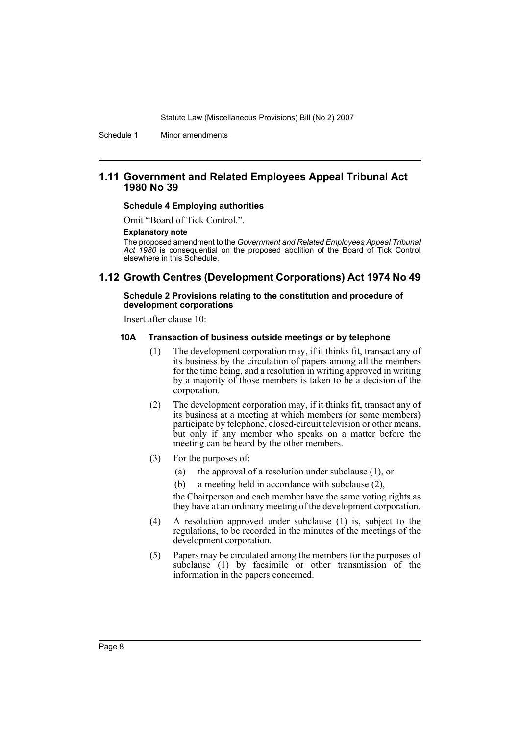Schedule 1 Minor amendments

### **1.11 Government and Related Employees Appeal Tribunal Act 1980 No 39**

#### **Schedule 4 Employing authorities**

Omit "Board of Tick Control.".

#### **Explanatory note**

The proposed amendment to the *Government and Related Employees Appeal Tribunal Act 1980* is consequential on the proposed abolition of the Board of Tick Control elsewhere in this Schedule.

### **1.12 Growth Centres (Development Corporations) Act 1974 No 49**

#### **Schedule 2 Provisions relating to the constitution and procedure of development corporations**

Insert after clause 10:

#### **10A Transaction of business outside meetings or by telephone**

- (1) The development corporation may, if it thinks fit, transact any of its business by the circulation of papers among all the members for the time being, and a resolution in writing approved in writing by a majority of those members is taken to be a decision of the corporation.
- (2) The development corporation may, if it thinks fit, transact any of its business at a meeting at which members (or some members) participate by telephone, closed-circuit television or other means, but only if any member who speaks on a matter before the meeting can be heard by the other members.
- (3) For the purposes of:
	- (a) the approval of a resolution under subclause (1), or
	- (b) a meeting held in accordance with subclause (2),

the Chairperson and each member have the same voting rights as they have at an ordinary meeting of the development corporation.

- (4) A resolution approved under subclause (1) is, subject to the regulations, to be recorded in the minutes of the meetings of the development corporation.
- (5) Papers may be circulated among the members for the purposes of subclause (1) by facsimile or other transmission of the information in the papers concerned.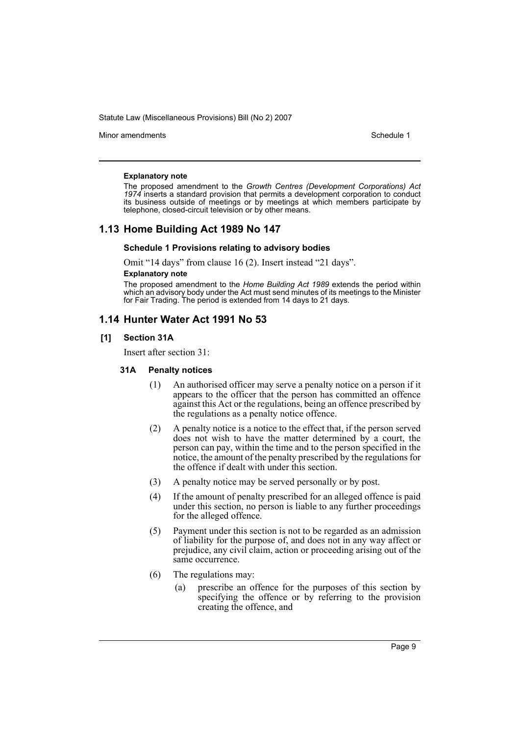Minor amendments **Schedule 1** and the state of the state 1 and the state of the Schedule 1

#### **Explanatory note**

The proposed amendment to the *Growth Centres (Development Corporations) Act 1974* inserts a standard provision that permits a development corporation to conduct its business outside of meetings or by meetings at which members participate by telephone, closed-circuit television or by other means.

### **1.13 Home Building Act 1989 No 147**

#### **Schedule 1 Provisions relating to advisory bodies**

Omit "14 days" from clause 16 (2). Insert instead "21 days".

### **Explanatory note**

The proposed amendment to the *Home Building Act 1989* extends the period within which an advisory body under the Act must send minutes of its meetings to the Minister for Fair Trading. The period is extended from 14 days to 21 days.

## **1.14 Hunter Water Act 1991 No 53**

#### **[1] Section 31A**

Insert after section 31:

#### **31A Penalty notices**

- (1) An authorised officer may serve a penalty notice on a person if it appears to the officer that the person has committed an offence against this Act or the regulations, being an offence prescribed by the regulations as a penalty notice offence.
- (2) A penalty notice is a notice to the effect that, if the person served does not wish to have the matter determined by a court, the person can pay, within the time and to the person specified in the notice, the amount of the penalty prescribed by the regulations for the offence if dealt with under this section.
- (3) A penalty notice may be served personally or by post.
- (4) If the amount of penalty prescribed for an alleged offence is paid under this section, no person is liable to any further proceedings for the alleged offence.
- (5) Payment under this section is not to be regarded as an admission of liability for the purpose of, and does not in any way affect or prejudice, any civil claim, action or proceeding arising out of the same occurrence.
- (6) The regulations may:
	- (a) prescribe an offence for the purposes of this section by specifying the offence or by referring to the provision creating the offence, and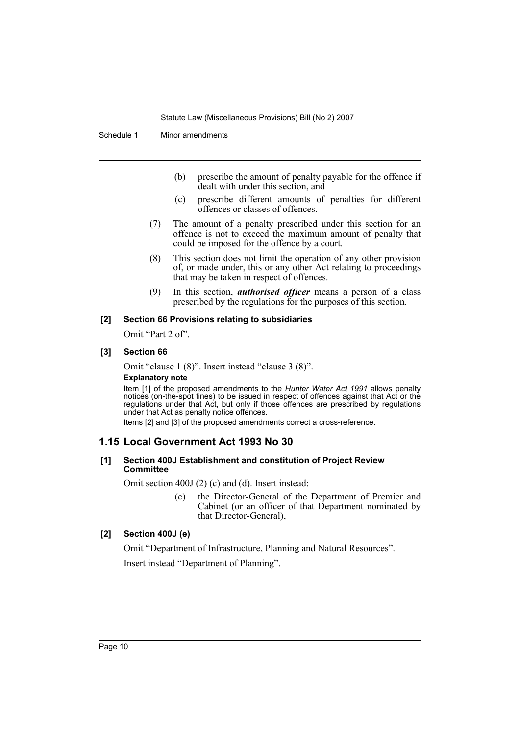Schedule 1 Minor amendments

- (b) prescribe the amount of penalty payable for the offence if dealt with under this section, and
- (c) prescribe different amounts of penalties for different offences or classes of offences.
- (7) The amount of a penalty prescribed under this section for an offence is not to exceed the maximum amount of penalty that could be imposed for the offence by a court.
- (8) This section does not limit the operation of any other provision of, or made under, this or any other Act relating to proceedings that may be taken in respect of offences.
- (9) In this section, *authorised officer* means a person of a class prescribed by the regulations for the purposes of this section.

#### **[2] Section 66 Provisions relating to subsidiaries**

Omit "Part 2 of".

### **[3] Section 66**

Omit "clause 1 (8)". Insert instead "clause 3 (8)".

### **Explanatory note**

Item [1] of the proposed amendments to the *Hunter Water Act 1991* allows penalty notices (on-the-spot fines) to be issued in respect of offences against that Act or the regulations under that Act, but only if those offences are prescribed by regulations under that Act as penalty notice offences.

Items [2] and [3] of the proposed amendments correct a cross-reference.

## **1.15 Local Government Act 1993 No 30**

#### **[1] Section 400J Establishment and constitution of Project Review Committee**

Omit section 400J (2) (c) and (d). Insert instead:

(c) the Director-General of the Department of Premier and Cabinet (or an officer of that Department nominated by that Director-General),

### **[2] Section 400J (e)**

Omit "Department of Infrastructure, Planning and Natural Resources". Insert instead "Department of Planning".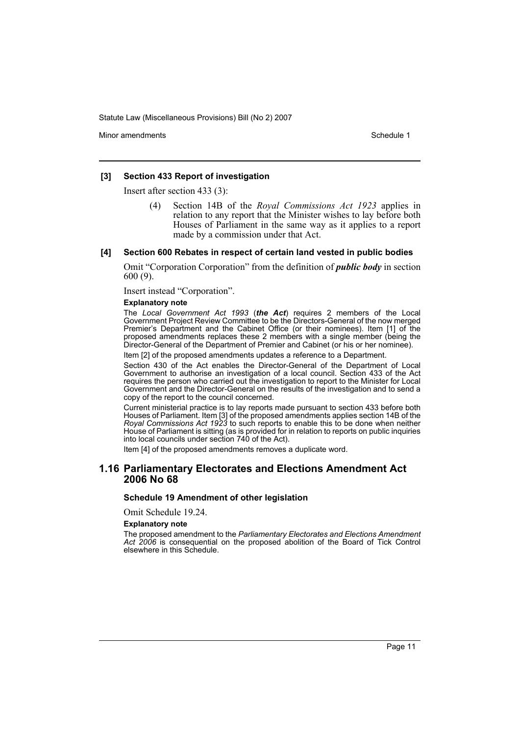Minor amendments **Schedule 1** and the state of the state 1 and the state of the Schedule 1

#### **[3] Section 433 Report of investigation**

Insert after section 433 (3):

(4) Section 14B of the *Royal Commissions Act 1923* applies in relation to any report that the Minister wishes to lay before both Houses of Parliament in the same way as it applies to a report made by a commission under that Act.

#### **[4] Section 600 Rebates in respect of certain land vested in public bodies**

Omit "Corporation Corporation" from the definition of *public body* in section 600 (9).

Insert instead "Corporation".

## **Explanatory note**

The *Local Government Act 1993* (*the Act*) requires 2 members of the Local Government Project Review Committee to be the Directors-General of the now merged Premier's Department and the Cabinet Office (or their nominees). Item [1] of the proposed amendments replaces these 2 members with a single member (being the Director-General of the Department of Premier and Cabinet (or his or her nominee).

Item [2] of the proposed amendments updates a reference to a Department.

Section 430 of the Act enables the Director-General of the Department of Local Government to authorise an investigation of a local council. Section 433 of the Act requires the person who carried out the investigation to report to the Minister for Local Government and the Director-General on the results of the investigation and to send a copy of the report to the council concerned.

Current ministerial practice is to lay reports made pursuant to section 433 before both Houses of Parliament. Item [3] of the proposed amendments applies section 14B of the *Royal Commissions Act 1923* to such reports to enable this to be done when neither House of Parliament is sitting (as is provided for in relation to reports on public inquiries into local councils under section 740 of the Act).

Item [4] of the proposed amendments removes a duplicate word.

### **1.16 Parliamentary Electorates and Elections Amendment Act 2006 No 68**

#### **Schedule 19 Amendment of other legislation**

Omit Schedule 19.24.

#### **Explanatory note**

The proposed amendment to the *Parliamentary Electorates and Elections Amendment Act 2006* is consequential on the proposed abolition of the Board of Tick Control elsewhere in this Schedule.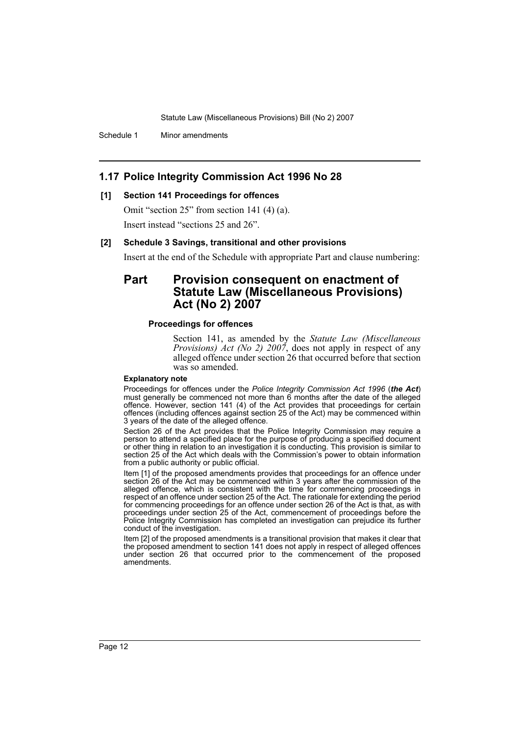Schedule 1 Minor amendments

## **1.17 Police Integrity Commission Act 1996 No 28**

### **[1] Section 141 Proceedings for offences**

Omit "section 25" from section 141 (4) (a).

Insert instead "sections 25 and 26".

#### **[2] Schedule 3 Savings, transitional and other provisions**

Insert at the end of the Schedule with appropriate Part and clause numbering:

## **Part Provision consequent on enactment of Statute Law (Miscellaneous Provisions) Act (No 2) 2007**

#### **Proceedings for offences**

Section 141, as amended by the *Statute Law (Miscellaneous Provisions) Act (No 2) 2007*, does not apply in respect of any alleged offence under section 26 that occurred before that section was so amended.

#### **Explanatory note**

Proceedings for offences under the *Police Integrity Commission Act 1996* (*the Act*) must generally be commenced not more than 6 months after the date of the alleged offence. However, section 141 (4) of the Act provides that proceedings for certain offences (including offences against section 25 of the Act) may be commenced within 3 years of the date of the alleged offence.

Section 26 of the Act provides that the Police Integrity Commission may require a person to attend a specified place for the purpose of producing a specified document or other thing in relation to an investigation it is conducting. This provision is similar to section 25 of the Act which deals with the Commission's power to obtain information from a public authority or public official.

Item [1] of the proposed amendments provides that proceedings for an offence under section 26 of the Act may be commenced within 3 years after the commission of the alleged offence, which is consistent with the time for commencing proceedings in respect of an offence under section 25 of the Act. The rationale for extending the period for commencing proceedings for an offence under section 26 of the Act is that, as with proceedings under section 25 of the Act, commencement of proceedings before the Police Integrity Commission has completed an investigation can prejudice its further conduct of the investigation.

Item [2] of the proposed amendments is a transitional provision that makes it clear that the proposed amendment to section 141 does not apply in respect of alleged offences under section 26 that occurred prior to the commencement of the proposed amendments.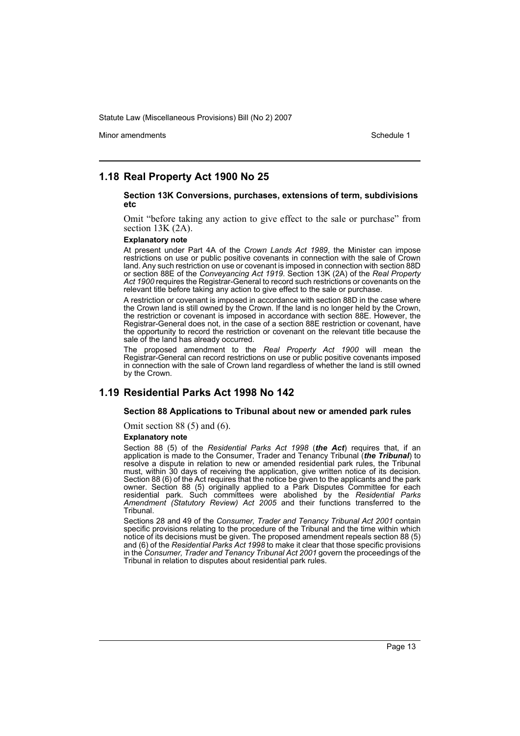Minor amendments **Schedule 1** and the state of the state 1 and the state of the Schedule 1

### **1.18 Real Property Act 1900 No 25**

#### **Section 13K Conversions, purchases, extensions of term, subdivisions etc**

Omit "before taking any action to give effect to the sale or purchase" from section 13K (2A).

#### **Explanatory note**

At present under Part 4A of the *Crown Lands Act 1989*, the Minister can impose restrictions on use or public positive covenants in connection with the sale of Crown land. Any such restriction on use or covenant is imposed in connection with section 88D or section 88E of the *Conveyancing Act 1919*. Section 13K (2A) of the *Real Property* Act 1900 requires the Registrar-General to record such restrictions or covenants on the relevant title before taking any action to give effect to the sale or purchase.

A restriction or covenant is imposed in accordance with section 88D in the case where the Crown land is still owned by the Crown. If the land is no longer held by the Crown, the restriction or covenant is imposed in accordance with section 88E. However, the Registrar-General does not, in the case of a section 88E restriction or covenant, have the opportunity to record the restriction or covenant on the relevant title because the sale of the land has already occurred.

The proposed amendment to the *Real Property Act 1900* will mean the Registrar-General can record restrictions on use or public positive covenants imposed in connection with the sale of Crown land regardless of whether the land is still owned by the Crown.

### **1.19 Residential Parks Act 1998 No 142**

#### **Section 88 Applications to Tribunal about new or amended park rules**

Omit section 88 (5) and (6).

#### **Explanatory note**

Section 88 (5) of the *Residential Parks Act 1998* (*the Act*) requires that, if an application is made to the Consumer, Trader and Tenancy Tribunal *(the Tribunal)* to resolve a dispute in relation to new or amended residential park rules, the Tribunal must, within 30 days of receiving the application, give written notice of its decision. Section 88 (6) of the Act requires that the notice be given to the applicants and the park owner. Section 88 (5) originally applied to a Park Disputes Committee for each residential park. Such committees were abolished by the *Residential Parks Amendment (Statutory Review) Act 2005* and their functions transferred to the Tribunal.

Sections 28 and 49 of the *Consumer, Trader and Tenancy Tribunal Act 2001* contain specific provisions relating to the procedure of the Tribunal and the time within which notice of its decisions must be given. The proposed amendment repeals section 88 (5) and (6) of the *Residential Parks Act 1998* to make it clear that those specific provisions in the *Consumer, Trader and Tenancy Tribunal Act 2001* govern the proceedings of the Tribunal in relation to disputes about residential park rules.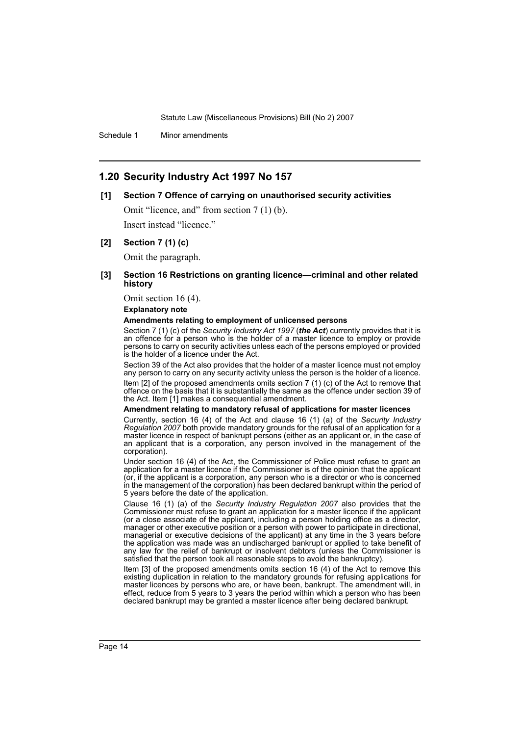Schedule 1 Minor amendments

## **1.20 Security Industry Act 1997 No 157**

#### **[1] Section 7 Offence of carrying on unauthorised security activities**

Omit "licence, and" from section 7 (1) (b).

Insert instead "licence."

#### **[2] Section 7 (1) (c)**

Omit the paragraph.

### **[3] Section 16 Restrictions on granting licence—criminal and other related history**

Omit section 16 (4).

#### **Explanatory note**

#### **Amendments relating to employment of unlicensed persons**

Section 7 (1) (c) of the *Security Industry Act 1997* (*the Act*) currently provides that it is an offence for a person who is the holder of a master licence to employ or provide persons to carry on security activities unless each of the persons employed or provided is the holder of a licence under the Act.

Section 39 of the Act also provides that the holder of a master licence must not employ any person to carry on any security activity unless the person is the holder of a licence.

Item [2] of the proposed amendments omits section 7 (1) (c) of the Act to remove that offence on the basis that it is substantially the same as the offence under section 39 of the Act. Item [1] makes a consequential amendment.

#### **Amendment relating to mandatory refusal of applications for master licences**

Currently, section 16 (4) of the Act and clause 16 (1) (a) of the *Security Industry Regulation 2007* both provide mandatory grounds for the refusal of an application for a master licence in respect of bankrupt persons (either as an applicant or, in the case of an applicant that is a corporation, any person involved in the management of the corporation).

Under section 16 (4) of the Act, the Commissioner of Police must refuse to grant an application for a master licence if the Commissioner is of the opinion that the applicant (or, if the applicant is a corporation, any person who is a director or who is concerned in the management of the corporation) has been declared bankrupt within the period of 5 years before the date of the application.

Clause 16 (1) (a) of the *Security Industry Regulation 2007* also provides that the Commissioner must refuse to grant an application for a master licence if the applicant (or a close associate of the applicant, including a person holding office as a director, manager or other executive position or a person with power to participate in directional, managerial or executive decisions of the applicant) at any time in the 3 years before the application was made was an undischarged bankrupt or applied to take benefit of any law for the relief of bankrupt or insolvent debtors (unless the Commissioner is satisfied that the person took all reasonable steps to avoid the bankruptcy).

Item [3] of the proposed amendments omits section 16 (4) of the Act to remove this existing duplication in relation to the mandatory grounds for refusing applications for master licences by persons who are, or have been, bankrupt. The amendment will, in effect, reduce from 5 years to 3 years the period within which a person who has been declared bankrupt may be granted a master licence after being declared bankrupt.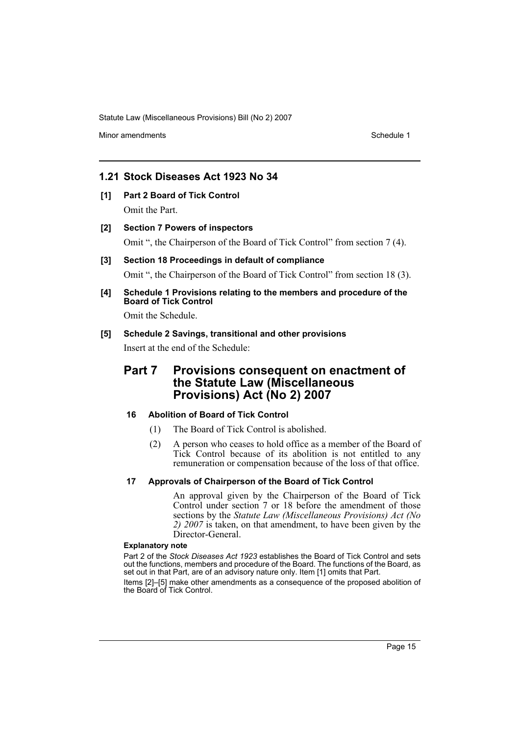Minor amendments **Schedule 1** and the state of the state 1 and the state of the Schedule 1

## **1.21 Stock Diseases Act 1923 No 34**

- **[1] Part 2 Board of Tick Control** Omit the Part.
- **[2] Section 7 Powers of inspectors** Omit ", the Chairperson of the Board of Tick Control" from section 7 (4).
- **[3] Section 18 Proceedings in default of compliance** Omit ", the Chairperson of the Board of Tick Control" from section 18 (3).
- **[4] Schedule 1 Provisions relating to the members and procedure of the Board of Tick Control**

Omit the Schedule.

### **[5] Schedule 2 Savings, transitional and other provisions**

Insert at the end of the Schedule:

## **Part 7 Provisions consequent on enactment of the Statute Law (Miscellaneous Provisions) Act (No 2) 2007**

### **16 Abolition of Board of Tick Control**

- (1) The Board of Tick Control is abolished.
- (2) A person who ceases to hold office as a member of the Board of Tick Control because of its abolition is not entitled to any remuneration or compensation because of the loss of that office.

## **17 Approvals of Chairperson of the Board of Tick Control**

An approval given by the Chairperson of the Board of Tick Control under section 7 or 18 before the amendment of those sections by the *Statute Law (Miscellaneous Provisions) Act (No 2) 2007* is taken, on that amendment, to have been given by the Director-General.

### **Explanatory note**

Part 2 of the *Stock Diseases Act 1923* establishes the Board of Tick Control and sets out the functions, members and procedure of the Board. The functions of the Board, as set out in that Part, are of an advisory nature only. Item [1] omits that Part.

Items [2]–[5] make other amendments as a consequence of the proposed abolition of the Board of Tick Control.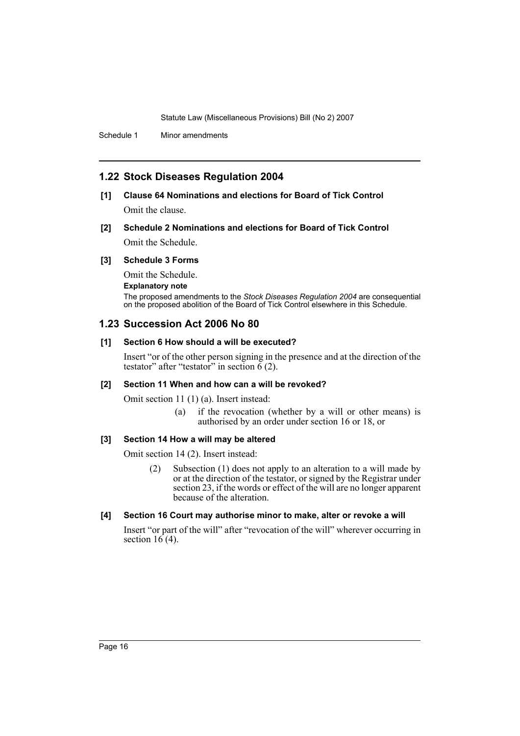Schedule 1 Minor amendments

## **1.22 Stock Diseases Regulation 2004**

## **[1] Clause 64 Nominations and elections for Board of Tick Control**

Omit the clause.

## **[2] Schedule 2 Nominations and elections for Board of Tick Control** Omit the Schedule.

#### **[3] Schedule 3 Forms**

Omit the Schedule.

**Explanatory note**

The proposed amendments to the *Stock Diseases Regulation 2004* are consequential on the proposed abolition of the Board of Tick Control elsewhere in this Schedule.

## **1.23 Succession Act 2006 No 80**

### **[1] Section 6 How should a will be executed?**

Insert "or of the other person signing in the presence and at the direction of the testator" after "testator" in section  $\vec{6}$  (2).

#### **[2] Section 11 When and how can a will be revoked?**

Omit section 11 (1) (a). Insert instead:

(a) if the revocation (whether by a will or other means) is authorised by an order under section 16 or 18, or

#### **[3] Section 14 How a will may be altered**

Omit section 14 (2). Insert instead:

(2) Subsection (1) does not apply to an alteration to a will made by or at the direction of the testator, or signed by the Registrar under section 23, if the words or effect of the will are no longer apparent because of the alteration.

#### **[4] Section 16 Court may authorise minor to make, alter or revoke a will**

Insert "or part of the will" after "revocation of the will" wherever occurring in section  $16(4)$ .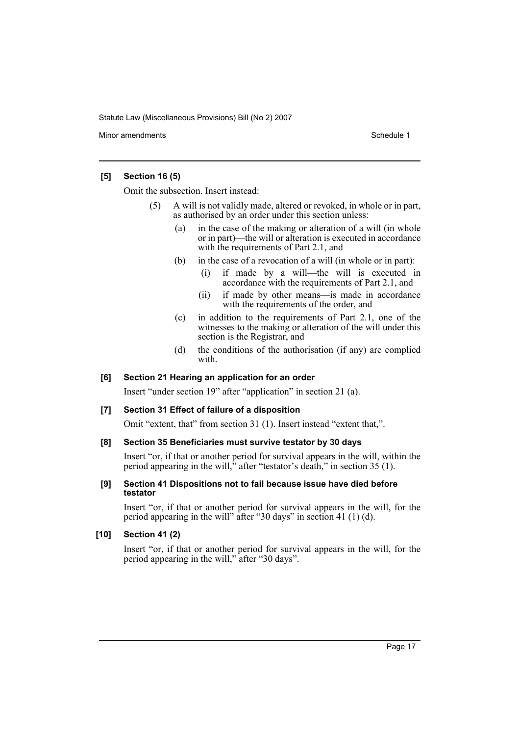Minor amendments **Schedule 1** and the state of the state 1 and the state of the Schedule 1

### **[5] Section 16 (5)**

Omit the subsection. Insert instead:

- (5) A will is not validly made, altered or revoked, in whole or in part, as authorised by an order under this section unless:
	- (a) in the case of the making or alteration of a will (in whole or in part)—the will or alteration is executed in accordance with the requirements of Part 2.1, and
	- (b) in the case of a revocation of a will (in whole or in part):
		- (i) if made by a will—the will is executed in accordance with the requirements of Part 2.1, and
		- (ii) if made by other means—is made in accordance with the requirements of the order, and
	- (c) in addition to the requirements of Part 2.1, one of the witnesses to the making or alteration of the will under this section is the Registrar, and
	- (d) the conditions of the authorisation (if any) are complied with.

#### **[6] Section 21 Hearing an application for an order**

Insert "under section 19" after "application" in section 21 (a).

### **[7] Section 31 Effect of failure of a disposition**

Omit "extent, that" from section 31 (1). Insert instead "extent that,".

### **[8] Section 35 Beneficiaries must survive testator by 30 days**

Insert "or, if that or another period for survival appears in the will, within the period appearing in the will," after "testator's death," in section 35 (1).

### **[9] Section 41 Dispositions not to fail because issue have died before testator**

Insert "or, if that or another period for survival appears in the will, for the period appearing in the will" after "30 days" in section 41 (1) (d).

### **[10] Section 41 (2)**

Insert "or, if that or another period for survival appears in the will, for the period appearing in the will," after "30 days".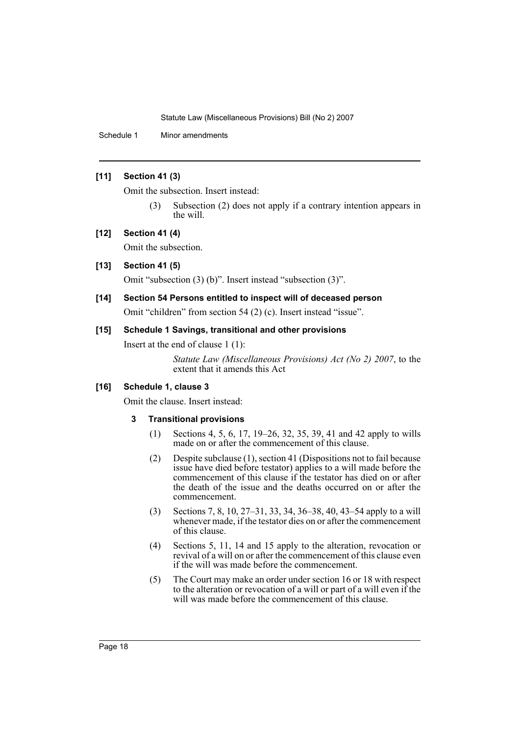Schedule 1 Minor amendments

### **[11] Section 41 (3)**

Omit the subsection. Insert instead:

(3) Subsection (2) does not apply if a contrary intention appears in the will.

## **[12] Section 41 (4)**

Omit the subsection.

## **[13] Section 41 (5)**

Omit "subsection (3) (b)". Insert instead "subsection (3)".

## **[14] Section 54 Persons entitled to inspect will of deceased person** Omit "children" from section 54 (2) (c). Insert instead "issue".

# **[15] Schedule 1 Savings, transitional and other provisions**

Insert at the end of clause 1 (1):

*Statute Law (Miscellaneous Provisions) Act (No 2) 2007*, to the extent that it amends this Act

## **[16] Schedule 1, clause 3**

Omit the clause. Insert instead:

### **3 Transitional provisions**

- (1) Sections 4, 5, 6, 17, 19–26, 32, 35, 39, 41 and 42 apply to wills made on or after the commencement of this clause.
- (2) Despite subclause (1), section 41 (Dispositions not to fail because issue have died before testator) applies to a will made before the commencement of this clause if the testator has died on or after the death of the issue and the deaths occurred on or after the commencement.
- (3) Sections 7, 8, 10, 27–31, 33, 34, 36–38, 40, 43–54 apply to a will whenever made, if the testator dies on or after the commencement of this clause.
- (4) Sections 5, 11, 14 and 15 apply to the alteration, revocation or revival of a will on or after the commencement of this clause even if the will was made before the commencement.
- (5) The Court may make an order under section 16 or 18 with respect to the alteration or revocation of a will or part of a will even if the will was made before the commencement of this clause.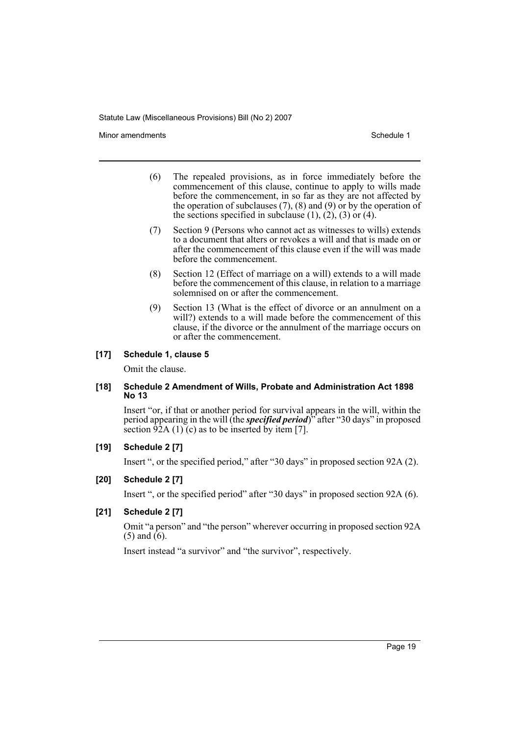Minor amendments **Schedule 1** and the state of the state of the Schedule 1

- (6) The repealed provisions, as in force immediately before the commencement of this clause, continue to apply to wills made before the commencement, in so far as they are not affected by the operation of subclauses  $(7)$ ,  $(8)$  and  $(9)$  or by the operation of the sections specified in subclause  $(1)$ ,  $(2)$ ,  $(3)$  or  $(4)$ .
- (7) Section 9 (Persons who cannot act as witnesses to wills) extends to a document that alters or revokes a will and that is made on or after the commencement of this clause even if the will was made before the commencement.
- (8) Section 12 (Effect of marriage on a will) extends to a will made before the commencement of this clause, in relation to a marriage solemnised on or after the commencement.
- (9) Section 13 (What is the effect of divorce or an annulment on a will?) extends to a will made before the commencement of this clause, if the divorce or the annulment of the marriage occurs on or after the commencement.

### **[17] Schedule 1, clause 5**

Omit the clause.

#### **[18] Schedule 2 Amendment of Wills, Probate and Administration Act 1898 No 13**

Insert "or, if that or another period for survival appears in the will, within the period appearing in the will (the *specified period*)" after "30 days" in proposed section  $\frac{92}{A(1)}$  (c) as to be inserted by item [7].

### **[19] Schedule 2 [7]**

Insert ", or the specified period," after "30 days" in proposed section 92A (2).

### **[20] Schedule 2 [7]**

Insert ", or the specified period" after "30 days" in proposed section 92A (6).

### **[21] Schedule 2 [7]**

Omit "a person" and "the person" wherever occurring in proposed section 92A  $(5)$  and  $(6)$ .

Insert instead "a survivor" and "the survivor", respectively.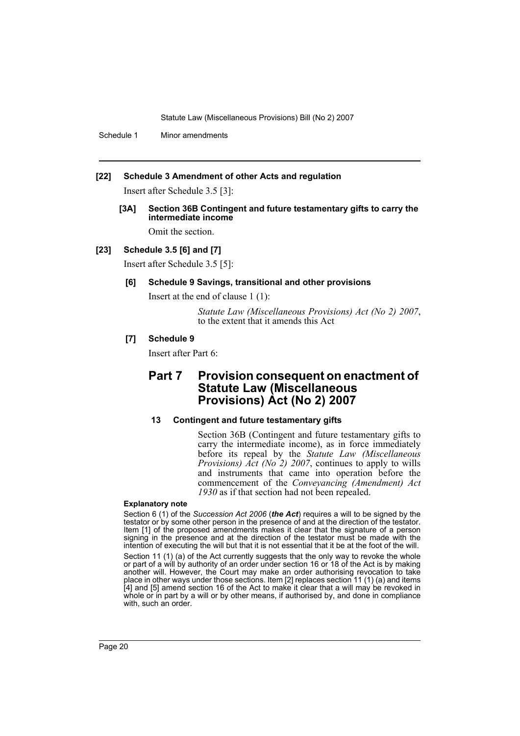Schedule 1 Minor amendments

### **[22] Schedule 3 Amendment of other Acts and regulation**

Insert after Schedule 3.5 [3]:

**[3A] Section 36B Contingent and future testamentary gifts to carry the intermediate income**

Omit the section.

### **[23] Schedule 3.5 [6] and [7]**

Insert after Schedule 3.5 [5]:

### **[6] Schedule 9 Savings, transitional and other provisions**

Insert at the end of clause 1 (1):

*Statute Law (Miscellaneous Provisions) Act (No 2) 2007*, to the extent that it amends this Act

### **[7] Schedule 9**

Insert after Part 6:

## **Part 7 Provision consequent on enactment of Statute Law (Miscellaneous Provisions) Act (No 2) 2007**

### **13 Contingent and future testamentary gifts**

Section 36B (Contingent and future testamentary gifts to carry the intermediate income), as in force immediately before its repeal by the *Statute Law (Miscellaneous Provisions) Act (No 2) 2007*, continues to apply to wills and instruments that came into operation before the commencement of the *Conveyancing (Amendment) Act 1930* as if that section had not been repealed.

#### **Explanatory note**

Section 6 (1) of the *Succession Act 2006* (*the Act*) requires a will to be signed by the testator or by some other person in the presence of and at the direction of the testator. Item [1] of the proposed amendments makes it clear that the signature of a person signing in the presence and at the direction of the testator must be made with the intention of executing the will but that it is not essential that it be at the foot of the will. Section 11 (1) (a) of the Act currently suggests that the only way to revoke the whole or part of a will by authority of an order under section 16 or 18 of the Act is by making another will. However, the Court may make an order authorising revocation to take place in other ways under those sections. Item [2] replaces section 11 (1) (a) and items [4] and [5] amend section 16 of the Act to make it clear that a will may be revoked in whole or in part by a will or by other means, if authorised by, and done in compliance with, such an order.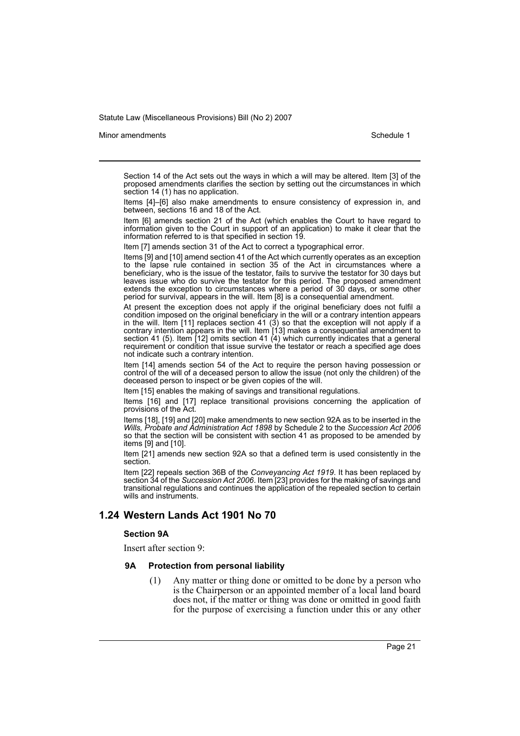#### Minor amendments **Schedule 1** and the state of the state 1 and the state of the Schedule 1

Section 14 of the Act sets out the ways in which a will may be altered. Item [3] of the proposed amendments clarifies the section by setting out the circumstances in which section 14 (1) has no application.

Items [4]–[6] also make amendments to ensure consistency of expression in, and between, sections 16 and 18 of the Act.

Item [6] amends section 21 of the Act (which enables the Court to have regard to information given to the Court in support of an application) to make it clear that the information referred to is that specified in section 19.

Item [7] amends section 31 of the Act to correct a typographical error.

Items [9] and [10] amend section 41 of the Act which currently operates as an exception to the lapse rule contained in section 35 of the Act in circumstances where a beneficiary, who is the issue of the testator, fails to survive the testator for 30 days but leaves issue who do survive the testator for this period. The proposed amendment extends the exception to circumstances where a period of 30 days, or some other period for survival, appears in the will. Item [8] is a consequential amendment.

At present the exception does not apply if the original beneficiary does not fulfil a condition imposed on the original beneficiary in the will or a contrary intention appears in the will. Item  $[11]$  replaces section 41  $(3)$  so that the exception will not apply if a contrary intention appears in the will. Item [13] makes a consequential amendment to section 41 (5). Item [12] omits section 41 (4) which currently indicates that a general requirement or condition that issue survive the testator or reach a specified age does not indicate such a contrary intention.

Item [14] amends section 54 of the Act to require the person having possession or control of the will of a deceased person to allow the issue (not only the children) of the deceased person to inspect or be given copies of the will.

Item [15] enables the making of savings and transitional regulations.

Items [16] and [17] replace transitional provisions concerning the application of provisions of the Act.

Items [18], [19] and [20] make amendments to new section 92A as to be inserted in the *Wills, Probate and Administration Act 1898* by Schedule 2 to the *Succession Act 2006* so that the section will be consistent with section 41 as proposed to be amended by items [9] and [10].

Item [21] amends new section 92A so that a defined term is used consistently in the section.

Item [22] repeals section 36B of the *Conveyancing Act 1919*. It has been replaced by section 34 of the *Succession Act 2006*. Item [23] provides for the making of savings and transitional regulations and continues the application of the repealed section to certain wills and instruments.

### **1.24 Western Lands Act 1901 No 70**

#### **Section 9A**

Insert after section 9:

#### **9A Protection from personal liability**

(1) Any matter or thing done or omitted to be done by a person who is the Chairperson or an appointed member of a local land board does not, if the matter or thing was done or omitted in good faith for the purpose of exercising a function under this or any other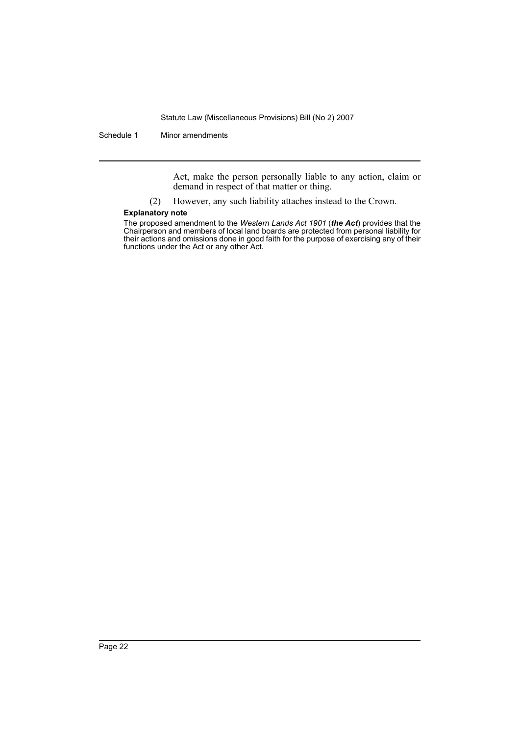Schedule 1 Minor amendments

Act, make the person personally liable to any action, claim or demand in respect of that matter or thing.

(2) However, any such liability attaches instead to the Crown.

#### **Explanatory note**

The proposed amendment to the *Western Lands Act 1901* (*the Act*) provides that the Chairperson and members of local land boards are protected from personal liability for their actions and omissions done in good faith for the purpose of exercising any of their functions under the Act or any other Act.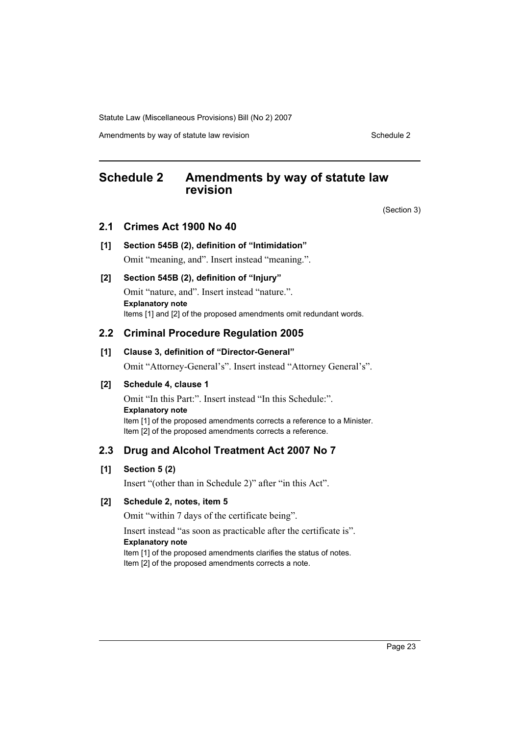Amendments by way of statute law revision Schedule 2 Schedule 2

## <span id="page-23-0"></span>**Schedule 2 Amendments by way of statute law revision**

(Section 3)

### **2.1 Crimes Act 1900 No 40**

### **[1] Section 545B (2), definition of "Intimidation"**

Omit "meaning, and". Insert instead "meaning.".

### **[2] Section 545B (2), definition of "Injury"**

Omit "nature, and". Insert instead "nature.". **Explanatory note** Items [1] and [2] of the proposed amendments omit redundant words.

## **2.2 Criminal Procedure Regulation 2005**

### **[1] Clause 3, definition of "Director-General"**

Omit "Attorney-General's". Insert instead "Attorney General's".

### **[2] Schedule 4, clause 1**

Omit "In this Part:". Insert instead "In this Schedule:". **Explanatory note** Item [1] of the proposed amendments corrects a reference to a Minister. Item [2] of the proposed amendments corrects a reference.

## **2.3 Drug and Alcohol Treatment Act 2007 No 7**

### **[1] Section 5 (2)**

Insert "(other than in Schedule 2)" after "in this Act".

### **[2] Schedule 2, notes, item 5**

Omit "within 7 days of the certificate being".

Insert instead "as soon as practicable after the certificate is". **Explanatory note** Item [1] of the proposed amendments clarifies the status of notes.

Item [2] of the proposed amendments corrects a note.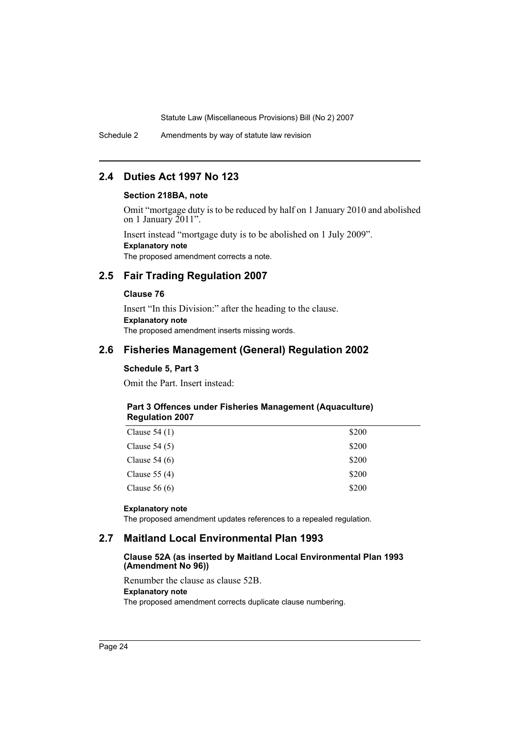Schedule 2 Amendments by way of statute law revision

## **2.4 Duties Act 1997 No 123**

### **Section 218BA, note**

Omit "mortgage duty is to be reduced by half on 1 January 2010 and abolished on 1 January 2011".

Insert instead "mortgage duty is to be abolished on 1 July 2009". **Explanatory note** The proposed amendment corrects a note.

## **2.5 Fair Trading Regulation 2007**

#### **Clause 76**

Insert "In this Division:" after the heading to the clause. **Explanatory note** The proposed amendment inserts missing words.

## **2.6 Fisheries Management (General) Regulation 2002**

### **Schedule 5, Part 3**

Omit the Part. Insert instead:

### **Part 3 Offences under Fisheries Management (Aquaculture) Regulation 2007**

| Clause $54(1)$ | \$200 |
|----------------|-------|
| Clause $54(5)$ | \$200 |
| Clause $54(6)$ | \$200 |
| Clause $55(4)$ | \$200 |
| Clause $56(6)$ | \$200 |
|                |       |

#### **Explanatory note**

The proposed amendment updates references to a repealed regulation.

### **2.7 Maitland Local Environmental Plan 1993**

#### **Clause 52A (as inserted by Maitland Local Environmental Plan 1993 (Amendment No 96))**

Renumber the clause as clause 52B. **Explanatory note** The proposed amendment corrects duplicate clause numbering.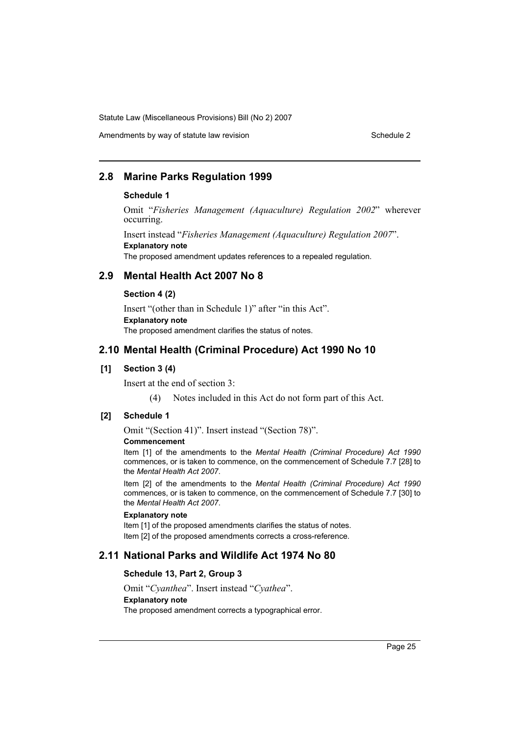## Amendments by way of statute law revision Schedule 2 Schedule 2

## **2.8 Marine Parks Regulation 1999**

#### **Schedule 1**

Omit "*Fisheries Management (Aquaculture) Regulation 2002*" wherever occurring.

Insert instead "*Fisheries Management (Aquaculture) Regulation 2007*". **Explanatory note** The proposed amendment updates references to a repealed regulation.

### **2.9 Mental Health Act 2007 No 8**

#### **Section 4 (2)**

Insert "(other than in Schedule 1)" after "in this Act". **Explanatory note** The proposed amendment clarifies the status of notes.

## **2.10 Mental Health (Criminal Procedure) Act 1990 No 10**

### **[1] Section 3 (4)**

Insert at the end of section 3:

(4) Notes included in this Act do not form part of this Act.

## **[2] Schedule 1**

Omit "(Section 41)". Insert instead "(Section 78)".

#### **Commencement**

Item [1] of the amendments to the *Mental Health (Criminal Procedure) Act 1990* commences, or is taken to commence, on the commencement of Schedule 7.7 [28] to the *Mental Health Act 2007*.

Item [2] of the amendments to the *Mental Health (Criminal Procedure) Act 1990* commences, or is taken to commence, on the commencement of Schedule 7.7 [30] to the *Mental Health Act 2007*.

#### **Explanatory note**

Item [1] of the proposed amendments clarifies the status of notes. Item [2] of the proposed amendments corrects a cross-reference.

## **2.11 National Parks and Wildlife Act 1974 No 80**

#### **Schedule 13, Part 2, Group 3**

Omit "*Cyanthea*". Insert instead "*Cyathea*". **Explanatory note** The proposed amendment corrects a typographical error.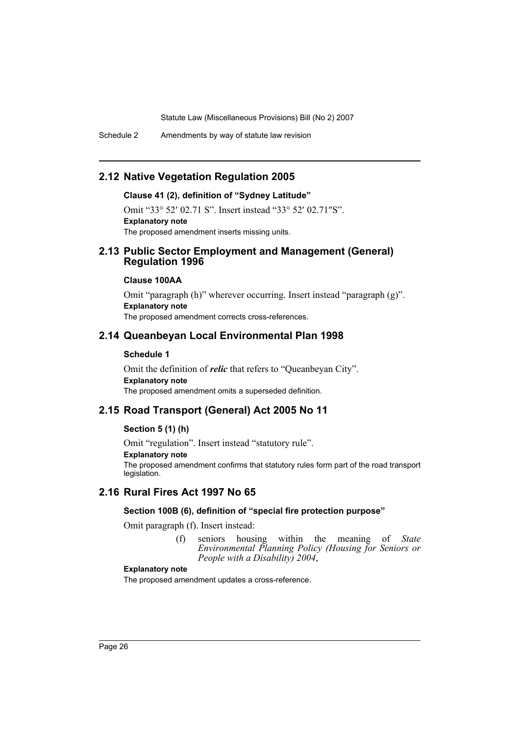Schedule 2 Amendments by way of statute law revision

## **2.12 Native Vegetation Regulation 2005**

### **Clause 41 (2), definition of "Sydney Latitude"**

Omit "33° 52′ 02.71 S". Insert instead "33° 52′ 02.71″S". **Explanatory note** The proposed amendment inserts missing units.

## **2.13 Public Sector Employment and Management (General) Regulation 1996**

### **Clause 100AA**

Omit "paragraph (h)" wherever occurring. Insert instead "paragraph (g)". **Explanatory note** The proposed amendment corrects cross-references.

## **2.14 Queanbeyan Local Environmental Plan 1998**

#### **Schedule 1**

Omit the definition of *relic* that refers to "Queanbeyan City". **Explanatory note** The proposed amendment omits a superseded definition.

## **2.15 Road Transport (General) Act 2005 No 11**

### **Section 5 (1) (h)**

Omit "regulation". Insert instead "statutory rule". **Explanatory note** The proposed amendment confirms that statutory rules form part of the road transport legislation.

## **2.16 Rural Fires Act 1997 No 65**

#### **Section 100B (6), definition of "special fire protection purpose"**

Omit paragraph (f). Insert instead:

(f) seniors housing within the meaning of *State Environmental Planning Policy (Housing for Seniors or People with a Disability) 2004*,

### **Explanatory note**

The proposed amendment updates a cross-reference.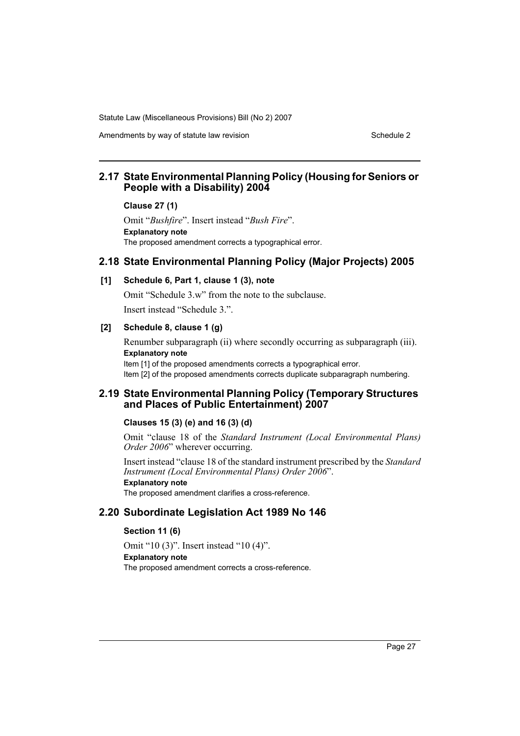Amendments by way of statute law revision Schedule 2 Schedule 2

## **2.17 State Environmental Planning Policy (Housing for Seniors or People with a Disability) 2004**

#### **Clause 27 (1)**

Omit "*Bushfire*". Insert instead "*Bush Fire*". **Explanatory note** The proposed amendment corrects a typographical error.

### **2.18 State Environmental Planning Policy (Major Projects) 2005**

### **[1] Schedule 6, Part 1, clause 1 (3), note**

Omit "Schedule 3.w" from the note to the subclause. Insert instead "Schedule 3.".

### **[2] Schedule 8, clause 1 (g)**

Renumber subparagraph (ii) where secondly occurring as subparagraph (iii). **Explanatory note**

Item [1] of the proposed amendments corrects a typographical error. Item [2] of the proposed amendments corrects duplicate subparagraph numbering.

### **2.19 State Environmental Planning Policy (Temporary Structures and Places of Public Entertainment) 2007**

#### **Clauses 15 (3) (e) and 16 (3) (d)**

Omit "clause 18 of the *Standard Instrument (Local Environmental Plans) Order 2006*" wherever occurring.

Insert instead "clause 18 of the standard instrument prescribed by the *Standard Instrument (Local Environmental Plans) Order 2006*".

### **Explanatory note**

The proposed amendment clarifies a cross-reference.

### **2.20 Subordinate Legislation Act 1989 No 146**

### **Section 11 (6)**

Omit "10 (3)". Insert instead "10 (4)". **Explanatory note** The proposed amendment corrects a cross-reference.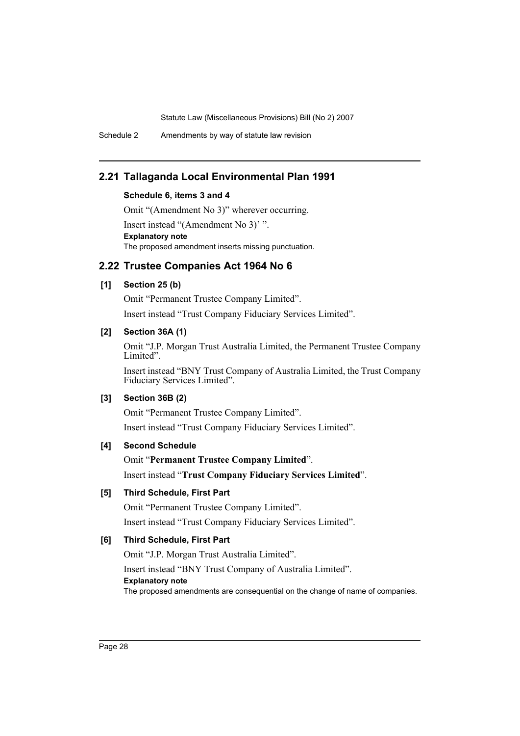Schedule 2 Amendments by way of statute law revision

## **2.21 Tallaganda Local Environmental Plan 1991**

### **Schedule 6, items 3 and 4**

Omit "(Amendment No 3)" wherever occurring.

Insert instead "(Amendment No 3)' ". **Explanatory note** The proposed amendment inserts missing punctuation.

## **2.22 Trustee Companies Act 1964 No 6**

### **[1] Section 25 (b)**

Omit "Permanent Trustee Company Limited".

Insert instead "Trust Company Fiduciary Services Limited".

### **[2] Section 36A (1)**

Omit "J.P. Morgan Trust Australia Limited, the Permanent Trustee Company Limited".

Insert instead "BNY Trust Company of Australia Limited, the Trust Company Fiduciary Services Limited".

### **[3] Section 36B (2)**

Omit "Permanent Trustee Company Limited". Insert instead "Trust Company Fiduciary Services Limited".

## **[4] Second Schedule**

Omit "**Permanent Trustee Company Limited**". Insert instead "**Trust Company Fiduciary Services Limited**".

## **[5] Third Schedule, First Part**

Omit "Permanent Trustee Company Limited". Insert instead "Trust Company Fiduciary Services Limited".

### **[6] Third Schedule, First Part**

Omit "J.P. Morgan Trust Australia Limited". Insert instead "BNY Trust Company of Australia Limited". **Explanatory note** The proposed amendments are consequential on the change of name of companies.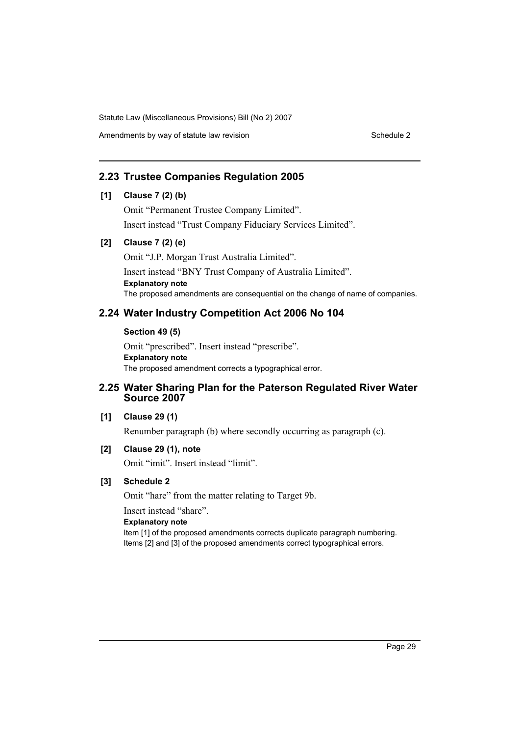Amendments by way of statute law revision Schedule 2 Schedule 2

## **2.23 Trustee Companies Regulation 2005**

## **[1] Clause 7 (2) (b)**

Omit "Permanent Trustee Company Limited". Insert instead "Trust Company Fiduciary Services Limited".

### **[2] Clause 7 (2) (e)**

Omit "J.P. Morgan Trust Australia Limited". Insert instead "BNY Trust Company of Australia Limited". **Explanatory note** The proposed amendments are consequential on the change of name of companies.

## **2.24 Water Industry Competition Act 2006 No 104**

### **Section 49 (5)**

Omit "prescribed". Insert instead "prescribe". **Explanatory note** The proposed amendment corrects a typographical error.

## **2.25 Water Sharing Plan for the Paterson Regulated River Water Source 2007**

### **[1] Clause 29 (1)**

Renumber paragraph (b) where secondly occurring as paragraph (c).

### **[2] Clause 29 (1), note**

Omit "imit". Insert instead "limit".

### **[3] Schedule 2**

Omit "hare" from the matter relating to Target 9b.

Insert instead "share".

#### **Explanatory note**

Item [1] of the proposed amendments corrects duplicate paragraph numbering. Items [2] and [3] of the proposed amendments correct typographical errors.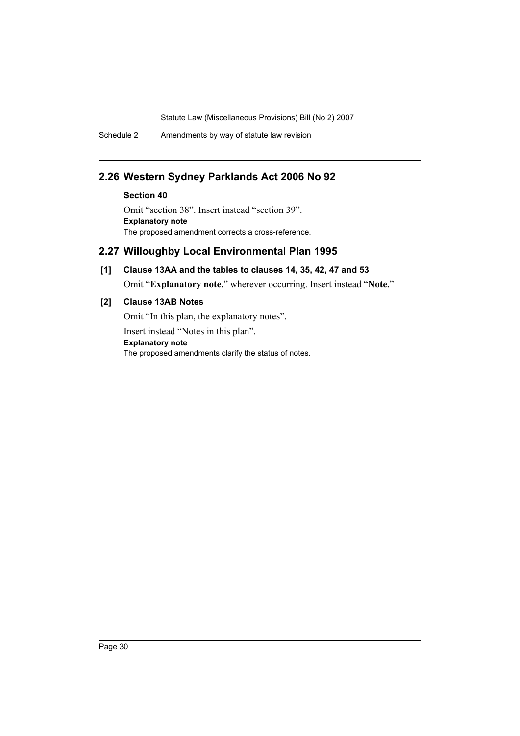Schedule 2 Amendments by way of statute law revision

## **2.26 Western Sydney Parklands Act 2006 No 92**

## **Section 40**

Omit "section 38". Insert instead "section 39". **Explanatory note** The proposed amendment corrects a cross-reference.

## **2.27 Willoughby Local Environmental Plan 1995**

## **[1] Clause 13AA and the tables to clauses 14, 35, 42, 47 and 53**

Omit "**Explanatory note.**" wherever occurring. Insert instead "**Note.**"

## **[2] Clause 13AB Notes**

Omit "In this plan, the explanatory notes". Insert instead "Notes in this plan". **Explanatory note** The proposed amendments clarify the status of notes.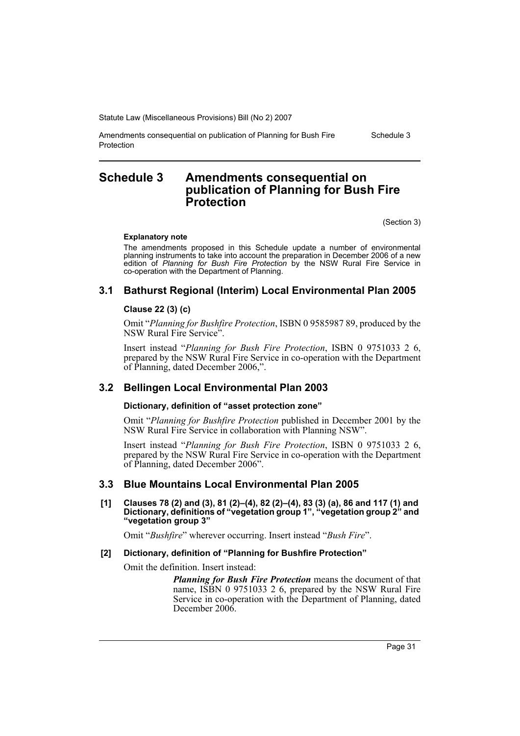Amendments consequential on publication of Planning for Bush Fire Protection

Schedule 3

## <span id="page-31-0"></span>**Schedule 3 Amendments consequential on publication of Planning for Bush Fire Protection**

(Section 3)

#### **Explanatory note**

The amendments proposed in this Schedule update a number of environmental planning instruments to take into account the preparation in December 2006 of a new edition of *Planning for Bush Fire Protection* by the NSW Rural Fire Service in co-operation with the Department of Planning.

## **3.1 Bathurst Regional (Interim) Local Environmental Plan 2005**

### **Clause 22 (3) (c)**

Omit "*Planning for Bushfire Protection*, ISBN 0 9585987 89, produced by the NSW Rural Fire Service".

Insert instead "*Planning for Bush Fire Protection*, ISBN 0 9751033 2 6, prepared by the NSW Rural Fire Service in co-operation with the Department of Planning, dated December 2006,".

## **3.2 Bellingen Local Environmental Plan 2003**

### **Dictionary, definition of "asset protection zone"**

Omit "*Planning for Bushfire Protection* published in December 2001 by the NSW Rural Fire Service in collaboration with Planning NSW".

Insert instead "*Planning for Bush Fire Protection*, ISBN 0 9751033 2 6, prepared by the NSW Rural Fire Service in co-operation with the Department of Planning, dated December 2006".

## **3.3 Blue Mountains Local Environmental Plan 2005**

**[1] Clauses 78 (2) and (3), 81 (2)–(4), 82 (2)–(4), 83 (3) (a), 86 and 117 (1) and Dictionary, definitions of "vegetation group 1", "vegetation group 2" and "vegetation group 3"**

Omit "*Bushfire*" wherever occurring. Insert instead "*Bush Fire*".

#### **[2] Dictionary, definition of "Planning for Bushfire Protection"**

Omit the definition. Insert instead:

*Planning for Bush Fire Protection* means the document of that name, ISBN 0 9751033 2 6, prepared by the NSW Rural Fire Service in co-operation with the Department of Planning, dated December 2006.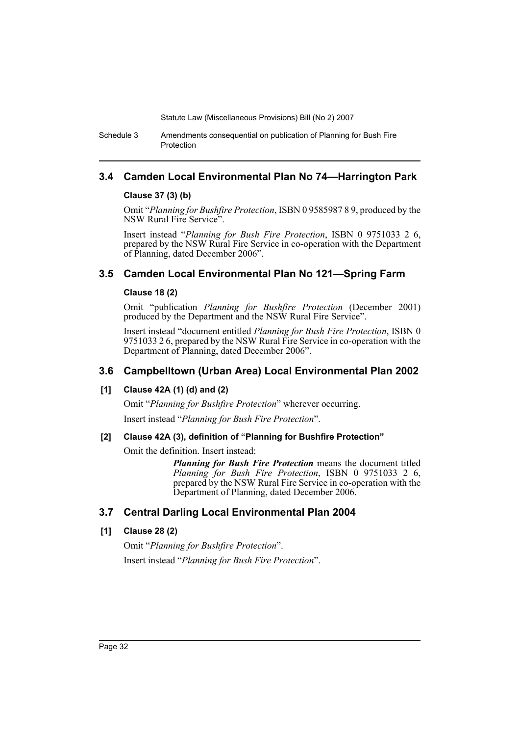Schedule 3 Amendments consequential on publication of Planning for Bush Fire Protection

## **3.4 Camden Local Environmental Plan No 74—Harrington Park**

### **Clause 37 (3) (b)**

Omit "*Planning for Bushfire Protection*, ISBN 0 9585987 8 9, produced by the NSW Rural Fire Service".

Insert instead "*Planning for Bush Fire Protection*, ISBN 0 9751033 2 6, prepared by the NSW Rural Fire Service in co-operation with the Department of Planning, dated December 2006".

## **3.5 Camden Local Environmental Plan No 121—Spring Farm**

### **Clause 18 (2)**

Omit "publication *Planning for Bushfire Protection* (December 2001) produced by the Department and the NSW Rural Fire Service".

Insert instead "document entitled *Planning for Bush Fire Protection*, ISBN 0 9751033 2 6, prepared by the NSW Rural Fire Service in co-operation with the Department of Planning, dated December 2006".

## **3.6 Campbelltown (Urban Area) Local Environmental Plan 2002**

### **[1] Clause 42A (1) (d) and (2)**

Omit "*Planning for Bushfire Protection*" wherever occurring.

Insert instead "*Planning for Bush Fire Protection*".

### **[2] Clause 42A (3), definition of "Planning for Bushfire Protection"**

Omit the definition. Insert instead:

*Planning for Bush Fire Protection* means the document titled *Planning for Bush Fire Protection*, ISBN 0 9751033 2 6, prepared by the NSW Rural Fire Service in co-operation with the Department of Planning, dated December 2006.

## **3.7 Central Darling Local Environmental Plan 2004**

## **[1] Clause 28 (2)**

Omit "*Planning for Bushfire Protection*". Insert instead "*Planning for Bush Fire Protection*".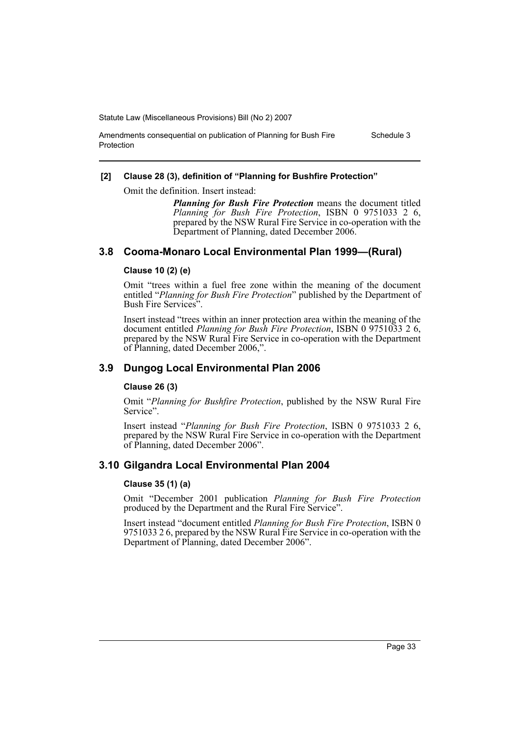Amendments consequential on publication of Planning for Bush Fire

# **[2] Clause 28 (3), definition of "Planning for Bushfire Protection"**

Omit the definition. Insert instead:

*Planning for Bush Fire Protection* means the document titled *Planning for Bush Fire Protection*, ISBN 0 9751033 2 6, prepared by the NSW Rural Fire Service in co-operation with the Department of Planning, dated December 2006.

## **3.8 Cooma-Monaro Local Environmental Plan 1999—(Rural)**

### **Clause 10 (2) (e)**

Protection

Omit "trees within a fuel free zone within the meaning of the document entitled "*Planning for Bush Fire Protection*" published by the Department of Bush Fire Services".

Insert instead "trees within an inner protection area within the meaning of the document entitled *Planning for Bush Fire Protection*, ISBN 0 9751033 2 6, prepared by the NSW Rural Fire Service in co-operation with the Department of Planning, dated December 2006,".

## **3.9 Dungog Local Environmental Plan 2006**

### **Clause 26 (3)**

Omit "*Planning for Bushfire Protection*, published by the NSW Rural Fire Service".

Insert instead "*Planning for Bush Fire Protection*, ISBN 0 9751033 2 6, prepared by the NSW Rural Fire Service in co-operation with the Department of Planning, dated December 2006".

## **3.10 Gilgandra Local Environmental Plan 2004**

### **Clause 35 (1) (a)**

Omit "December 2001 publication *Planning for Bush Fire Protection* produced by the Department and the Rural Fire Service".

Insert instead "document entitled *Planning for Bush Fire Protection*, ISBN 0 9751033 2 6, prepared by the NSW Rural Fire Service in co-operation with the Department of Planning, dated December 2006".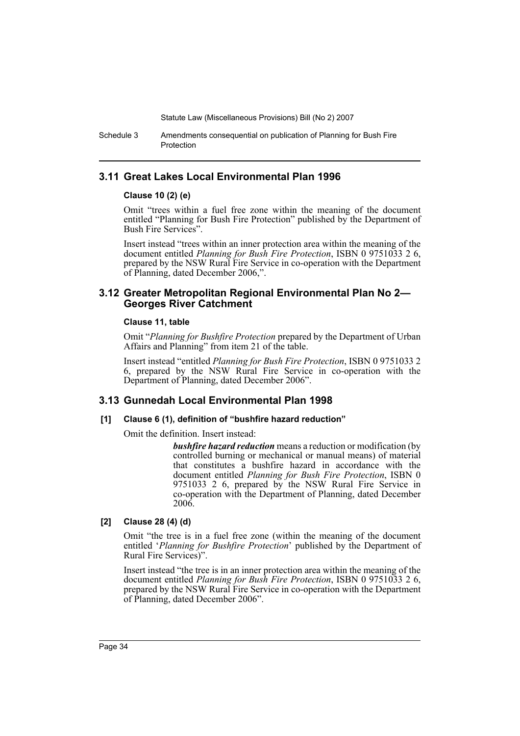Schedule 3 Amendments consequential on publication of Planning for Bush Fire Protection

## **3.11 Great Lakes Local Environmental Plan 1996**

### **Clause 10 (2) (e)**

Omit "trees within a fuel free zone within the meaning of the document entitled "Planning for Bush Fire Protection" published by the Department of Bush Fire Services".

Insert instead "trees within an inner protection area within the meaning of the document entitled *Planning for Bush Fire Protection*, ISBN 0 9751033 2 6, prepared by the NSW Rural Fire Service in co-operation with the Department of Planning, dated December 2006,".

### **3.12 Greater Metropolitan Regional Environmental Plan No 2— Georges River Catchment**

### **Clause 11, table**

Omit "*Planning for Bushfire Protection* prepared by the Department of Urban Affairs and Planning" from item 21 of the table.

Insert instead "entitled *Planning for Bush Fire Protection*, ISBN 0 9751033 2 6, prepared by the NSW Rural Fire Service in co-operation with the Department of Planning, dated December 2006".

## **3.13 Gunnedah Local Environmental Plan 1998**

### **[1] Clause 6 (1), definition of "bushfire hazard reduction"**

Omit the definition. Insert instead:

*bushfire hazard reduction* means a reduction or modification (by controlled burning or mechanical or manual means) of material that constitutes a bushfire hazard in accordance with the document entitled *Planning for Bush Fire Protection*, ISBN 0 9751033 2 6, prepared by the NSW Rural Fire Service in co-operation with the Department of Planning, dated December 2006.

### **[2] Clause 28 (4) (d)**

Omit "the tree is in a fuel free zone (within the meaning of the document entitled '*Planning for Bushfire Protection*' published by the Department of Rural Fire Services)".

Insert instead "the tree is in an inner protection area within the meaning of the document entitled *Planning for Bush Fire Protection*, ISBN 0 9751033 2 6, prepared by the NSW Rural Fire Service in co-operation with the Department of Planning, dated December 2006".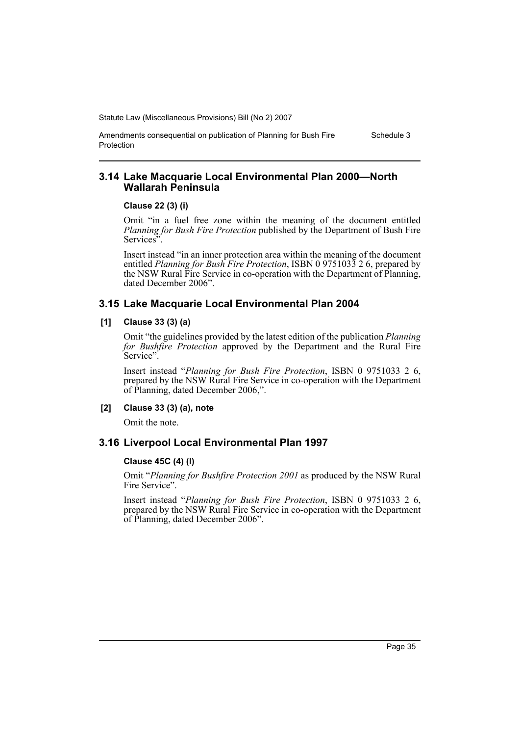Schedule 3

Amendments consequential on publication of Planning for Bush Fire Protection

## **3.14 Lake Macquarie Local Environmental Plan 2000—North Wallarah Peninsula**

#### **Clause 22 (3) (i)**

Omit "in a fuel free zone within the meaning of the document entitled *Planning for Bush Fire Protection* published by the Department of Bush Fire Services".

Insert instead "in an inner protection area within the meaning of the document entitled *Planning for Bush Fire Protection*, ISBN 0 9751033 2 6, prepared by the NSW Rural Fire Service in co-operation with the Department of Planning, dated December 2006".

## **3.15 Lake Macquarie Local Environmental Plan 2004**

### **[1] Clause 33 (3) (a)**

Omit "the guidelines provided by the latest edition of the publication *Planning for Bushfire Protection* approved by the Department and the Rural Fire Service".

Insert instead "*Planning for Bush Fire Protection*, ISBN 0 9751033 2 6, prepared by the NSW Rural Fire Service in co-operation with the Department of Planning, dated December 2006,".

### **[2] Clause 33 (3) (a), note**

Omit the note.

## **3.16 Liverpool Local Environmental Plan 1997**

#### **Clause 45C (4) (l)**

Omit "*Planning for Bushfire Protection 2001* as produced by the NSW Rural Fire Service".

Insert instead "*Planning for Bush Fire Protection*, ISBN 0 9751033 2 6, prepared by the NSW Rural Fire Service in co-operation with the Department of Planning, dated December 2006".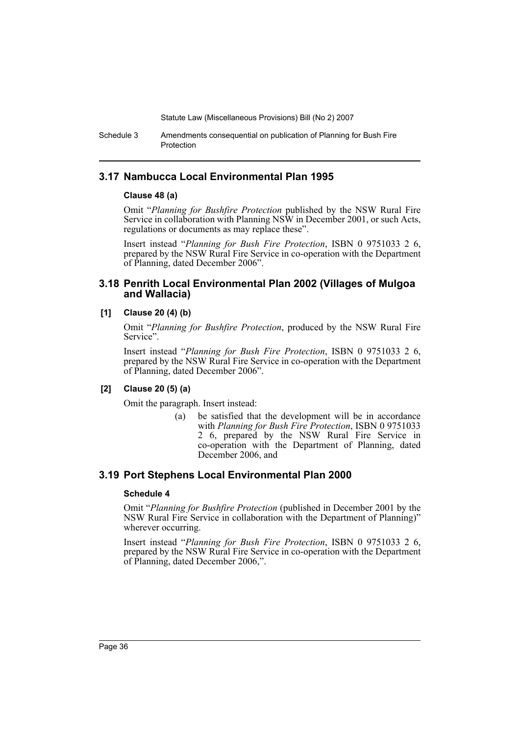Schedule 3 Amendments consequential on publication of Planning for Bush Fire Protection

## **3.17 Nambucca Local Environmental Plan 1995**

### **Clause 48 (a)**

Omit "*Planning for Bushfire Protection* published by the NSW Rural Fire Service in collaboration with Planning NSW in December 2001, or such Acts, regulations or documents as may replace these".

Insert instead "*Planning for Bush Fire Protection*, ISBN 0 9751033 2 6, prepared by the NSW Rural Fire Service in co-operation with the Department of Planning, dated December 2006".

## **3.18 Penrith Local Environmental Plan 2002 (Villages of Mulgoa and Wallacia)**

## **[1] Clause 20 (4) (b)**

Omit "*Planning for Bushfire Protection*, produced by the NSW Rural Fire Service".

Insert instead "*Planning for Bush Fire Protection*, ISBN 0 9751033 2 6, prepared by the NSW Rural Fire Service in co-operation with the Department of Planning, dated December 2006".

## **[2] Clause 20 (5) (a)**

Omit the paragraph. Insert instead:

(a) be satisfied that the development will be in accordance with *Planning for Bush Fire Protection*, ISBN 0 9751033 2 6, prepared by the NSW Rural Fire Service in co-operation with the Department of Planning, dated December 2006, and

## **3.19 Port Stephens Local Environmental Plan 2000**

## **Schedule 4**

Omit "*Planning for Bushfire Protection* (published in December 2001 by the NSW Rural Fire Service in collaboration with the Department of Planning)" wherever occurring.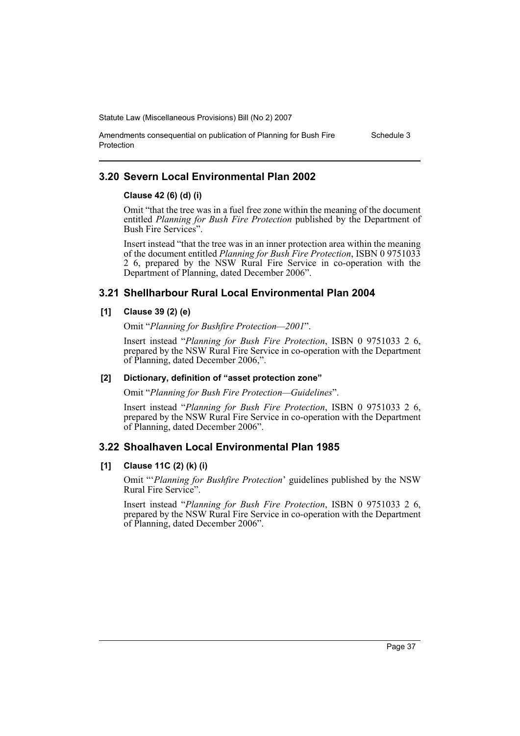Schedule 3

Amendments consequential on publication of Planning for Bush Fire

## **3.20 Severn Local Environmental Plan 2002**

## **Clause 42 (6) (d) (i)**

Protection

Omit "that the tree was in a fuel free zone within the meaning of the document entitled *Planning for Bush Fire Protection* published by the Department of Bush Fire Services".

Insert instead "that the tree was in an inner protection area within the meaning of the document entitled *Planning for Bush Fire Protection*, ISBN 0 9751033 2 6, prepared by the NSW Rural Fire Service in co-operation with the Department of Planning, dated December 2006".

## **3.21 Shellharbour Rural Local Environmental Plan 2004**

## **[1] Clause 39 (2) (e)**

Omit "*Planning for Bushfire Protection—2001*".

Insert instead "*Planning for Bush Fire Protection*, ISBN 0 9751033 2 6, prepared by the NSW Rural Fire Service in co-operation with the Department of Planning, dated December 2006,".

## **[2] Dictionary, definition of "asset protection zone"**

Omit "*Planning for Bush Fire Protection—Guidelines*".

Insert instead "*Planning for Bush Fire Protection*, ISBN 0 9751033 2 6, prepared by the NSW Rural Fire Service in co-operation with the Department of Planning, dated December 2006".

## **3.22 Shoalhaven Local Environmental Plan 1985**

## **[1] Clause 11C (2) (k) (i)**

Omit "'*Planning for Bushfire Protection*' guidelines published by the NSW Rural Fire Service".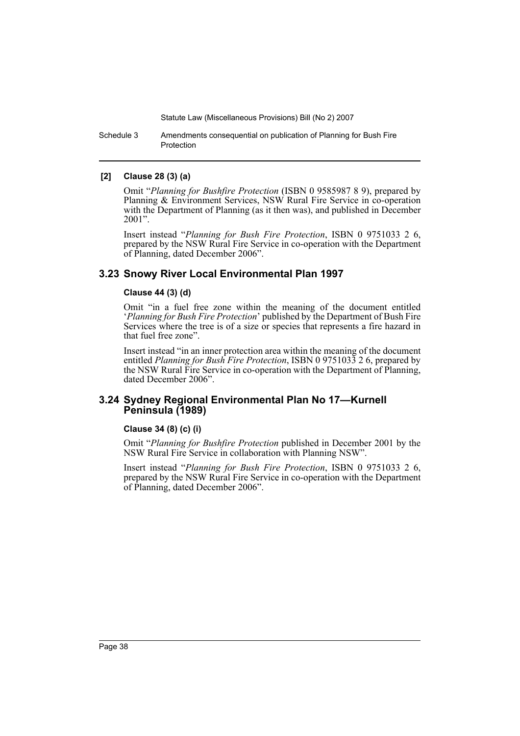Schedule 3 Amendments consequential on publication of Planning for Bush Fire Protection

## **[2] Clause 28 (3) (a)**

Omit "*Planning for Bushfire Protection* (ISBN 0 9585987 8 9), prepared by Planning & Environment Services, NSW Rural Fire Service in co-operation with the Department of Planning (as it then was), and published in December 2001".

Insert instead "*Planning for Bush Fire Protection*, ISBN 0 9751033 2 6, prepared by the NSW Rural Fire Service in co-operation with the Department of Planning, dated December 2006".

## **3.23 Snowy River Local Environmental Plan 1997**

#### **Clause 44 (3) (d)**

Omit "in a fuel free zone within the meaning of the document entitled '*Planning for Bush Fire Protection*' published by the Department of Bush Fire Services where the tree is of a size or species that represents a fire hazard in that fuel free zone".

Insert instead "in an inner protection area within the meaning of the document entitled *Planning for Bush Fire Protection*, ISBN 0 9751033 2 6, prepared by the NSW Rural Fire Service in co-operation with the Department of Planning, dated December 2006".

## **3.24 Sydney Regional Environmental Plan No 17—Kurnell Peninsula (1989)**

#### **Clause 34 (8) (c) (i)**

Omit "*Planning for Bushfire Protection* published in December 2001 by the NSW Rural Fire Service in collaboration with Planning NSW".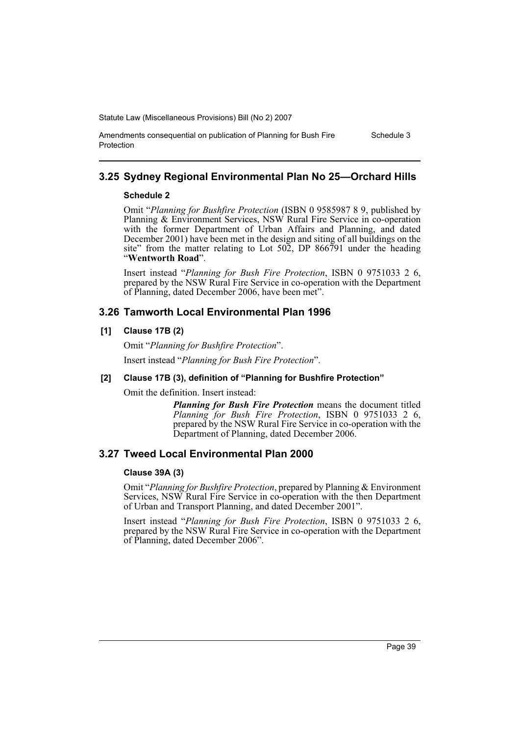#### Amendments consequential on publication of Planning for Bush Fire Protection

## **3.25 Sydney Regional Environmental Plan No 25—Orchard Hills**

## **Schedule 2**

Omit "*Planning for Bushfire Protection* (ISBN 0 9585987 8 9, published by Planning & Environment Services, NSW Rural Fire Service in co-operation with the former Department of Urban Affairs and Planning, and dated December 2001) have been met in the design and siting of all buildings on the site" from the matter relating to Lot 502, DP 866791 under the heading "**Wentworth Road**".

Insert instead "*Planning for Bush Fire Protection*, ISBN 0 9751033 2 6, prepared by the NSW Rural Fire Service in co-operation with the Department of Planning, dated December 2006, have been met".

## **3.26 Tamworth Local Environmental Plan 1996**

## **[1] Clause 17B (2)**

Omit "*Planning for Bushfire Protection*".

Insert instead "*Planning for Bush Fire Protection*".

## **[2] Clause 17B (3), definition of "Planning for Bushfire Protection"**

Omit the definition. Insert instead:

*Planning for Bush Fire Protection* means the document titled *Planning for Bush Fire Protection*, ISBN 0 9751033 2 6, prepared by the NSW Rural Fire Service in co-operation with the Department of Planning, dated December 2006.

## **3.27 Tweed Local Environmental Plan 2000**

## **Clause 39A (3)**

Omit "*Planning for Bushfire Protection*, prepared by Planning & Environment Services, NSW Rural Fire Service in co-operation with the then Department of Urban and Transport Planning, and dated December 2001".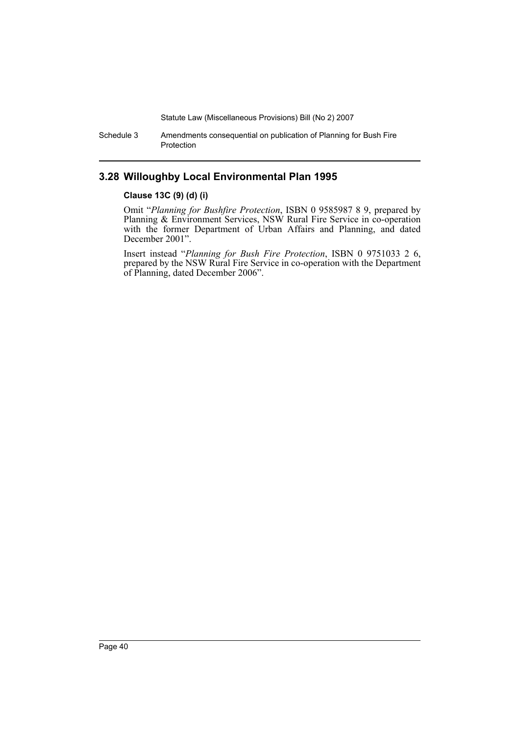Schedule 3 Amendments consequential on publication of Planning for Bush Fire Protection

## **3.28 Willoughby Local Environmental Plan 1995**

### **Clause 13C (9) (d) (i)**

Omit "*Planning for Bushfire Protection*, ISBN 0 9585987 8 9, prepared by Planning & Environment Services, NSW Rural Fire Service in co-operation with the former Department of Urban Affairs and Planning, and dated December 2001".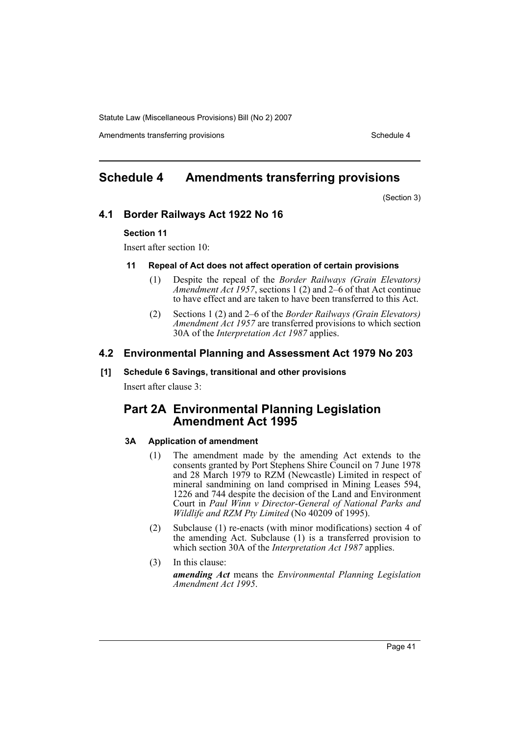Amendments transferring provisions and the state of the Schedule 4

## **Schedule 4 Amendments transferring provisions**

(Section 3)

## **4.1 Border Railways Act 1922 No 16**

#### **Section 11**

Insert after section 10:

#### **11 Repeal of Act does not affect operation of certain provisions**

- (1) Despite the repeal of the *Border Railways (Grain Elevators) Amendment Act 1957*, sections 1 (2) and 2–6 of that Act continue to have effect and are taken to have been transferred to this Act.
- (2) Sections 1 (2) and 2–6 of the *Border Railways (Grain Elevators) Amendment Act 1957* are transferred provisions to which section 30A of the *Interpretation Act 1987* applies.

## **4.2 Environmental Planning and Assessment Act 1979 No 203**

#### **[1] Schedule 6 Savings, transitional and other provisions**

Insert after clause 3:

## **Part 2A Environmental Planning Legislation Amendment Act 1995**

## **3A Application of amendment**

- (1) The amendment made by the amending Act extends to the consents granted by Port Stephens Shire Council on 7 June 1978 and 28 March 1979 to RZM (Newcastle) Limited in respect of mineral sandmining on land comprised in Mining Leases 594, 1226 and 744 despite the decision of the Land and Environment Court in *Paul Winn v Director-General of National Parks and Wildlife and RZM Pty Limited* (No 40209 of 1995).
- (2) Subclause (1) re-enacts (with minor modifications) section 4 of the amending Act. Subclause (1) is a transferred provision to which section 30A of the *Interpretation Act 1987* applies.
- (3) In this clause: *amending Act* means the *Environmental Planning Legislation Amendment Act 1995*.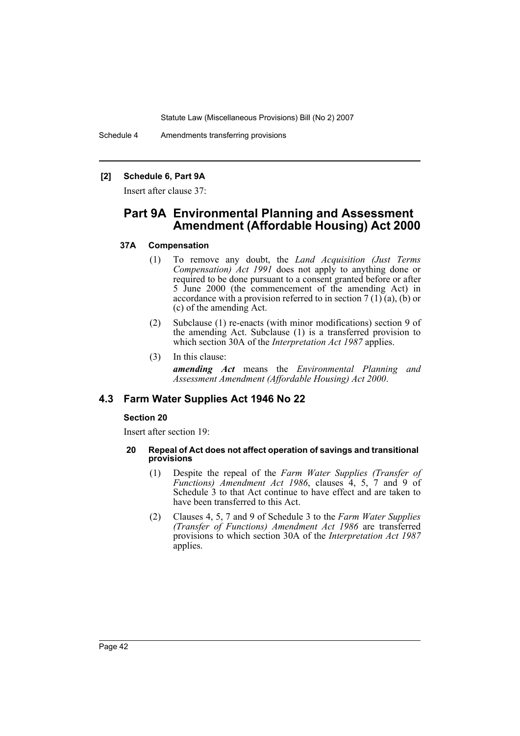Schedule 4 Amendments transferring provisions

### **[2] Schedule 6, Part 9A**

Insert after clause 37:

## **Part 9A Environmental Planning and Assessment Amendment (Affordable Housing) Act 2000**

### **37A Compensation**

- (1) To remove any doubt, the *Land Acquisition (Just Terms Compensation) Act 1991* does not apply to anything done or required to be done pursuant to a consent granted before or after 5 June 2000 (the commencement of the amending Act) in accordance with a provision referred to in section  $7(1)(a)$ , (b) or (c) of the amending Act.
- (2) Subclause (1) re-enacts (with minor modifications) section 9 of the amending Act. Subclause (1) is a transferred provision to which section 30A of the *Interpretation Act 1987* applies.
- (3) In this clause:

*amending Act* means the *Environmental Planning and Assessment Amendment (Affordable Housing) Act 2000*.

## **4.3 Farm Water Supplies Act 1946 No 22**

### **Section 20**

Insert after section 19:

#### **20 Repeal of Act does not affect operation of savings and transitional provisions**

- (1) Despite the repeal of the *Farm Water Supplies (Transfer of Functions) Amendment Act 1986*, clauses 4, 5, 7 and 9 of Schedule 3 to that Act continue to have effect and are taken to have been transferred to this Act.
- (2) Clauses 4, 5, 7 and 9 of Schedule 3 to the *Farm Water Supplies (Transfer of Functions) Amendment Act 1986* are transferred provisions to which section 30A of the *Interpretation Act 1987* applies.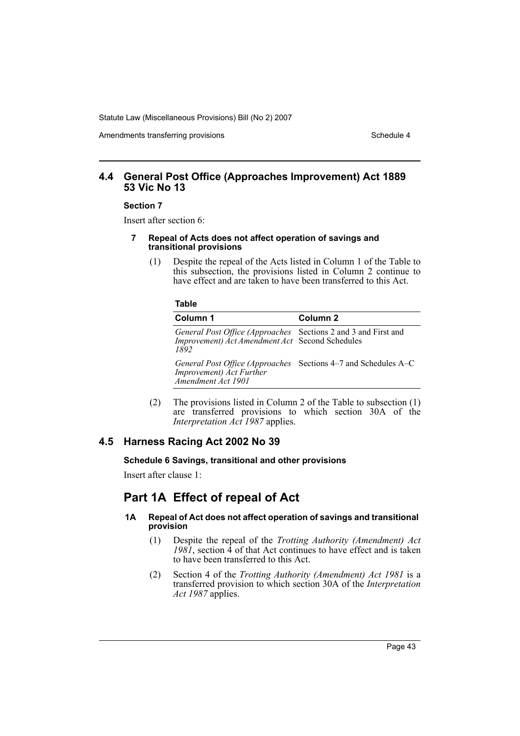Amendments transferring provisions and the state of the Schedule 4

## **4.4 General Post Office (Approaches Improvement) Act 1889 53 Vic No 13**

#### **Section 7**

Insert after section 6:

- **7 Repeal of Acts does not affect operation of savings and transitional provisions**
	- (1) Despite the repeal of the Acts listed in Column 1 of the Table to this subsection, the provisions listed in Column 2 continue to have effect and are taken to have been transferred to this Act.

#### **Table**

| Column 1                                                                                                                  | Column 2 |
|---------------------------------------------------------------------------------------------------------------------------|----------|
| General Post Office (Approaches Sections 2 and 3 and First and<br>Improvement) Act Amendment Act Second Schedules<br>1892 |          |
| General Post Office (Approaches Sections 4–7 and Schedules A–C<br>Improvement) Act Further<br>Amendment Act 1901          |          |

(2) The provisions listed in Column 2 of the Table to subsection (1) are transferred provisions to which section 30A of the *Interpretation Act 1987* applies.

## **4.5 Harness Racing Act 2002 No 39**

#### **Schedule 6 Savings, transitional and other provisions**

Insert after clause 1:

## **Part 1A Effect of repeal of Act**

### **1A Repeal of Act does not affect operation of savings and transitional provision**

- (1) Despite the repeal of the *Trotting Authority (Amendment) Act*  $1981$ , section  $\hat{4}$  of that Act continues to have effect and is taken to have been transferred to this Act.
- (2) Section 4 of the *Trotting Authority (Amendment) Act 1981* is a transferred provision to which section 30A of the *Interpretation Act 1987* applies.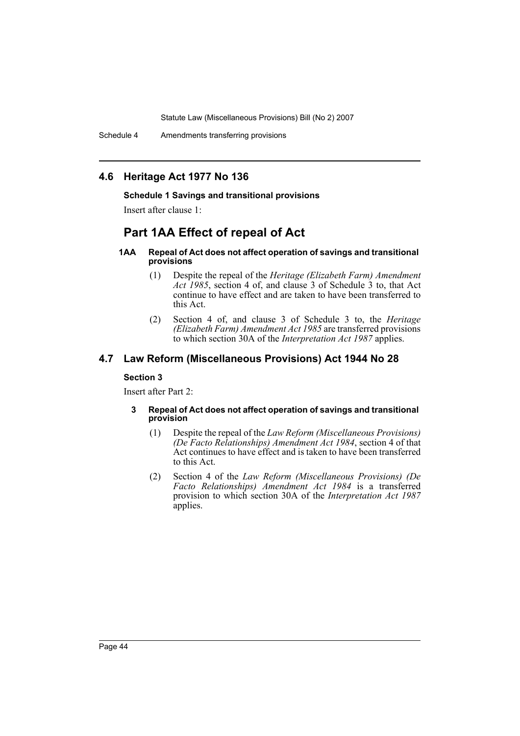## **4.6 Heritage Act 1977 No 136**

#### **Schedule 1 Savings and transitional provisions**

Insert after clause 1:

## **Part 1AA Effect of repeal of Act**

#### **1AA Repeal of Act does not affect operation of savings and transitional provisions**

- (1) Despite the repeal of the *Heritage (Elizabeth Farm) Amendment Act 1985*, section 4 of, and clause 3 of Schedule 3 to, that Act continue to have effect and are taken to have been transferred to this Act.
- (2) Section 4 of, and clause 3 of Schedule 3 to, the *Heritage (Elizabeth Farm) Amendment Act 1985* are transferred provisions to which section 30A of the *Interpretation Act 1987* applies.

## **4.7 Law Reform (Miscellaneous Provisions) Act 1944 No 28**

### **Section 3**

Insert after Part 2:

#### **3 Repeal of Act does not affect operation of savings and transitional provision**

- (1) Despite the repeal of the *Law Reform (Miscellaneous Provisions) (De Facto Relationships) Amendment Act 1984*, section 4 of that Act continues to have effect and is taken to have been transferred to this Act.
- (2) Section 4 of the *Law Reform (Miscellaneous Provisions) (De Facto Relationships) Amendment Act 1984* is a transferred provision to which section 30A of the *Interpretation Act 1987* applies.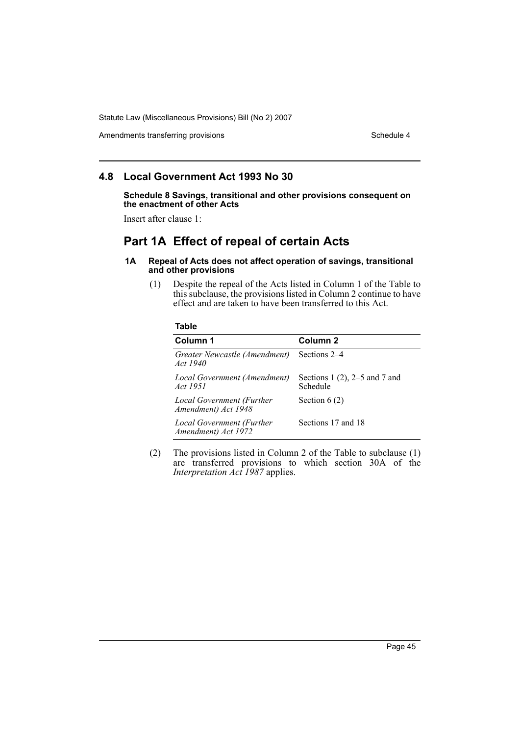Amendments transferring provisions and the state of the Schedule 4

## **4.8 Local Government Act 1993 No 30**

**Schedule 8 Savings, transitional and other provisions consequent on the enactment of other Acts**

Insert after clause 1:

## **Part 1A Effect of repeal of certain Acts**

#### **1A Repeal of Acts does not affect operation of savings, transitional and other provisions**

(1) Despite the repeal of the Acts listed in Column 1 of the Table to this subclause, the provisions listed in Column 2 continue to have effect and are taken to have been transferred to this Act.

### **Table**

| Column 1                                         | Column 2                                     |
|--------------------------------------------------|----------------------------------------------|
| Greater Newcastle (Amendment)<br><i>Act 1940</i> | Sections 2–4                                 |
| Local Government (Amendment)<br>Act 1951         | Sections 1 $(2)$ , 2–5 and 7 and<br>Schedule |
| Local Government (Further<br>Amendment) Act 1948 | Section $6(2)$                               |
| Local Government (Further<br>Amendment) Act 1972 | Sections 17 and 18                           |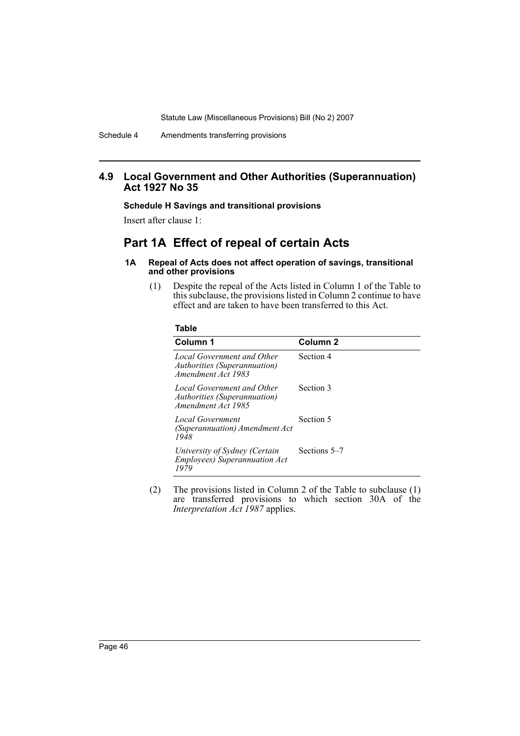## **4.9 Local Government and Other Authorities (Superannuation) Act 1927 No 35**

### **Schedule H Savings and transitional provisions**

Insert after clause 1:

## **Part 1A Effect of repeal of certain Acts**

#### **1A Repeal of Acts does not affect operation of savings, transitional and other provisions**

(1) Despite the repeal of the Acts listed in Column 1 of the Table to this subclause, the provisions listed in Column 2 continue to have effect and are taken to have been transferred to this Act.

|          | I  |          |
|----------|----|----------|
| ×<br>. . | ۰. | v.<br>۰, |

| Column 1                                                                         | Column <sub>2</sub> |
|----------------------------------------------------------------------------------|---------------------|
| Local Government and Other<br>Authorities (Superannuation)<br>Amendment Act 1983 | Section 4           |
| Local Government and Other<br>Authorities (Superannuation)<br>Amendment Act 1985 | Section 3           |
| Local Government<br>(Superannuation) Amendment Act<br>1948                       | Section 5           |
| University of Sydney (Certain<br><b>Employees</b> ) Superannuation Act<br>1979   | Sections 5–7        |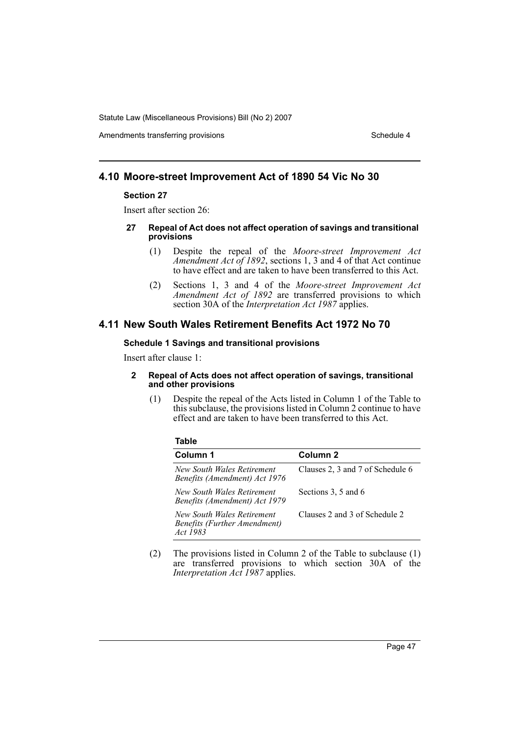Amendments transferring provisions and the state of the Schedule 4

## **4.10 Moore-street Improvement Act of 1890 54 Vic No 30**

#### **Section 27**

Insert after section 26:

#### **27 Repeal of Act does not affect operation of savings and transitional provisions**

- (1) Despite the repeal of the *Moore-street Improvement Act Amendment Act of 1892*, sections 1, 3 and 4 of that Act continue to have effect and are taken to have been transferred to this Act.
- (2) Sections 1, 3 and 4 of the *Moore-street Improvement Act Amendment Act of 1892* are transferred provisions to which section 30A of the *Interpretation Act 1987* applies.

## **4.11 New South Wales Retirement Benefits Act 1972 No 70**

### **Schedule 1 Savings and transitional provisions**

Insert after clause 1:

**Table** 

#### **2 Repeal of Acts does not affect operation of savings, transitional and other provisions**

(1) Despite the repeal of the Acts listed in Column 1 of the Table to this subclause, the provisions listed in Column 2 continue to have effect and are taken to have been transferred to this Act.

| rable                                                                  |                                  |
|------------------------------------------------------------------------|----------------------------------|
| Column 1                                                               | Column 2                         |
| New South Wales Retirement<br>Benefits (Amendment) Act 1976            | Clauses 2, 3 and 7 of Schedule 6 |
| New South Wales Retirement<br>Benefits (Amendment) Act 1979            | Sections 3, 5 and 6              |
| New South Wales Retirement<br>Benefits (Further Amendment)<br>Act 1983 | Clauses 2 and 3 of Schedule 2    |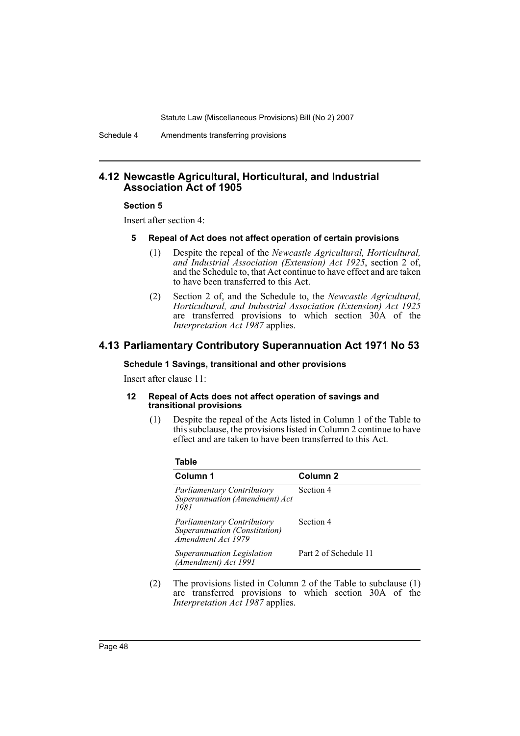Schedule 4 Amendments transferring provisions

## **4.12 Newcastle Agricultural, Horticultural, and Industrial Association Act of 1905**

#### **Section 5**

Insert after section 4:

#### **5 Repeal of Act does not affect operation of certain provisions**

- (1) Despite the repeal of the *Newcastle Agricultural, Horticultural, and Industrial Association (Extension) Act 1925*, section 2 of, and the Schedule to, that Act continue to have effect and are taken to have been transferred to this Act.
- (2) Section 2 of, and the Schedule to, the *Newcastle Agricultural, Horticultural, and Industrial Association (Extension) Act 1925* are transferred provisions to which section 30A of the *Interpretation Act 1987* applies.

## **4.13 Parliamentary Contributory Superannuation Act 1971 No 53**

#### **Schedule 1 Savings, transitional and other provisions**

Insert after clause 11:

#### **12 Repeal of Acts does not affect operation of savings and transitional provisions**

(1) Despite the repeal of the Acts listed in Column 1 of the Table to this subclause, the provisions listed in Column 2 continue to have effect and are taken to have been transferred to this Act.

| . .<br>×<br>۰,<br>×<br>۰, |
|---------------------------|
|---------------------------|

| Column 1                                                                                 | Column <sub>2</sub>   |
|------------------------------------------------------------------------------------------|-----------------------|
| <b>Parliamentary Contributory</b><br>Superannuation (Amendment) Act<br>1981              | Section 4             |
| <b>Parliamentary Contributory</b><br>Superannuation (Constitution)<br>Amendment Act 1979 | Section 4             |
| Superannuation Legislation<br>(Amendment) Act 1991                                       | Part 2 of Schedule 11 |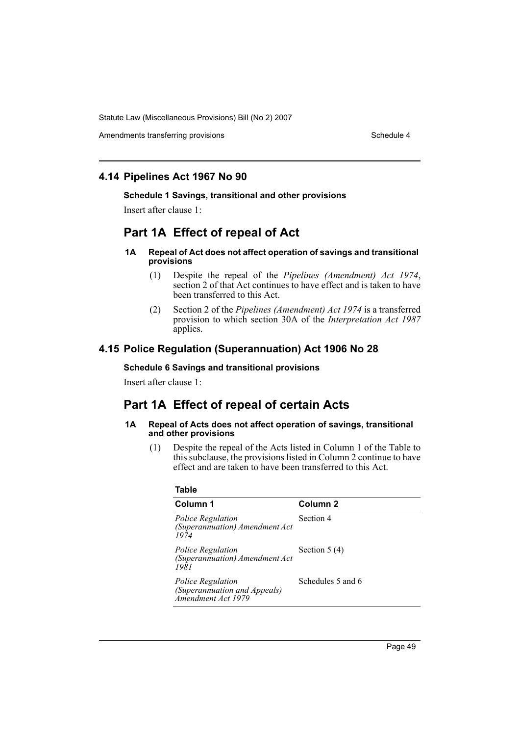Amendments transferring provisions and the state of the Schedule 4

## **4.14 Pipelines Act 1967 No 90**

#### **Schedule 1 Savings, transitional and other provisions**

Insert after clause 1:

# **Part 1A Effect of repeal of Act**

### **1A Repeal of Act does not affect operation of savings and transitional provisions**

- (1) Despite the repeal of the *Pipelines (Amendment) Act 1974*, section 2 of that Act continues to have effect and is taken to have been transferred to this Act.
- (2) Section 2 of the *Pipelines (Amendment) Act 1974* is a transferred provision to which section 30A of the *Interpretation Act 1987* applies.

## **4.15 Police Regulation (Superannuation) Act 1906 No 28**

### **Schedule 6 Savings and transitional provisions**

Insert after clause 1:

# **Part 1A Effect of repeal of certain Acts**

#### **1A Repeal of Acts does not affect operation of savings, transitional and other provisions**

(1) Despite the repeal of the Acts listed in Column 1 of the Table to this subclause, the provisions listed in Column 2 continue to have effect and are taken to have been transferred to this Act.

| Column 1                                                                       | Column <sub>2</sub> |
|--------------------------------------------------------------------------------|---------------------|
| Police Regulation<br>(Superannuation) Amendment Act<br>1974                    | Section 4           |
| Police Regulation<br>(Superannuation) Amendment Act<br>1981                    | Section $5(4)$      |
| <i>Police Regulation</i><br>(Superannuation and Appeals)<br>Amendment Act 1979 | Schedules 5 and 6   |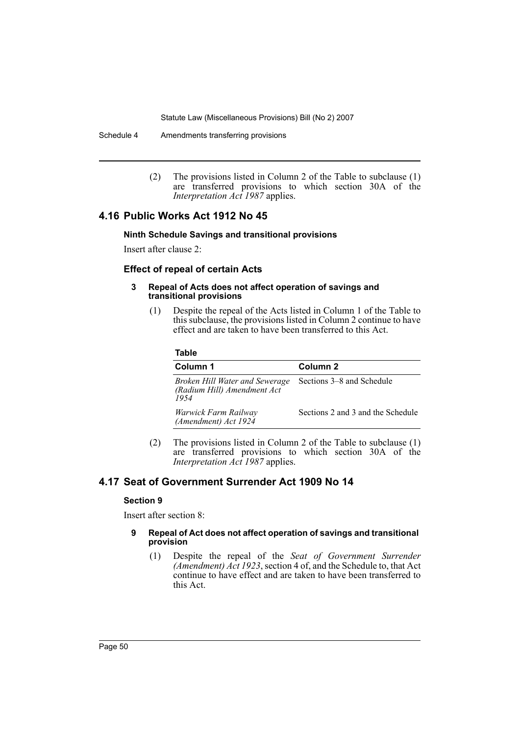Schedule 4 Amendments transferring provisions

(2) The provisions listed in Column 2 of the Table to subclause (1) are transferred provisions to which section 30A of the *Interpretation Act 1987* applies.

## **4.16 Public Works Act 1912 No 45**

#### **Ninth Schedule Savings and transitional provisions**

Insert after clause 2:

## **Effect of repeal of certain Acts**

#### **3 Repeal of Acts does not affect operation of savings and transitional provisions**

(1) Despite the repeal of the Acts listed in Column 1 of the Table to this subclause, the provisions listed in Column 2 continue to have effect and are taken to have been transferred to this Act.

### **Table**

| Column 1                                                              | Column 2                          |
|-----------------------------------------------------------------------|-----------------------------------|
| Broken Hill Water and Sewerage<br>(Radium Hill) Amendment Act<br>1954 | Sections 3–8 and Schedule         |
| Warwick Farm Railway<br>(Amendment) Act 1924                          | Sections 2 and 3 and the Schedule |

(2) The provisions listed in Column 2 of the Table to subclause (1) are transferred provisions to which section 30A of the *Interpretation Act 1987* applies.

## **4.17 Seat of Government Surrender Act 1909 No 14**

#### **Section 9**

Insert after section 8:

#### **9 Repeal of Act does not affect operation of savings and transitional provision**

(1) Despite the repeal of the *Seat of Government Surrender (Amendment) Act 1923*, section 4 of, and the Schedule to, that Act continue to have effect and are taken to have been transferred to this Act.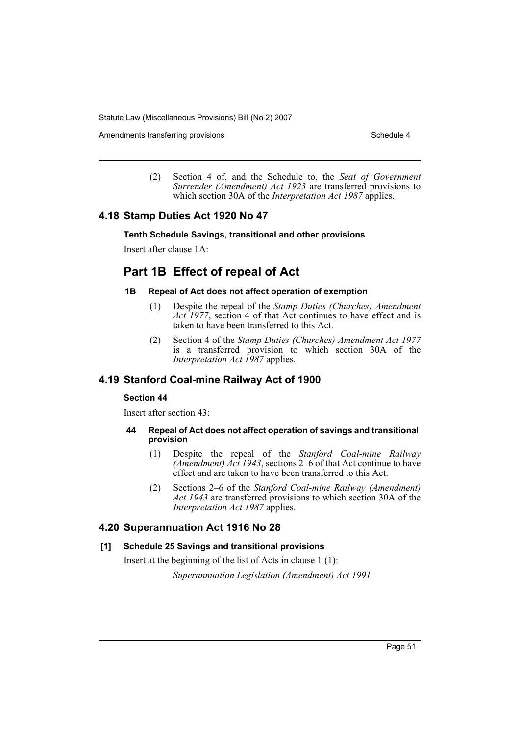Amendments transferring provisions and the state of the Schedule 4

(2) Section 4 of, and the Schedule to, the *Seat of Government Surrender (Amendment) Act 1923* are transferred provisions to which section 30A of the *Interpretation Act 1987* applies.

## **4.18 Stamp Duties Act 1920 No 47**

#### **Tenth Schedule Savings, transitional and other provisions**

Insert after clause 1A:

## **Part 1B Effect of repeal of Act**

#### **1B Repeal of Act does not affect operation of exemption**

- (1) Despite the repeal of the *Stamp Duties (Churches) Amendment Act 1977*, section 4 of that Act continues to have effect and is taken to have been transferred to this Act.
- (2) Section 4 of the *Stamp Duties (Churches) Amendment Act 1977* is a transferred provision to which section 30A of the *Interpretation Act 1987* applies.

## **4.19 Stanford Coal-mine Railway Act of 1900**

### **Section 44**

Insert after section 43:

#### **44 Repeal of Act does not affect operation of savings and transitional provision**

- (1) Despite the repeal of the *Stanford Coal-mine Railway (Amendment) Act 1943*, sections 2–6 of that Act continue to have effect and are taken to have been transferred to this Act.
- (2) Sections 2–6 of the *Stanford Coal-mine Railway (Amendment) Act 1943* are transferred provisions to which section 30A of the *Interpretation Act 1987* applies.

## **4.20 Superannuation Act 1916 No 28**

#### **[1] Schedule 25 Savings and transitional provisions**

Insert at the beginning of the list of Acts in clause 1 (1):

*Superannuation Legislation (Amendment) Act 1991*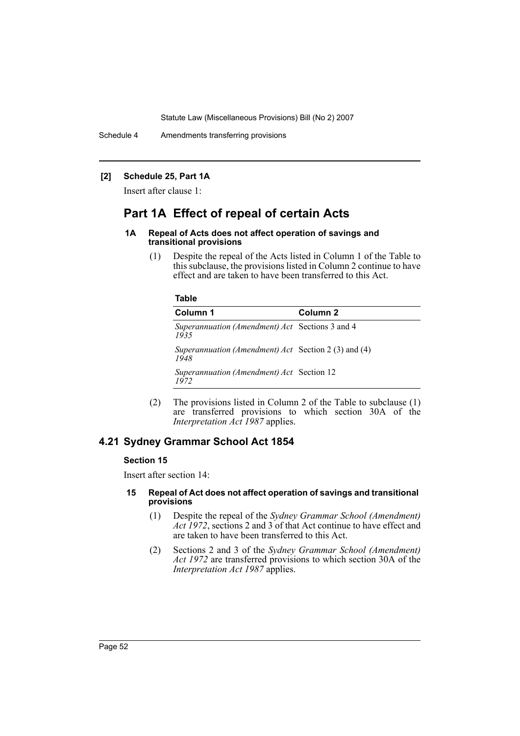Schedule 4 Amendments transferring provisions

### **[2] Schedule 25, Part 1A**

Insert after clause 1:

## **Part 1A Effect of repeal of certain Acts**

#### **1A Repeal of Acts does not affect operation of savings and transitional provisions**

(1) Despite the repeal of the Acts listed in Column 1 of the Table to this subclause, the provisions listed in Column 2 continue to have effect and are taken to have been transferred to this Act.

#### **Table**

| Column 1                                                       | Column 2 |
|----------------------------------------------------------------|----------|
| <i>Superannuation (Amendment) Act</i> Sections 3 and 4<br>1935 |          |
| Superannuation (Amendment) Act Section 2 (3) and (4)<br>1948   |          |
| Superannuation (Amendment) Act Section 12<br>1972              |          |

(2) The provisions listed in Column 2 of the Table to subclause (1) are transferred provisions to which section 30A of the *Interpretation Act 1987* applies.

## **4.21 Sydney Grammar School Act 1854**

## **Section 15**

Insert after section 14:

#### **15 Repeal of Act does not affect operation of savings and transitional provisions**

- (1) Despite the repeal of the *Sydney Grammar School (Amendment) Act 1972*, sections 2 and 3 of that Act continue to have effect and are taken to have been transferred to this Act.
- (2) Sections 2 and 3 of the *Sydney Grammar School (Amendment) Act 1972* are transferred provisions to which section 30A of the *Interpretation Act 1987* applies.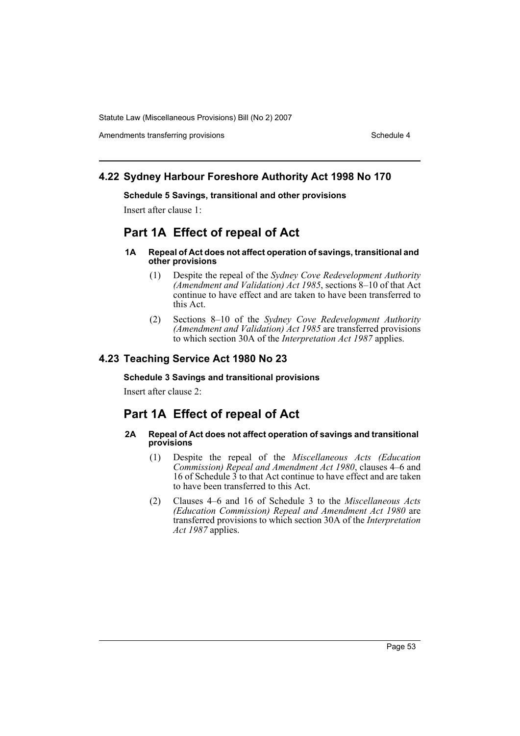Amendments transferring provisions Schedule 4

## **4.22 Sydney Harbour Foreshore Authority Act 1998 No 170**

#### **Schedule 5 Savings, transitional and other provisions**

Insert after clause 1:

## **Part 1A Effect of repeal of Act**

#### **1A Repeal of Act does not affect operation of savings, transitional and other provisions**

- (1) Despite the repeal of the *Sydney Cove Redevelopment Authority (Amendment and Validation) Act 1985*, sections 8–10 of that Act continue to have effect and are taken to have been transferred to this Act.
- (2) Sections 8–10 of the *Sydney Cove Redevelopment Authority (Amendment and Validation) Act 1985* are transferred provisions to which section 30A of the *Interpretation Act 1987* applies.

## **4.23 Teaching Service Act 1980 No 23**

## **Schedule 3 Savings and transitional provisions**

Insert after clause 2:

## **Part 1A Effect of repeal of Act**

#### **2A Repeal of Act does not affect operation of savings and transitional provisions**

- (1) Despite the repeal of the *Miscellaneous Acts (Education Commission) Repeal and Amendment Act 1980*, clauses 4–6 and 16 of Schedule  $\overline{3}$  to that Act continue to have effect and are taken to have been transferred to this Act.
- (2) Clauses 4–6 and 16 of Schedule 3 to the *Miscellaneous Acts (Education Commission) Repeal and Amendment Act 1980* are transferred provisions to which section 30A of the *Interpretation Act 1987* applies.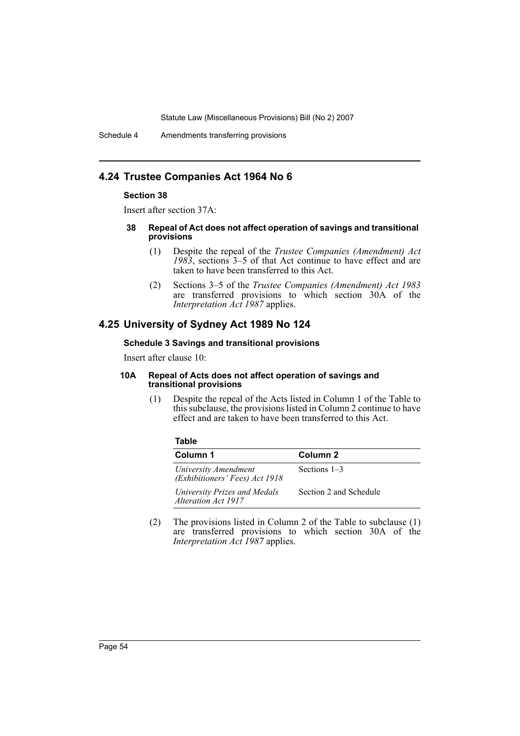Schedule 4 Amendments transferring provisions

## **4.24 Trustee Companies Act 1964 No 6**

#### **Section 38**

Insert after section 37A:

#### **38 Repeal of Act does not affect operation of savings and transitional provisions**

- (1) Despite the repeal of the *Trustee Companies (Amendment) Act 1983*, sections 3–5 of that Act continue to have effect and are taken to have been transferred to this Act.
- (2) Sections 3–5 of the *Trustee Companies (Amendment) Act 1983* are transferred provisions to which section 30A of the *Interpretation Act 1987* applies.

## **4.25 University of Sydney Act 1989 No 124**

#### **Schedule 3 Savings and transitional provisions**

Insert after clause 10:

**Table**

#### **10A Repeal of Acts does not affect operation of savings and transitional provisions**

(1) Despite the repeal of the Acts listed in Column 1 of the Table to this subclause, the provisions listed in Column 2 continue to have effect and are taken to have been transferred to this Act.

| Column 1                                               | Column 2               |
|--------------------------------------------------------|------------------------|
| University Amendment<br>(Exhibitioners' Fees) Act 1918 | Sections 1–3           |
| University Prizes and Medals<br>Alteration Act 1917    | Section 2 and Schedule |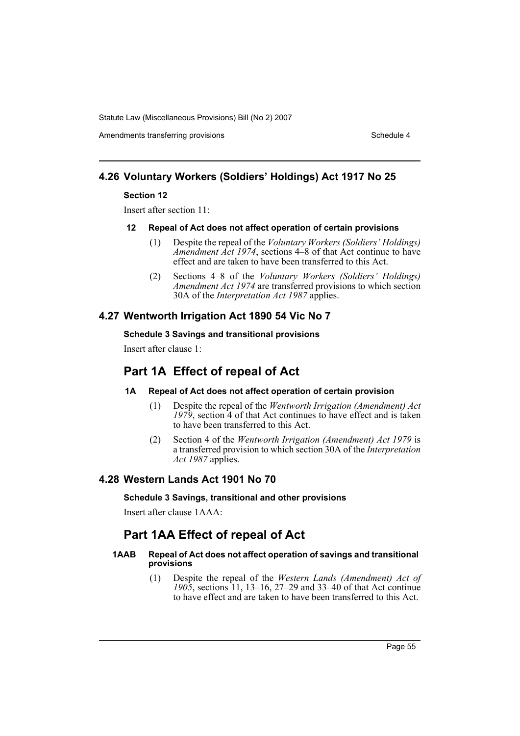Amendments transferring provisions Schedule 4

## **4.26 Voluntary Workers (Soldiers' Holdings) Act 1917 No 25**

### **Section 12**

Insert after section 11:

### **12 Repeal of Act does not affect operation of certain provisions**

- (1) Despite the repeal of the *Voluntary Workers (Soldiers' Holdings) Amendment Act 1974*, sections 4–8 of that Act continue to have effect and are taken to have been transferred to this Act.
- (2) Sections 4–8 of the *Voluntary Workers (Soldiers' Holdings) Amendment Act 1974* are transferred provisions to which section 30A of the *Interpretation Act 1987* applies.

## **4.27 Wentworth Irrigation Act 1890 54 Vic No 7**

## **Schedule 3 Savings and transitional provisions**

Insert after clause 1:

## **Part 1A Effect of repeal of Act**

## **1A Repeal of Act does not affect operation of certain provision**

- (1) Despite the repeal of the *Wentworth Irrigation (Amendment) Act 1979*, section 4 of that Act continues to have effect and is taken to have been transferred to this Act.
- (2) Section 4 of the *Wentworth Irrigation (Amendment) Act 1979* is a transferred provision to which section 30A of the *Interpretation Act 1987* applies.

## **4.28 Western Lands Act 1901 No 70**

#### **Schedule 3 Savings, transitional and other provisions**

Insert after clause 1AAA:

## **Part 1AA Effect of repeal of Act**

### **1AAB Repeal of Act does not affect operation of savings and transitional provisions**

(1) Despite the repeal of the *Western Lands (Amendment) Act of 1905*, sections 11, 13–16, 27–29 and 33–40 of that Act continue to have effect and are taken to have been transferred to this Act.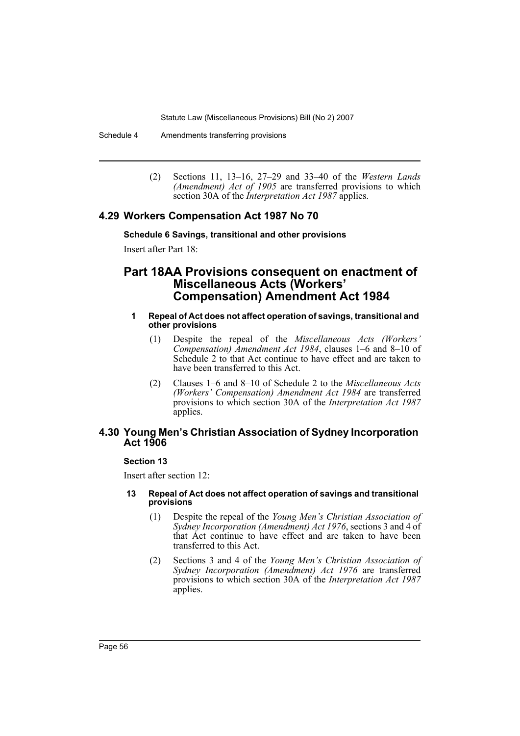Schedule 4 Amendments transferring provisions

(2) Sections 11, 13–16, 27–29 and 33–40 of the *Western Lands (Amendment) Act of 1905* are transferred provisions to which section 30A of the *Interpretation Act 1987* applies.

## **4.29 Workers Compensation Act 1987 No 70**

## **Schedule 6 Savings, transitional and other provisions**

Insert after Part 18:

## **Part 18AA Provisions consequent on enactment of Miscellaneous Acts (Workers' Compensation) Amendment Act 1984**

#### **1 Repeal of Act does not affect operation of savings, transitional and other provisions**

- (1) Despite the repeal of the *Miscellaneous Acts (Workers' Compensation) Amendment Act 1984*, clauses 1–6 and 8–10 of Schedule 2 to that Act continue to have effect and are taken to have been transferred to this Act.
- (2) Clauses 1–6 and 8–10 of Schedule 2 to the *Miscellaneous Acts (Workers' Compensation) Amendment Act 1984* are transferred provisions to which section 30A of the *Interpretation Act 1987* applies.

## **4.30 Young Men's Christian Association of Sydney Incorporation Act 1906**

### **Section 13**

Insert after section 12:

#### **13 Repeal of Act does not affect operation of savings and transitional provisions**

- (1) Despite the repeal of the *Young Men's Christian Association of Sydney Incorporation (Amendment) Act 1976*, sections 3 and 4 of that Act continue to have effect and are taken to have been transferred to this Act.
- (2) Sections 3 and 4 of the *Young Men's Christian Association of Sydney Incorporation (Amendment) Act 1976* are transferred provisions to which section 30A of the *Interpretation Act 1987* applies.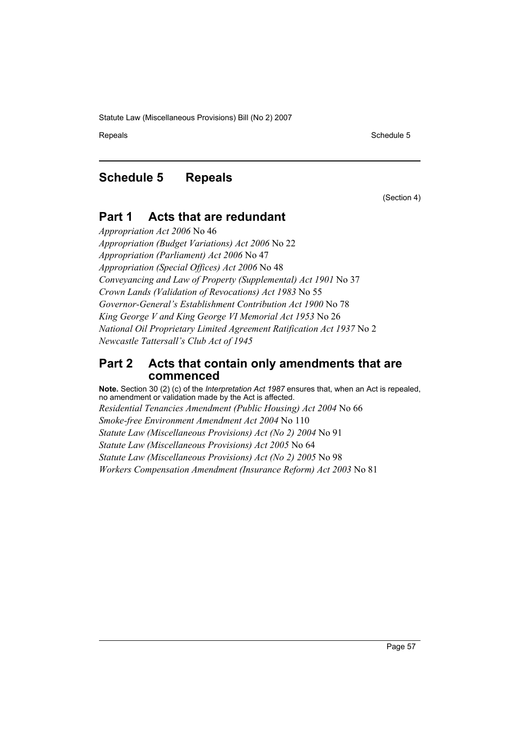Repeals **Schedule 5** Schedule 5

## **Schedule 5 Repeals**

(Section 4)

## **Part 1 Acts that are redundant**

*Appropriation Act 2006* No 46 *Appropriation (Budget Variations) Act 2006* No 22 *Appropriation (Parliament) Act 2006* No 47 *Appropriation (Special Offices) Act 2006* No 48 *Conveyancing and Law of Property (Supplemental) Act 1901* No 37 *Crown Lands (Validation of Revocations) Act 1983* No 55 *Governor-General's Establishment Contribution Act 1900* No 78 *King George V and King George VI Memorial Act 1953* No 26 *National Oil Proprietary Limited Agreement Ratification Act 1937* No 2 *Newcastle Tattersall's Club Act of 1945*

## **Part 2 Acts that contain only amendments that are commenced**

**Note.** Section 30 (2) (c) of the *Interpretation Act 1987* ensures that, when an Act is repealed, no amendment or validation made by the Act is affected. *Residential Tenancies Amendment (Public Housing) Act 2004* No 66 *Smoke-free Environment Amendment Act 2004* No 110 *Statute Law (Miscellaneous Provisions) Act (No 2) 2004* No 91 *Statute Law (Miscellaneous Provisions) Act 2005* No 64 *Statute Law (Miscellaneous Provisions) Act (No 2) 2005* No 98 *Workers Compensation Amendment (Insurance Reform) Act 2003* No 81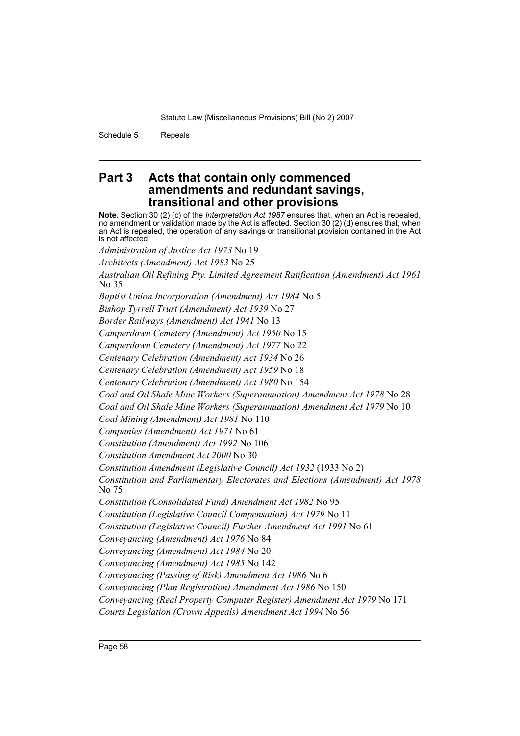Schedule 5 Repeals

## **Part 3 Acts that contain only commenced amendments and redundant savings, transitional and other provisions**

**Note.** Section 30 (2) (c) of the *Interpretation Act 1987* ensures that, when an Act is repealed, no amendment or validation made by the Act is affected. Section 30 (2) (d) ensures that, when an Act is repealed, the operation of any savings or transitional provision contained in the Act is not affected.

*Administration of Justice Act 1973* No 19

*Architects (Amendment) Act 1983* No 25

*Australian Oil Refining Pty. Limited Agreement Ratification (Amendment) Act 1961* No 35

*Baptist Union Incorporation (Amendment) Act 1984* No 5

*Bishop Tyrrell Trust (Amendment) Act 1939* No 27

*Border Railways (Amendment) Act 1941* No 13

*Camperdown Cemetery (Amendment) Act 1950* No 15

*Camperdown Cemetery (Amendment) Act 1977* No 22

*Centenary Celebration (Amendment) Act 1934* No 26

*Centenary Celebration (Amendment) Act 1959* No 18

*Centenary Celebration (Amendment) Act 1980* No 154

*Coal and Oil Shale Mine Workers (Superannuation) Amendment Act 1978* No 28

*Coal and Oil Shale Mine Workers (Superannuation) Amendment Act 1979* No 10

*Coal Mining (Amendment) Act 1981* No 110

*Companies (Amendment) Act 1971* No 61

*Constitution (Amendment) Act 1992* No 106

*Constitution Amendment Act 2000* No 30

*Constitution Amendment (Legislative Council) Act 1932* (1933 No 2)

*Constitution and Parliamentary Electorates and Elections (Amendment) Act 1978* No 75

*Constitution (Consolidated Fund) Amendment Act 1982* No 95

*Constitution (Legislative Council Compensation) Act 1979* No 11

*Constitution (Legislative Council) Further Amendment Act 1991* No 61

*Conveyancing (Amendment) Act 1976* No 84

*Conveyancing (Amendment) Act 1984* No 20

*Conveyancing (Amendment) Act 1985* No 142

*Conveyancing (Passing of Risk) Amendment Act 1986* No 6

*Conveyancing (Plan Registration) Amendment Act 1986* No 150

*Conveyancing (Real Property Computer Register) Amendment Act 1979* No 171

*Courts Legislation (Crown Appeals) Amendment Act 1994* No 56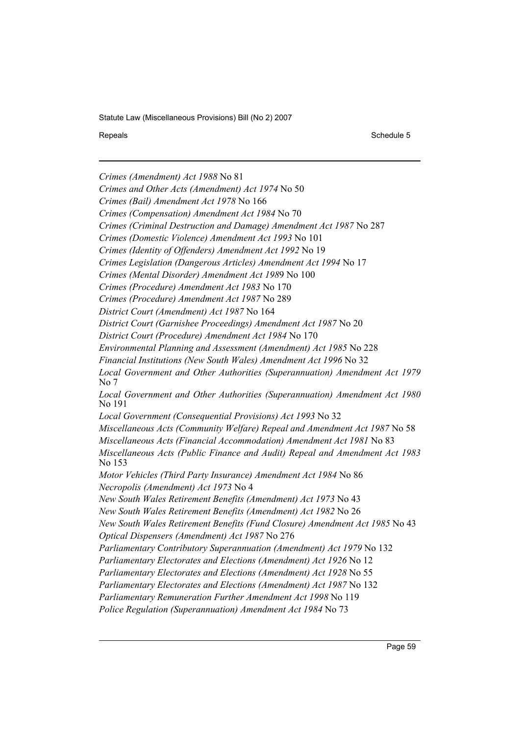Repeals **Schedule 5** and the set of the set of the set of the set of the set of the set of the set of the set of the set of the set of the set of the set of the set of the set of the set of the set of the set of the set of

*Crimes (Amendment) Act 1988* No 81 *Crimes and Other Acts (Amendment) Act 1974* No 50 *Crimes (Bail) Amendment Act 1978* No 166 *Crimes (Compensation) Amendment Act 1984* No 70 *Crimes (Criminal Destruction and Damage) Amendment Act 1987* No 287 *Crimes (Domestic Violence) Amendment Act 1993* No 101 *Crimes (Identity of Offenders) Amendment Act 1992* No 19 *Crimes Legislation (Dangerous Articles) Amendment Act 1994* No 17 *Crimes (Mental Disorder) Amendment Act 198*9 No 100 *Crimes (Procedure) Amendment Act 1983* No 170 *Crimes (Procedure) Amendment Act 1987* No 289 *District Court (Amendment) Act 1987* No 164 *District Court (Garnishee Proceedings) Amendment Act 1987* No 20 *District Court (Procedure) Amendment Act 1984* No 170 *Environmental Planning and Assessment (Amendment) Act 1985* No 228 *Financial Institutions (New South Wales) Amendment Act 1996* No 32 *Local Government and Other Authorities (Superannuation) Amendment Act 1979* No 7 *Local Government and Other Authorities (Superannuation) Amendment Act 1980* No 191 *Local Government (Consequential Provisions) Act 1993* No 32 *Miscellaneous Acts (Community Welfare) Repeal and Amendment Act 1987* No 58 *Miscellaneous Acts (Financial Accommodation) Amendment Act 1981* No 83 *Miscellaneous Acts (Public Finance and Audit) Repeal and Amendment Act 1983* No 153 *Motor Vehicles (Third Party Insurance) Amendment Act 1984* No 86 *Necropolis (Amendment) Act 1973* No 4 *New South Wales Retirement Benefits (Amendment) Act 1973* No 43 *New South Wales Retirement Benefits (Amendment) Act 1982* No 26 *New South Wales Retirement Benefits (Fund Closure) Amendment Act 1985* No 43 *Optical Dispensers (Amendment) Act 1987* No 276 *Parliamentary Contributory Superannuation (Amendment) Act 1979* No 132 *Parliamentary Electorates and Elections (Amendment) Act 1926* No 12 *Parliamentary Electorates and Elections (Amendment) Act 1928* No 55 *Parliamentary Electorates and Elections (Amendment) Act 1987* No 132 *Parliamentary Remuneration Further Amendment Act 1998* No 119 *Police Regulation (Superannuation) Amendment Act 1984* No 73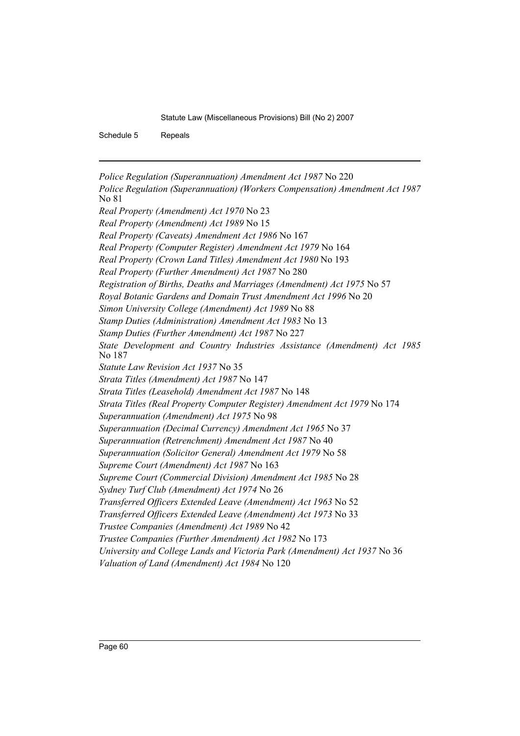Schedule 5 Repeals

*Police Regulation (Superannuation) Amendment Act 1987* No 220 *Police Regulation (Superannuation) (Workers Compensation) Amendment Act 1987* No 81 *Real Property (Amendment) Act 1970* No 23 *Real Property (Amendment) Act 1989* No 15 *Real Property (Caveats) Amendment Act 1986* No 167 *Real Property (Computer Register) Amendment Act 1979* No 164 *Real Property (Crown Land Titles) Amendment Act 1980* No 193 *Real Property (Further Amendment) Act 1987* No 280 *Registration of Births, Deaths and Marriages (Amendment) Act 1975* No 57 *Royal Botanic Gardens and Domain Trust Amendment Act 1996* No 20 *Simon University College (Amendment) Act 1989* No 88 *Stamp Duties (Administration) Amendment Act 1983* No 13 *Stamp Duties (Further Amendment) Act 1987* No 227 *State Development and Country Industries Assistance (Amendment) Act 1985* No 187 *Statute Law Revision Act 1937* No 35 *Strata Titles (Amendment) Act 1987* No 147 *Strata Titles (Leasehold) Amendment Act 1987* No 148 *Strata Titles (Real Property Computer Register) Amendment Act 1979* No 174 *Superannuation (Amendment) Act 1975* No 98 *Superannuation (Decimal Currency) Amendment Act 1965* No 37 *Superannuation (Retrenchment) Amendment Act 1987* No 40 *Superannuation (Solicitor General) Amendment Act 1979* No 58 *Supreme Court (Amendment) Act 1987* No 163 *Supreme Court (Commercial Division) Amendment Act 1985* No 28 *Sydney Turf Club (Amendment) Act 1974* No 26 *Transferred Officers Extended Leave (Amendment) Act 1963* No 52 *Transferred Officers Extended Leave (Amendment) Act 1973* No 33 *Trustee Companies (Amendment) Act 1989* No 42 *Trustee Companies (Further Amendment) Act 1982* No 173 *University and College Lands and Victoria Park (Amendment) Act 1937* No 36 *Valuation of Land (Amendment) Act 1984* No 120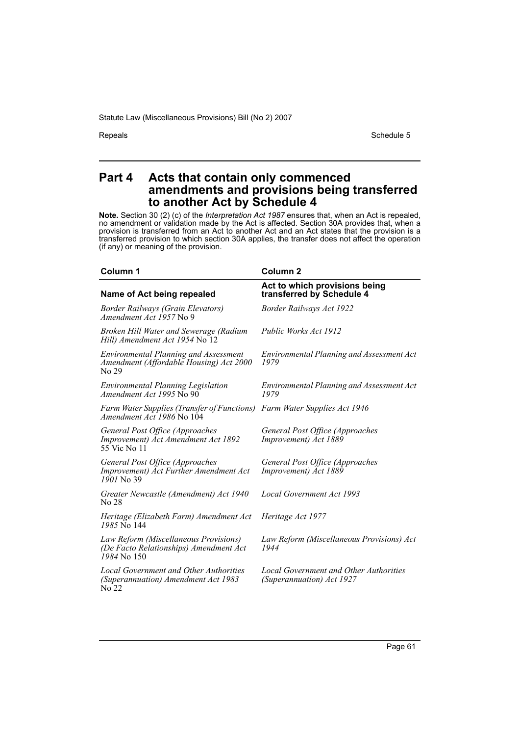Repeals Schedule 5

## **Part 4 Acts that contain only commenced amendments and provisions being transferred to another Act by Schedule 4**

**Note.** Section 30 (2) (c) of the *Interpretation Act 1987* ensures that, when an Act is repealed, no amendment or validation made by the Act is affected. Section 30A provides that, when a provision is transferred from an Act to another Act and an Act states that the provision is a transferred provision to which section 30A applies, the transfer does not affect the operation (if any) or meaning of the provision.

| Column 1                                                                                         | <b>Column 2</b>                                                     |
|--------------------------------------------------------------------------------------------------|---------------------------------------------------------------------|
| Name of Act being repealed                                                                       | Act to which provisions being<br>transferred by Schedule 4          |
| <b>Border Railways (Grain Elevators)</b><br>Amendment Act 1957 No 9                              | <b>Border Railways Act 1922</b>                                     |
| Broken Hill Water and Sewerage (Radium<br>Hill) Amendment Act 1954 No 12                         | Public Works Act 1912                                               |
| <b>Environmental Planning and Assessment</b><br>Amendment (Affordable Housing) Act 2000<br>No 29 | <b>Environmental Planning and Assessment Act</b><br>1979            |
| <b>Environmental Planning Legislation</b><br>Amendment Act 1995 No 90                            | Environmental Planning and Assessment Act<br>1979                   |
| Farm Water Supplies (Transfer of Functions)<br><i>Amendment Act 1986</i> No 104                  | Farm Water Supplies Act 1946                                        |
| General Post Office (Approaches<br>Improvement) Act Amendment Act 1892<br>55 Vic No 11           | General Post Office (Approaches<br>Improvement) Act 1889            |
| General Post Office (Approaches<br>Improvement) Act Further Amendment Act<br>$1901$ No 39        | General Post Office (Approaches<br>Improvement) Act 1889            |
| Greater Newcastle (Amendment) Act 1940<br>No 28                                                  | Local Government Act 1993                                           |
| Heritage (Elizabeth Farm) Amendment Act<br>1985 No 144                                           | Heritage Act 1977                                                   |
| Law Reform (Miscellaneous Provisions)<br>(De Facto Relationships) Amendment Act<br>1984 No 150   | Law Reform (Miscellaneous Provisions) Act<br>1944                   |
| Local Government and Other Authorities<br>(Superannuation) Amendment Act 1983<br>No 22           | Local Government and Other Authorities<br>(Superannuation) Act 1927 |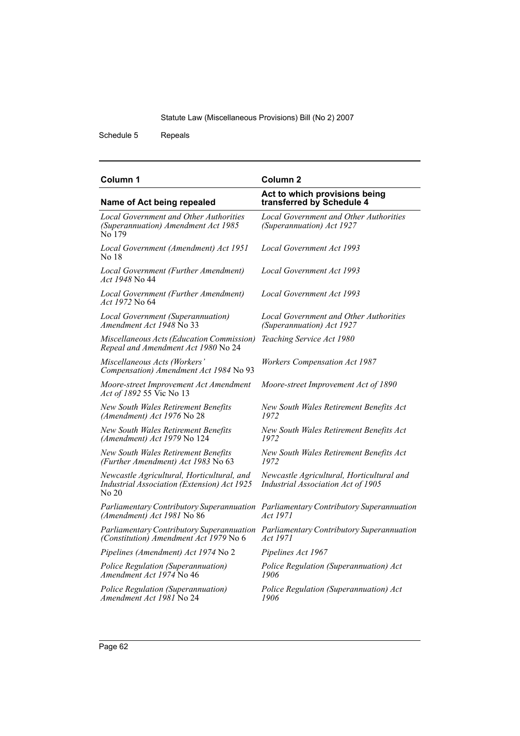Schedule 5 Repeals

#### *Local Government and Other Authorities (Superannuation) Amendment Act 1985* No 179 *Local Government and Other Authorities (Superannuation) Act 1927 Local Government (Amendment) Act 1951* No 18 *Local Government Act 1993 Local Government (Further Amendment) Act 1948* No 44 *Local Government Act 1993 Local Government (Further Amendment) Act 1972* No 64 *Local Government Act 1993 Local Government (Superannuation) Amendment Act 1948* No 33 *Local Government and Other Authorities (Superannuation) Act 1927 Miscellaneous Acts (Education Commission) Repeal and Amendment Act 1980* No 24 *Teaching Service Act 1980 Miscellaneous Acts (Workers' Compensation) Amendment Act 1984* No 93 *Workers Compensation Act 1987 Moore-street Improvement Act Amendment Act of 1892* 55 Vic No 13 *Moore-street Improvement Act of 1890 New South Wales Retirement Benefits (Amendment) Act 1976* No 28 *New South Wales Retirement Benefits Act 1972 New South Wales Retirement Benefits (Amendment) Act 1979* No 124 *New South Wales Retirement Benefits Act 1972 New South Wales Retirement Benefits (Further Amendment) Act 1983* No 63 *New South Wales Retirement Benefits Act 1972 Newcastle Agricultural, Horticultural, and Industrial Association (Extension) Act 1925* No 20 *Newcastle Agricultural, Horticultural and Industrial Association Act of 1905 Parliamentary Contributory Superannuation Parliamentary Contributory Superannuation (Amendment) Act 1981* No 86 *Act 1971 Parliamentary Contributory Superannuation (Constitution) Amendment Act 1979* No 6 *Parliamentary Contributory Superannuation Act 1971 Pipelines (Amendment) Act 1974* No 2 *Pipelines Act 1967 Police Regulation (Superannuation) Amendment Act 1974* No 46 *Police Regulation (Superannuation) Act 1906 Police Regulation (Superannuation) Amendment Act 1981* No 24 *Police Regulation (Superannuation) Act 1906* **Column 1 Column 2 Name of Act being repealed Act to which provisions being transferred by Schedule 4**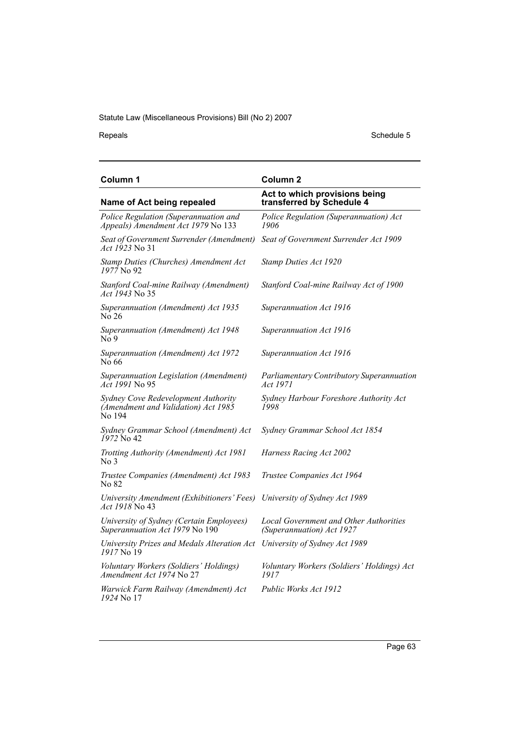Repeals Schedule 5

| Column 1                                                                             | Column <sub>2</sub>                                                        |
|--------------------------------------------------------------------------------------|----------------------------------------------------------------------------|
| Name of Act being repealed                                                           | Act to which provisions being<br>transferred by Schedule 4                 |
| Police Regulation (Superannuation and<br>Appeals) Amendment Act 1979 No 133          | Police Regulation (Superannuation) Act<br>1906                             |
| Seat of Government Surrender (Amendment)<br><i>Act 1923</i> No 31                    | Seat of Government Surrender Act 1909                                      |
| Stamp Duties (Churches) Amendment Act<br>1977 No. 92                                 | Stamp Duties Act 1920                                                      |
| Stanford Coal-mine Railway (Amendment)<br>Act 1943 No 35                             | Stanford Coal-mine Railway Act of 1900                                     |
| Superannuation (Amendment) Act 1935<br>No 26                                         | Superannuation Act 1916                                                    |
| Superannuation (Amendment) Act 1948<br>No 9                                          | Superannuation Act 1916                                                    |
| Superannuation (Amendment) Act 1972<br>No 66                                         | Superannuation Act 1916                                                    |
| Superannuation Legislation (Amendment)<br><i>Act 1991</i> No 95                      | Parliamentary Contributory Superannuation<br>Act 1971                      |
| Sydney Cove Redevelopment Authority<br>(Amendment and Validation) Act 1985<br>No 194 | Sydney Harbour Foreshore Authority Act<br>1998                             |
| Sydney Grammar School (Amendment) Act<br>1972 No 42                                  | Sydney Grammar School Act 1854                                             |
| Trotting Authority (Amendment) Act 1981<br>No <sub>3</sub>                           | Harness Racing Act 2002                                                    |
| Trustee Companies (Amendment) Act 1983<br>No 82                                      | Trustee Companies Act 1964                                                 |
| University Amendment (Exhibitioners' Fees)<br><i>Act 1918</i> No 43                  | University of Sydney Act 1989                                              |
| University of Sydney (Certain Employees)<br>Superannuation Act 1979 No 190           | <b>Local Government and Other Authorities</b><br>(Superannuation) Act 1927 |
| University Prizes and Medals Alteration Act<br>1917 No 19                            | University of Sydney Act 1989                                              |
| Voluntary Workers (Soldiers' Holdings)<br>Amendment Act 1974 No 27                   | Voluntary Workers (Soldiers' Holdings) Act<br>1917                         |
| Warwick Farm Railway (Amendment) Act<br>1924 No 17                                   | Public Works Act 1912                                                      |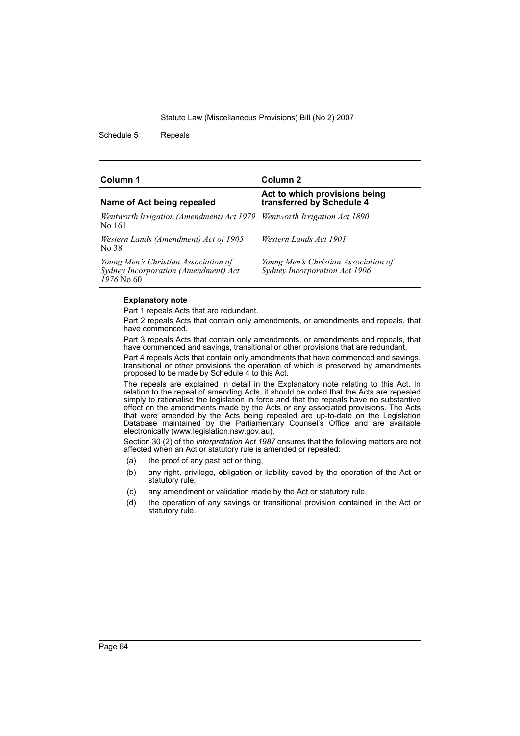Schedule 5 Repeals

| Column 1                                                                                     | Column 2                                                              |
|----------------------------------------------------------------------------------------------|-----------------------------------------------------------------------|
| Name of Act being repealed                                                                   | Act to which provisions being<br>transferred by Schedule 4            |
| Wentworth Irrigation (Amendment) Act 1979 Wentworth Irrigation Act 1890<br>No 161            |                                                                       |
| Western Lands (Amendment) Act of 1905<br>No 38                                               | Western Lands Act 1901                                                |
| Young Men's Christian Association of<br>Sydney Incorporation (Amendment) Act<br>$1976$ No 60 | Young Men's Christian Association of<br>Sydney Incorporation Act 1906 |

#### **Explanatory note**

Part 1 repeals Acts that are redundant.

Part 2 repeals Acts that contain only amendments, or amendments and repeals, that have commenced.

Part 3 repeals Acts that contain only amendments, or amendments and repeals, that have commenced and savings, transitional or other provisions that are redundant.

Part 4 repeals Acts that contain only amendments that have commenced and savings, transitional or other provisions the operation of which is preserved by amendments proposed to be made by Schedule 4 to this Act.

The repeals are explained in detail in the Explanatory note relating to this Act. In relation to the repeal of amending Acts, it should be noted that the Acts are repealed simply to rationalise the legislation in force and that the repeals have no substantive effect on the amendments made by the Acts or any associated provisions. The Acts that were amended by the Acts being repealed are up-to-date on the Legislation Database maintained by the Parliamentary Counsel's Office and are available electronically (www.legislation.nsw.gov.au).

Section 30 (2) of the *Interpretation Act 1987* ensures that the following matters are not affected when an Act or statutory rule is amended or repealed:

- (a) the proof of any past act or thing,
- (b) any right, privilege, obligation or liability saved by the operation of the Act or statutory rule,
- (c) any amendment or validation made by the Act or statutory rule,
- (d) the operation of any savings or transitional provision contained in the Act or statutory rule.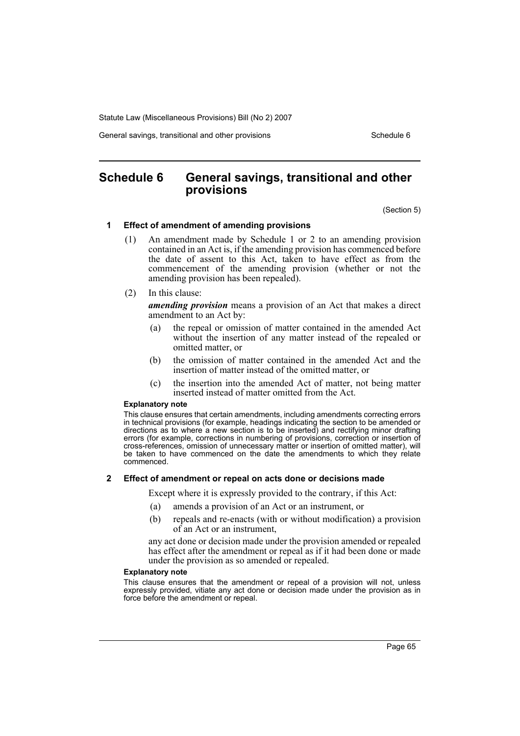General savings, transitional and other provisions Schedule 6 Schedule 6

## **Schedule 6 General savings, transitional and other provisions**

(Section 5)

#### **1 Effect of amendment of amending provisions**

- (1) An amendment made by Schedule 1 or 2 to an amending provision contained in an Act is, if the amending provision has commenced before the date of assent to this Act, taken to have effect as from the commencement of the amending provision (whether or not the amending provision has been repealed).
- (2) In this clause:

*amending provision* means a provision of an Act that makes a direct amendment to an Act by:

- (a) the repeal or omission of matter contained in the amended Act without the insertion of any matter instead of the repealed or omitted matter, or
- (b) the omission of matter contained in the amended Act and the insertion of matter instead of the omitted matter, or
- (c) the insertion into the amended Act of matter, not being matter inserted instead of matter omitted from the Act.

#### **Explanatory note**

This clause ensures that certain amendments, including amendments correcting errors in technical provisions (for example, headings indicating the section to be amended or directions as to where a new section is to be inserted) and rectifying minor drafting errors (for example, corrections in numbering of provisions, correction or insertion of cross-references, omission of unnecessary matter or insertion of omitted matter), will be taken to have commenced on the date the amendments to which they relate commenced.

#### **2 Effect of amendment or repeal on acts done or decisions made**

Except where it is expressly provided to the contrary, if this Act:

- (a) amends a provision of an Act or an instrument, or
- (b) repeals and re-enacts (with or without modification) a provision of an Act or an instrument,

any act done or decision made under the provision amended or repealed has effect after the amendment or repeal as if it had been done or made under the provision as so amended or repealed.

#### **Explanatory note**

This clause ensures that the amendment or repeal of a provision will not, unless expressly provided, vitiate any act done or decision made under the provision as in force before the amendment or repeal.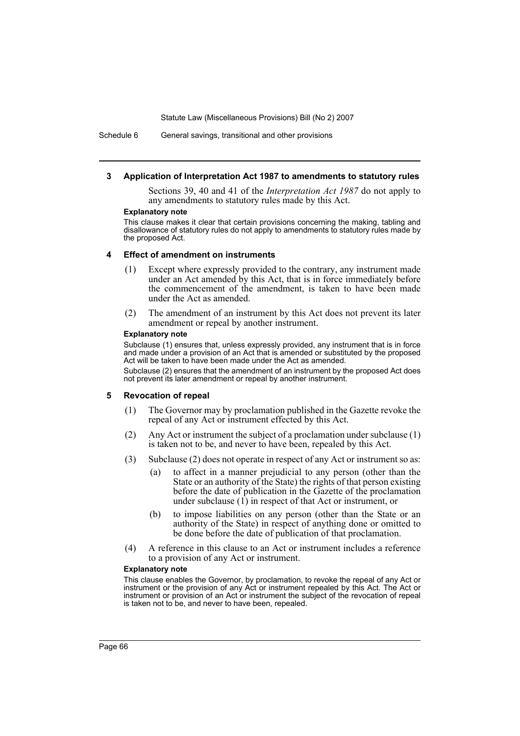Schedule 6 General savings, transitional and other provisions

#### **3 Application of Interpretation Act 1987 to amendments to statutory rules**

Sections 39, 40 and 41 of the *Interpretation Act 1987* do not apply to any amendments to statutory rules made by this Act.

#### **Explanatory note**

This clause makes it clear that certain provisions concerning the making, tabling and disallowance of statutory rules do not apply to amendments to statutory rules made by the proposed Act.

#### **4 Effect of amendment on instruments**

- (1) Except where expressly provided to the contrary, any instrument made under an Act amended by this Act, that is in force immediately before the commencement of the amendment, is taken to have been made under the Act as amended.
- (2) The amendment of an instrument by this Act does not prevent its later amendment or repeal by another instrument.

#### **Explanatory note**

Subclause (1) ensures that, unless expressly provided, any instrument that is in force and made under a provision of an Act that is amended or substituted by the proposed Act will be taken to have been made under the Act as amended.

Subclause (2) ensures that the amendment of an instrument by the proposed Act does not prevent its later amendment or repeal by another instrument.

#### **5 Revocation of repeal**

- (1) The Governor may by proclamation published in the Gazette revoke the repeal of any Act or instrument effected by this Act.
- (2) Any Act or instrument the subject of a proclamation under subclause (1) is taken not to be, and never to have been, repealed by this Act.
- (3) Subclause (2) does not operate in respect of any Act or instrument so as:
	- (a) to affect in a manner prejudicial to any person (other than the State or an authority of the State) the rights of that person existing before the date of publication in the Gazette of the proclamation under subclause  $(1)$  in respect of that Act or instrument, or
	- (b) to impose liabilities on any person (other than the State or an authority of the State) in respect of anything done or omitted to be done before the date of publication of that proclamation.
- (4) A reference in this clause to an Act or instrument includes a reference to a provision of any Act or instrument.

#### **Explanatory note**

This clause enables the Governor, by proclamation, to revoke the repeal of any Act or instrument or the provision of any Act or instrument repealed by this Act. The Act or instrument or provision of an Act or instrument the subject of the revocation of repeal is taken not to be, and never to have been, repealed.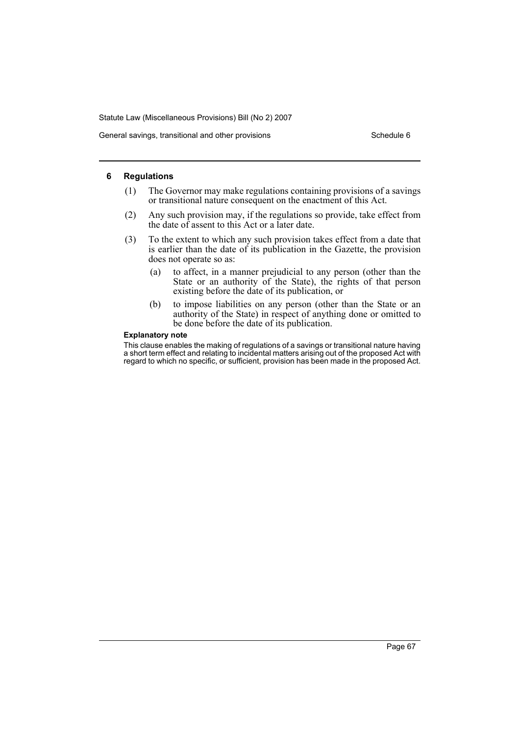General savings, transitional and other provisions Schedule 6

#### **6 Regulations**

- (1) The Governor may make regulations containing provisions of a savings or transitional nature consequent on the enactment of this Act.
- (2) Any such provision may, if the regulations so provide, take effect from the date of assent to this Act or a later date.
- (3) To the extent to which any such provision takes effect from a date that is earlier than the date of its publication in the Gazette, the provision does not operate so as:
	- (a) to affect, in a manner prejudicial to any person (other than the State or an authority of the State), the rights of that person existing before the date of its publication, or
	- (b) to impose liabilities on any person (other than the State or an authority of the State) in respect of anything done or omitted to be done before the date of its publication.

#### **Explanatory note**

This clause enables the making of regulations of a savings or transitional nature having a short term effect and relating to incidental matters arising out of the proposed Act with regard to which no specific, or sufficient, provision has been made in the proposed Act.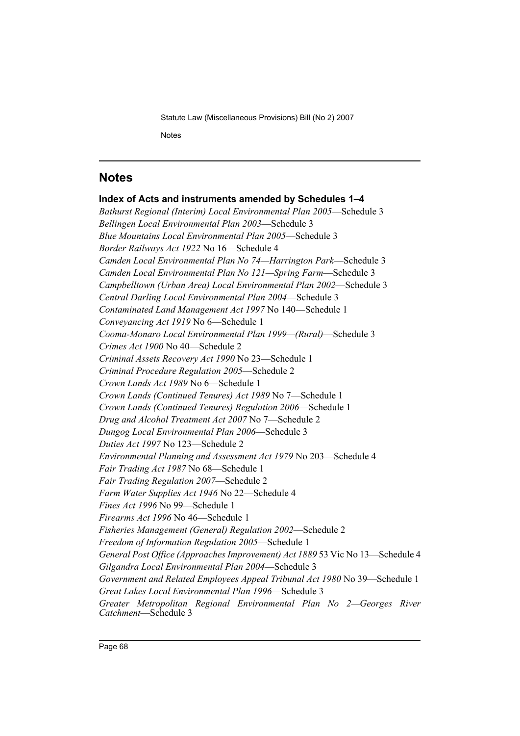## **Notes**

## **Index of Acts and instruments amended by Schedules 1–4** *Bathurst Regional (Interim) Local Environmental Plan 2005*—Schedule 3 *Bellingen Local Environmental Plan 2003*—Schedule 3 *Blue Mountains Local Environmental Plan 2005*—Schedule 3 *Border Railways Act 1922* No 16—Schedule 4 *Camden Local Environmental Plan No 74—Harrington Park*—Schedule 3 *Camden Local Environmental Plan No 121—Spring Farm*—Schedule 3 *Campbelltown (Urban Area) Local Environmental Plan 2002*—Schedule 3 *Central Darling Local Environmental Plan 2004*—Schedule 3 *Contaminated Land Management Act 1997* No 140—Schedule 1 *Conveyancing Act 1919* No 6—Schedule 1 *Cooma-Monaro Local Environmental Plan 1999—(Rural)*—Schedule 3 *Crimes Act 1900* No 40—Schedule 2 *Criminal Assets Recovery Act 1990* No 23—Schedule 1 *Criminal Procedure Regulation 2005*—Schedule 2 *Crown Lands Act 1989* No 6—Schedule 1 *Crown Lands (Continued Tenures) Act 1989* No 7—Schedule 1 *Crown Lands (Continued Tenures) Regulation 2006*—Schedule 1 *Drug and Alcohol Treatment Act 2007* No 7—Schedule 2 *Dungog Local Environmental Plan 2006*—Schedule 3 *Duties Act 1997* No 123—Schedule 2 *Environmental Planning and Assessment Act 1979* No 203—Schedule 4 *Fair Trading Act 1987* No 68—Schedule 1 *Fair Trading Regulation 2007*—Schedule 2 *Farm Water Supplies Act 1946* No 22—Schedule 4 *Fines Act 1996* No 99—Schedule 1 *Firearms Act 1996* No 46—Schedule 1 *Fisheries Management (General) Regulation 2002*—Schedule 2 *Freedom of Information Regulation 2005*—Schedule 1 *General Post Office (Approaches Improvement) Act 1889* 53 Vic No 13—Schedule 4 *Gilgandra Local Environmental Plan 2004*—Schedule 3 *Government and Related Employees Appeal Tribunal Act 1980* No 39—Schedule 1 *Great Lakes Local Environmental Plan 1996*—Schedule 3 *Greater Metropolitan Regional Environmental Plan No 2—Georges River Catchment*—Schedule 3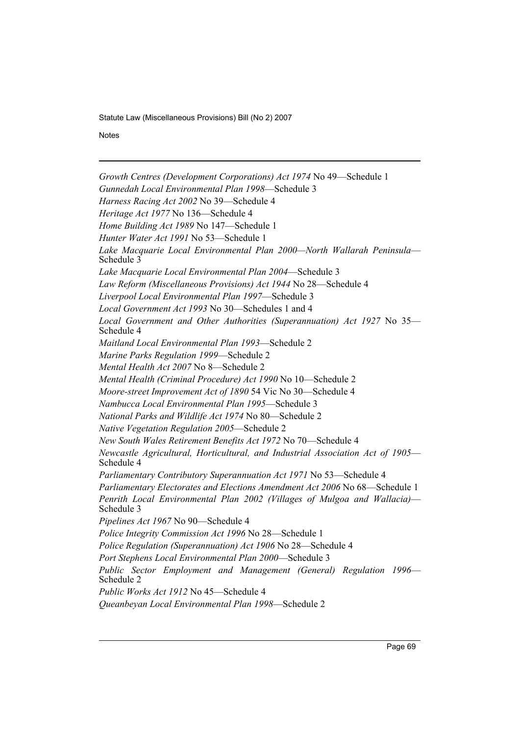**Notes** 

*Growth Centres (Development Corporations) Act 1974* No 49—Schedule 1 *Gunnedah Local Environmental Plan 1998*—Schedule 3 *Harness Racing Act 2002* No 39—Schedule 4 *Heritage Act 1977* No 136—Schedule 4 *Home Building Act 1989* No 147—Schedule 1 *Hunter Water Act 1991* No 53—Schedule 1 *Lake Macquarie Local Environmental Plan 2000—North Wallarah Peninsula*— Schedule 3 *Lake Macquarie Local Environmental Plan 2004*—Schedule 3 *Law Reform (Miscellaneous Provisions) Act 1944* No 28—Schedule 4 *Liverpool Local Environmental Plan 1997*—Schedule 3 *Local Government Act 1993* No 30—Schedules 1 and 4 *Local Government and Other Authorities (Superannuation) Act 1927* No 35— Schedule 4 *Maitland Local Environmental Plan 1993*—Schedule 2 *Marine Parks Regulation 1999*—Schedule 2 *Mental Health Act 2007* No 8—Schedule 2 *Mental Health (Criminal Procedure) Act 1990* No 10—Schedule 2 *Moore-street Improvement Act of 1890* 54 Vic No 30—Schedule 4 *Nambucca Local Environmental Plan 1995*—Schedule 3 *National Parks and Wildlife Act 1974* No 80—Schedule 2 *Native Vegetation Regulation 2005*—Schedule 2 *New South Wales Retirement Benefits Act 1972* No 70—Schedule 4 *Newcastle Agricultural, Horticultural, and Industrial Association Act of 1905*— Schedule 4 *Parliamentary Contributory Superannuation Act 1971* No 53—Schedule 4 *Parliamentary Electorates and Elections Amendment Act 2006* No 68—Schedule 1 *Penrith Local Environmental Plan 2002 (Villages of Mulgoa and Wallacia)*— Schedule 3 *Pipelines Act 1967* No 90—Schedule 4 *Police Integrity Commission Act 1996* No 28—Schedule 1 *Police Regulation (Superannuation) Act 1906* No 28—Schedule 4 *Port Stephens Local Environmental Plan 2000*—Schedule 3 *Public Sector Employment and Management (General) Regulation 1996*— Schedule 2 *Public Works Act 1912* No 45—Schedule 4 *Queanbeyan Local Environmental Plan 1998*—Schedule 2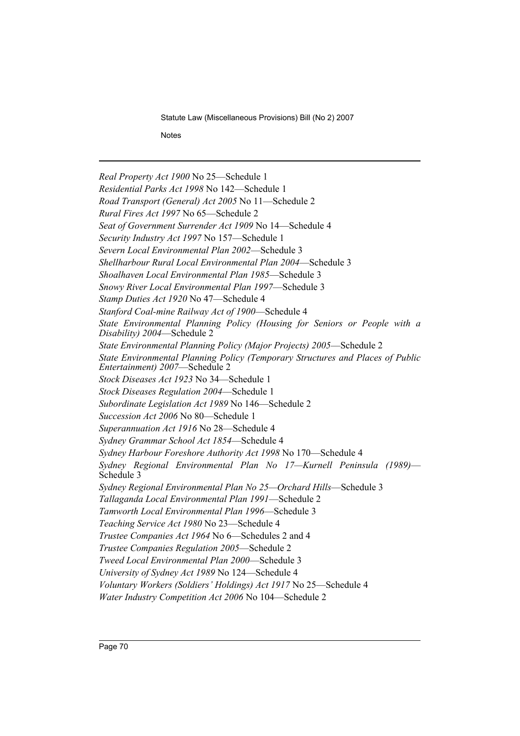**Notes** 

*Real Property Act 1900* No 25—Schedule 1 *Residential Parks Act 1998* No 142—Schedule 1 *Road Transport (General) Act 2005* No 11—Schedule 2 *Rural Fires Act 1997* No 65—Schedule 2 *Seat of Government Surrender Act 1909* No 14—Schedule 4 *Security Industry Act 1997* No 157—Schedule 1 *Severn Local Environmental Plan 2002*—Schedule 3 *Shellharbour Rural Local Environmental Plan 2004*—Schedule 3 *Shoalhaven Local Environmental Plan 1985*—Schedule 3 *Snowy River Local Environmental Plan 1997*—Schedule 3 *Stamp Duties Act 1920* No 47—Schedule 4 *Stanford Coal-mine Railway Act of 1900*—Schedule 4 *State Environmental Planning Policy (Housing for Seniors or People with a Disability) 2004*—Schedule 2 *State Environmental Planning Policy (Major Projects) 2005*—Schedule 2 *State Environmental Planning Policy (Temporary Structures and Places of Public Entertainment) 2007*—Schedule 2 *Stock Diseases Act 1923* No 34—Schedule 1 *Stock Diseases Regulation 2004*—Schedule 1 *Subordinate Legislation Act 1989* No 146—Schedule 2 *Succession Act 2006* No 80—Schedule 1 *Superannuation Act 1916* No 28—Schedule 4 *Sydney Grammar School Act 1854*—Schedule 4 *Sydney Harbour Foreshore Authority Act 1998* No 170—Schedule 4 *Sydney Regional Environmental Plan No 17—Kurnell Peninsula (1989)*— Schedule 3 *Sydney Regional Environmental Plan No 25—Orchard Hills*—Schedule 3 *Tallaganda Local Environmental Plan 1991*—Schedule 2 *Tamworth Local Environmental Plan 1996*—Schedule 3 *Teaching Service Act 1980* No 23—Schedule 4 *Trustee Companies Act 1964* No 6—Schedules 2 and 4 *Trustee Companies Regulation 2005*—Schedule 2 *Tweed Local Environmental Plan 2000*—Schedule 3 *University of Sydney Act 1989* No 124—Schedule 4 *Voluntary Workers (Soldiers' Holdings) Act 1917* No 25—Schedule 4 *Water Industry Competition Act 2006* No 104—Schedule 2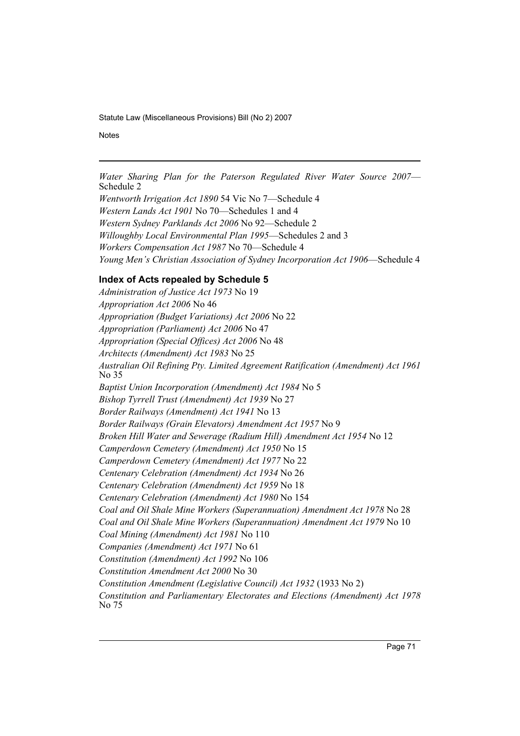**Notes** 

*Water Sharing Plan for the Paterson Regulated River Water Source 2007*— Schedule 2

*Wentworth Irrigation Act 1890* 54 Vic No 7—Schedule 4 *Western Lands Act 1901* No 70—Schedules 1 and 4 *Western Sydney Parklands Act 2006* No 92—Schedule 2 *Willoughby Local Environmental Plan 1995*—Schedules 2 and 3 *Workers Compensation Act 1987* No 70—Schedule 4 *Young Men's Christian Association of Sydney Incorporation Act 1906*—Schedule 4

## **Index of Acts repealed by Schedule 5**

*Administration of Justice Act 1973* No 19 *Appropriation Act 2006* No 46 *Appropriation (Budget Variations) Act 2006* No 22 *Appropriation (Parliament) Act 2006* No 47 *Appropriation (Special Offices) Act 2006* No 48 *Architects (Amendment) Act 1983* No 25 *Australian Oil Refining Pty. Limited Agreement Ratification (Amendment) Act 1961* No 35 *Baptist Union Incorporation (Amendment) Act 1984* No 5 *Bishop Tyrrell Trust (Amendment) Act 1939* No 27 *Border Railways (Amendment) Act 1941* No 13 *Border Railways (Grain Elevators) Amendment Act 1957* No 9 *Broken Hill Water and Sewerage (Radium Hill) Amendment Act 1954* No 12 *Camperdown Cemetery (Amendment) Act 1950* No 15 *Camperdown Cemetery (Amendment) Act 1977* No 22 *Centenary Celebration (Amendment) Act 1934* No 26 *Centenary Celebration (Amendment) Act 1959* No 18 *Centenary Celebration (Amendment) Act 1980* No 154 *Coal and Oil Shale Mine Workers (Superannuation) Amendment Act 1978* No 28 *Coal and Oil Shale Mine Workers (Superannuation) Amendment Act 1979* No 10 *Coal Mining (Amendment) Act 1981* No 110 *Companies (Amendment) Act 1971* No 61 *Constitution (Amendment) Act 1992* No 106 *Constitution Amendment Act 2000* No 30 *Constitution Amendment (Legislative Council) Act 1932* (1933 No 2) *Constitution and Parliamentary Electorates and Elections (Amendment) Act 1978* No 75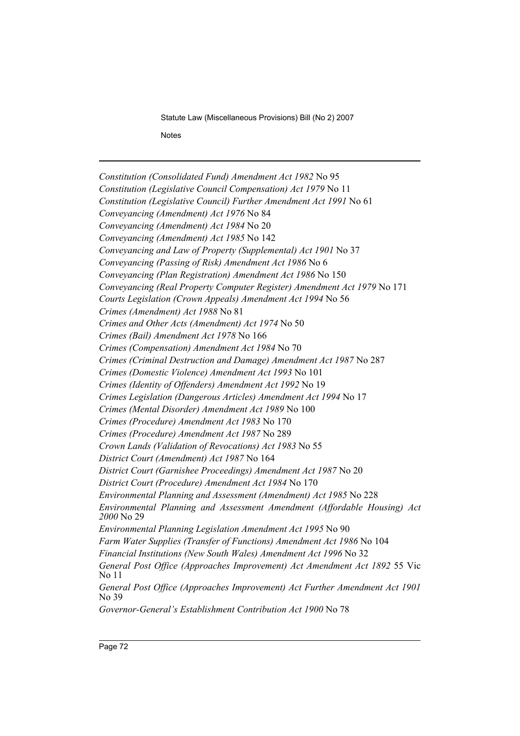Statute Law (Miscellaneous Provisions) Bill (No 2) 2007 **Notes** 

*Constitution (Consolidated Fund) Amendment Act 1982* No 95 *Constitution (Legislative Council Compensation) Act 1979* No 11 *Constitution (Legislative Council) Further Amendment Act 1991* No 61 *Conveyancing (Amendment) Act 1976* No 84 *Conveyancing (Amendment) Act 1984* No 20 *Conveyancing (Amendment) Act 1985* No 142 *Conveyancing and Law of Property (Supplemental) Act 1901* No 37 *Conveyancing (Passing of Risk) Amendment Act 1986* No 6 *Conveyancing (Plan Registration) Amendment Act 1986* No 150 *Conveyancing (Real Property Computer Register) Amendment Act 1979* No 171 *Courts Legislation (Crown Appeals) Amendment Act 1994* No 56 *Crimes (Amendment) Act 1988* No 81 *Crimes and Other Acts (Amendment) Act 1974* No 50 *Crimes (Bail) Amendment Act 1978* No 166 *Crimes (Compensation) Amendment Act 1984* No 70 *Crimes (Criminal Destruction and Damage) Amendment Act 1987* No 287 *Crimes (Domestic Violence) Amendment Act 1993* No 101 *Crimes (Identity of Offenders) Amendment Act 1992* No 19 *Crimes Legislation (Dangerous Articles) Amendment Act 1994* No 17 *Crimes (Mental Disorder) Amendment Act 1989* No 100 *Crimes (Procedure) Amendment Act 1983* No 170 *Crimes (Procedure) Amendment Act 1987* No 289 *Crown Lands (Validation of Revocations) Act 1983* No 55 *District Court (Amendment) Act 1987* No 164 *District Court (Garnishee Proceedings) Amendment Act 1987* No 20 *District Court (Procedure) Amendment Act 1984* No 170 *Environmental Planning and Assessment (Amendment) Act 1985* No 228 *Environmental Planning and Assessment Amendment (Affordable Housing) Act 2000* No 29 *Environmental Planning Legislation Amendment Act 1995* No 90 *Farm Water Supplies (Transfer of Functions) Amendment Act 1986* No 104 *Financial Institutions (New South Wales) Amendment Act 1996* No 32 *General Post Office (Approaches Improvement) Act Amendment Act 1892* 55 Vic No 11 *General Post Office (Approaches Improvement) Act Further Amendment Act 1901* No 39 *Governor-General's Establishment Contribution Act 1900* No 78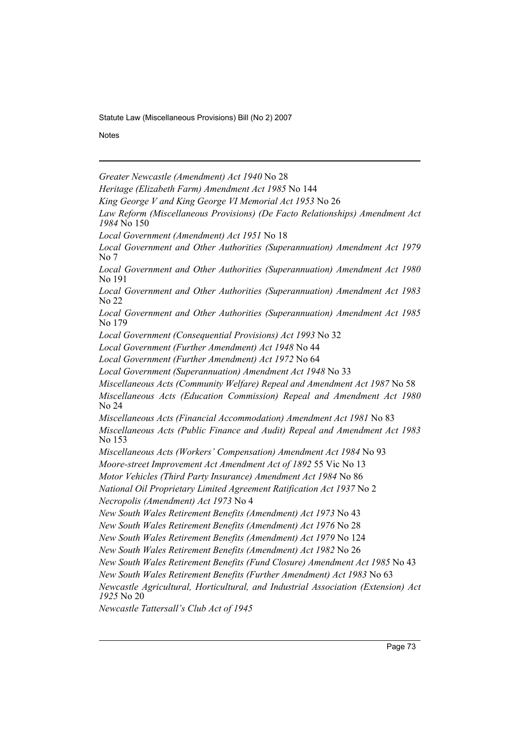Statute Law (Miscellaneous Provisions) Bill (No 2) 2007

**Notes** 

*Greater Newcastle (Amendment) Act 1940* No 28

*Heritage (Elizabeth Farm) Amendment Act 1985* No 144

*King George V and King George VI Memorial Act 1953* No 26

*Law Reform (Miscellaneous Provisions) (De Facto Relationships) Amendment Act 1984* No 150

*Local Government (Amendment) Act 1951* No 18

*Local Government and Other Authorities (Superannuation) Amendment Act 1979* No 7

*Local Government and Other Authorities (Superannuation) Amendment Act 1980* No 191

*Local Government and Other Authorities (Superannuation) Amendment Act 1983* No 22

*Local Government and Other Authorities (Superannuation) Amendment Act 1985* No 179

*Local Government (Consequential Provisions) Act 1993* No 32

*Local Government (Further Amendment) Act 1948* No 44

*Local Government (Further Amendment) Act 1972* No 64

*Miscellaneous Acts (Community Welfare) Repeal and Amendment Act 1987* No 58

*Miscellaneous Acts (Education Commission) Repeal and Amendment Act 1980* No 24

*Miscellaneous Acts (Financial Accommodation) Amendment Act 1981* No 83 *Miscellaneous Acts (Public Finance and Audit) Repeal and Amendment Act 1983* No 153

*Miscellaneous Acts (Workers' Compensation) Amendment Act 1984* No 93

*Moore-street Improvement Act Amendment Act of 1892* 55 Vic No 13

*Motor Vehicles (Third Party Insurance) Amendment Act 1984* No 86

*National Oil Proprietary Limited Agreement Ratification Act 1937* No 2 *Necropolis (Amendment) Act 1973* No 4

*New South Wales Retirement Benefits (Amendment) Act 1973* No 43

*New South Wales Retirement Benefits (Amendment) Act 1976* No 28

*New South Wales Retirement Benefits (Amendment) Act 1979* No 124

*New South Wales Retirement Benefits (Amendment) Act 1982* No 26

*New South Wales Retirement Benefits (Fund Closure) Amendment Act 1985* No 43

*New South Wales Retirement Benefits (Further Amendment) Act 1983* No 63

*Newcastle Agricultural, Horticultural, and Industrial Association (Extension) Act 1925* No 20

*Newcastle Tattersall's Club Act of 1945*

*Local Government (Superannuation) Amendment Act 1948* No 33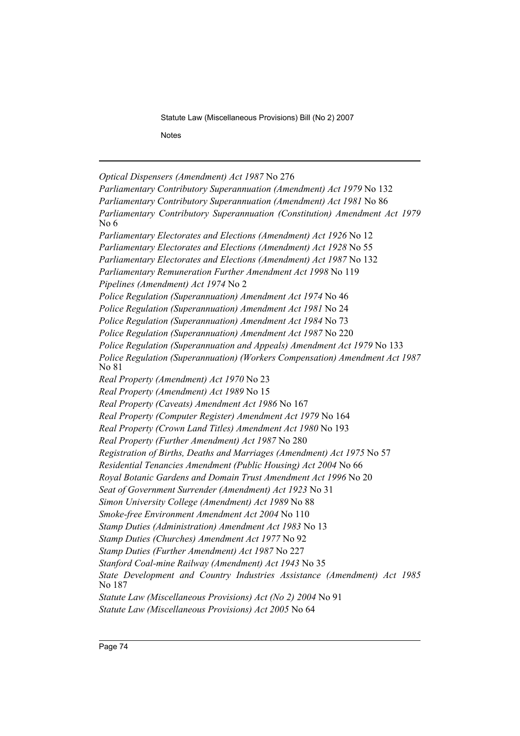Statute Law (Miscellaneous Provisions) Bill (No 2) 2007

**Notes** 

*Optical Dispensers (Amendment) Act 1987* No 276

*Parliamentary Contributory Superannuation (Amendment) Act 1979* No 132 *Parliamentary Contributory Superannuation (Amendment) Act 1981* No 86 *Parliamentary Contributory Superannuation (Constitution) Amendment Act 1979* No 6 *Parliamentary Electorates and Elections (Amendment) Act 1926* No 12 *Parliamentary Electorates and Elections (Amendment) Act 1928* No 55 *Parliamentary Electorates and Elections (Amendment) Act 1987* No 132 *Parliamentary Remuneration Further Amendment Act 1998* No 119 *Pipelines (Amendment) Act 1974* No 2 *Police Regulation (Superannuation) Amendment Act 1974* No 46 *Police Regulation (Superannuation) Amendment Act 1981* No 24 *Police Regulation (Superannuation) Amendment Act 1984* No 73 *Police Regulation (Superannuation) Amendment Act 1987* No 220 *Police Regulation (Superannuation and Appeals) Amendment Act 1979* No 133 *Police Regulation (Superannuation) (Workers Compensation) Amendment Act 1987* No 81 *Real Property (Amendment) Act 1970* No 23 *Real Property (Amendment) Act 1989* No 15 *Real Property (Caveats) Amendment Act 1986* No 167 *Real Property (Computer Register) Amendment Act 1979* No 164 *Real Property (Crown Land Titles) Amendment Act 1980* No 193 *Real Property (Further Amendment) Act 1987* No 280 *Registration of Births, Deaths and Marriages (Amendment) Act 1975* No 57 *Residential Tenancies Amendment (Public Housing) Act 2004* No 66 *Royal Botanic Gardens and Domain Trust Amendment Act 1996* No 20 *Seat of Government Surrender (Amendment) Act 1923* No 31 *Simon University College (Amendment) Act 1989* No 88 *Smoke-free Environment Amendment Act 2004* No 110 *Stamp Duties (Administration) Amendment Act 1983* No 13 *Stamp Duties (Churches) Amendment Act 1977* No 92 *Stamp Duties (Further Amendment) Act 1987* No 227 *Stanford Coal-mine Railway (Amendment) Act 1943* No 35 *State Development and Country Industries Assistance (Amendment) Act 1985* No 187 *Statute Law (Miscellaneous Provisions) Act (No 2) 2004* No 91 *Statute Law (Miscellaneous Provisions) Act 2005* No 64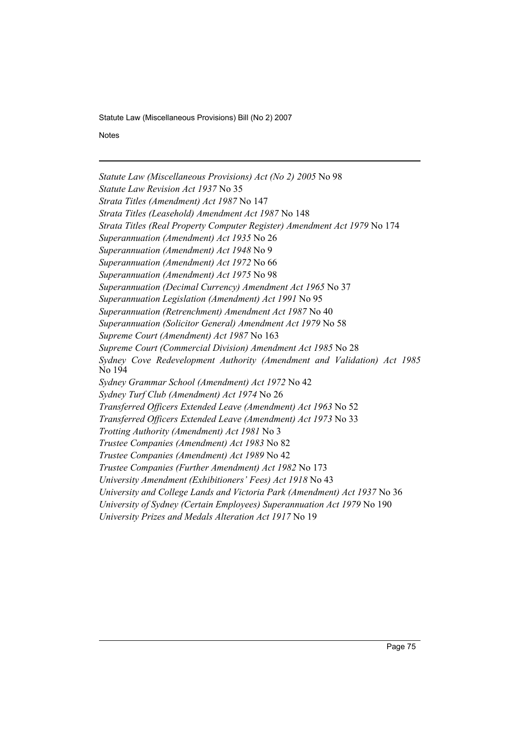Statute Law (Miscellaneous Provisions) Bill (No 2) 2007

**Notes** 

*Statute Law (Miscellaneous Provisions) Act (No 2) 2005* No 98 *Statute Law Revision Act 1937* No 35 *Strata Titles (Amendment) Act 1987* No 147 *Strata Titles (Leasehold) Amendment Act 1987* No 148 *Strata Titles (Real Property Computer Register) Amendment Act 1979* No 174 *Superannuation (Amendment) Act 1935* No 26 *Superannuation (Amendment) Act 1948* No 9 *Superannuation (Amendment) Act 1972* No 66 *Superannuation (Amendment) Act 1975* No 98 *Superannuation (Decimal Currency) Amendment Act 1965* No 37 *Superannuation Legislation (Amendment) Act 1991* No 95 *Superannuation (Retrenchment) Amendment Act 1987* No 40 *Superannuation (Solicitor General) Amendment Act 1979* No 58 *Supreme Court (Amendment) Act 1987* No 163 *Supreme Court (Commercial Division) Amendment Act 1985* No 28 *Sydney Cove Redevelopment Authority (Amendment and Validation) Act 1985* No 194 *Sydney Grammar School (Amendment) Act 1972* No 42 *Sydney Turf Club (Amendment) Act 1974* No 26 *Transferred Officers Extended Leave (Amendment) Act 1963* No 52 *Transferred Officers Extended Leave (Amendment) Act 1973* No 33 *Trotting Authority (Amendment) Act 1981* No 3 *Trustee Companies (Amendment) Act 1983* No 82 *Trustee Companies (Amendment) Act 1989* No 42 *Trustee Companies (Further Amendment) Act 1982* No 173 *University Amendment (Exhibitioners' Fees) Act 1918* No 43 *University and College Lands and Victoria Park (Amendment) Act 1937* No 36 *University of Sydney (Certain Employees) Superannuation Act 1979* No 190 *University Prizes and Medals Alteration Act 1917* No 19